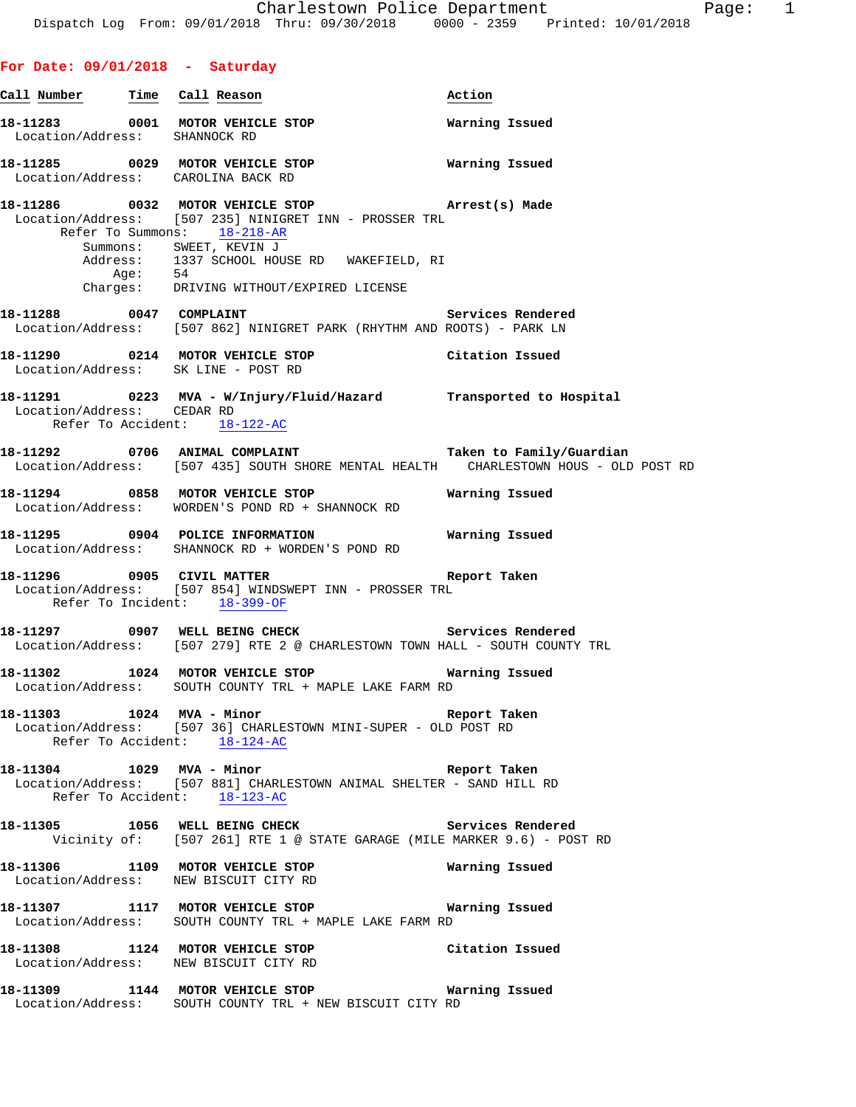**For Date: 09/01/2018 - Saturday**

**Call Number Time Call Reason Action 18-11283 0001 MOTOR VEHICLE STOP Warning Issued**  Location/Address: SHANNOCK RD **18-11285 0029 MOTOR VEHICLE STOP Warning Issued**  Location/Address: CAROLINA BACK RD **18-11286 0032 MOTOR VEHICLE STOP Arrest(s) Made**  Location/Address: [507 235] NINIGRET INN - PROSSER TRL Refer To Summons: 18-218-AR Summons: SWEET, KEVIN J Address: 1337 SCHOOL HOUSE RD WAKEFIELD, RI Age: 54 Charges: DRIVING WITHOUT/EXPIRED LICENSE **18-11288 0047 COMPLAINT Services Rendered**  Location/Address: [507 862] NINIGRET PARK (RHYTHM AND ROOTS) - PARK LN **18-11290 0214 MOTOR VEHICLE STOP Citation Issued**  Location/Address: SK LINE - POST RD **18-11291 0223 MVA - W/Injury/Fluid/Hazard Transported to Hospital**  Location/Address: CEDAR RD Refer To Accident: 18-122-AC **18-11292 0706 ANIMAL COMPLAINT Taken to Family/Guardian**  Location/Address: [507 435] SOUTH SHORE MENTAL HEALTH CHARLESTOWN HOUS - OLD POST RD **18-11294 0858 MOTOR VEHICLE STOP Warning Issued**  Location/Address: WORDEN'S POND RD + SHANNOCK RD **18-11295 0904 POLICE INFORMATION Warning Issued**  Location/Address: SHANNOCK RD + WORDEN'S POND RD **18-11296 0905 CIVIL MATTER Report Taken**  Location/Address: [507 854] WINDSWEPT INN - PROSSER TRL Refer To Incident: 18-399-OF **18-11297 0907 WELL BEING CHECK Services Rendered**  Location/Address: [507 279] RTE 2 @ CHARLESTOWN TOWN HALL - SOUTH COUNTY TRL **18-11302 1024 MOTOR VEHICLE STOP Warning Issued**  Location/Address: SOUTH COUNTY TRL + MAPLE LAKE FARM RD **18-11303 1024 MVA - Minor Report Taken**  Location/Address: [507 36] CHARLESTOWN MINI-SUPER - OLD POST RD Refer To Accident: 18-124-AC **18-11304 1029 MVA - Minor Report Taken**  Location/Address: [507 881] CHARLESTOWN ANIMAL SHELTER - SAND HILL RD Refer To Accident: 18-123-AC **18-11305 1056 WELL BEING CHECK Services Rendered**  Vicinity of: [507 261] RTE 1 @ STATE GARAGE (MILE MARKER 9.6) - POST RD **18-11306 1109 MOTOR VEHICLE STOP Warning Issued**  Location/Address: NEW BISCUIT CITY RD **18-11307 1117 MOTOR VEHICLE STOP Warning Issued**  Location/Address: SOUTH COUNTY TRL + MAPLE LAKE FARM RD **18-11308 1124 MOTOR VEHICLE STOP Citation Issued** Location/Address: NEW BISCUIT CITY RD NEW BISCUIT CITY RD **18-11309 1144 MOTOR VEHICLE STOP Warning Issued**  Location/Address: SOUTH COUNTY TRL + NEW BISCUIT CITY RD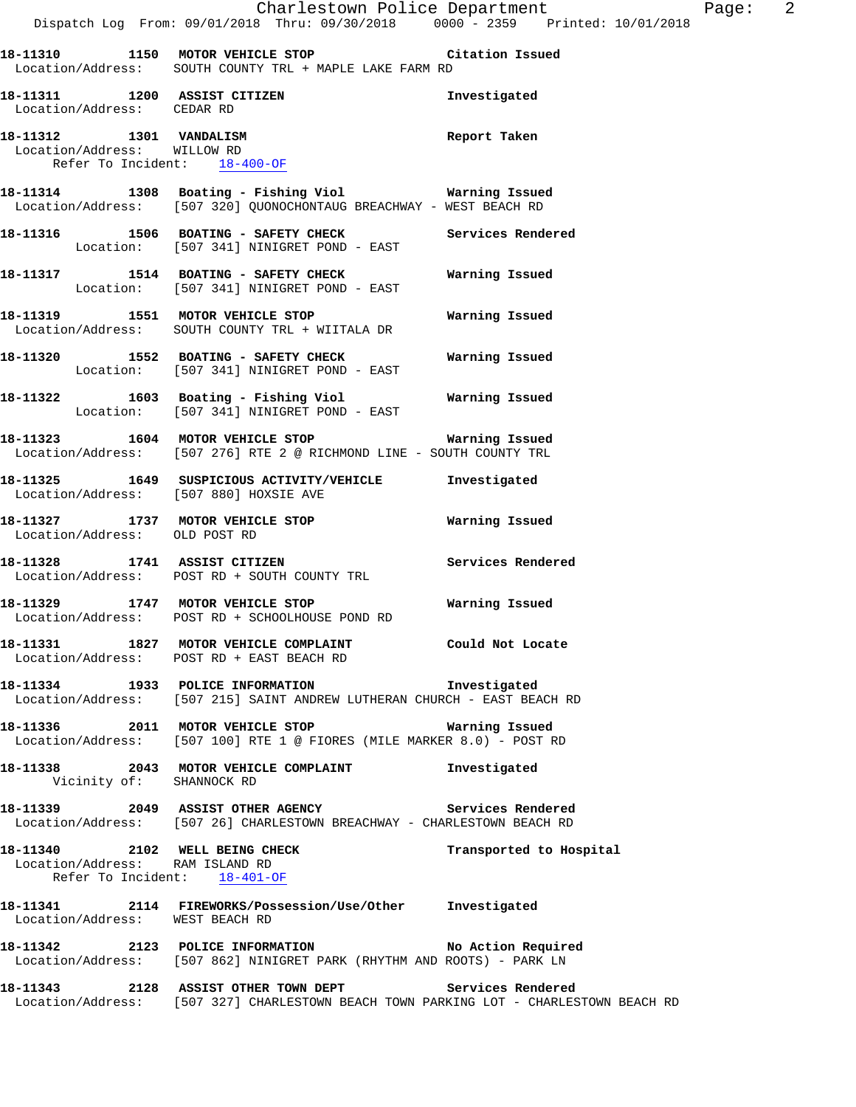|                                                                                        |                                                                                                                                | Charlestown Police Department Page: 2 |  |
|----------------------------------------------------------------------------------------|--------------------------------------------------------------------------------------------------------------------------------|---------------------------------------|--|
|                                                                                        | Dispatch Log From: 09/01/2018 Thru: 09/30/2018 0000 - 2359 Printed: 10/01/2018                                                 |                                       |  |
|                                                                                        | 18-11310 1150 MOTOR VEHICLE STOP Citation Issued<br>Location/Address: SOUTH COUNTY TRL + MAPLE LAKE FARM RD                    |                                       |  |
| Location/Address: CEDAR RD                                                             | 18-11311 1200 ASSIST CITIZEN                                                                                                   | Investigated                          |  |
| 18-11312 1301 VANDALISM<br>Location/Address: WILLOW RD<br>Refer To Incident: 18-400-OF |                                                                                                                                | Report Taken                          |  |
|                                                                                        | 18-11314 1308 Boating - Fishing Viol Narning Issued<br>Location/Address: [507 320] QUONOCHONTAUG BREACHWAY - WEST BEACH RD     |                                       |  |
|                                                                                        | 18-11316 1506 BOATING - SAFETY CHECK Services Rendered<br>Location: [507 341] NINIGRET POND - EAST                             |                                       |  |
|                                                                                        | 18-11317 1514 BOATING - SAFETY CHECK Warning Issued<br>Location: [507 341] NINIGRET POND - EAST                                |                                       |  |
|                                                                                        | 18-11319 1551 MOTOR VEHICLE STOP 6 Warning Issued<br>Location/Address: SOUTH COUNTY TRL + WIITALA DR                           |                                       |  |
|                                                                                        | 18-11320 1552 BOATING - SAFETY CHECK Warning Issued<br>Location: [507 341] NINIGRET POND - EAST                                |                                       |  |
|                                                                                        | 18-11322 1603 Boating - Fishing Viol Warning Issued<br>Location: [507 341] NINIGRET POND - EAST                                |                                       |  |
|                                                                                        | 18-11323 1604 MOTOR VEHICLE STOP 18 Warning Issued<br>Location/Address: [507 276] RTE 2 @ RICHMOND LINE - SOUTH COUNTY TRL     |                                       |  |
| Location/Address: [507 880] HOXSIE AVE                                                 | 18-11325 1649 SUSPICIOUS ACTIVITY/VEHICLE Investigated                                                                         |                                       |  |
| Location/Address: OLD POST RD                                                          | 18-11327 1737 MOTOR VEHICLE STOP 18 Warning Issued                                                                             |                                       |  |
|                                                                                        | 18-11328 1741 ASSIST CITIZEN<br>Location/Address: POST RD + SOUTH COUNTY TRL                                                   | Services Rendered                     |  |
|                                                                                        | 18-11329 1747 MOTOR VEHICLE STOP <b>WATILLE STOP</b><br>Location/Address: POST RD + SCHOOLHOUSE POND RD                        |                                       |  |
|                                                                                        | 18-11331 1827 MOTOR VEHICLE COMPLAINT 6001d Not Locate<br>Location/Address: POST RD + EAST BEACH RD                            |                                       |  |
|                                                                                        | 18-11334 1933 POLICE INFORMATION 1nvestigated<br>Location/Address: [507 215] SAINT ANDREW LUTHERAN CHURCH - EAST BEACH RD      |                                       |  |
|                                                                                        | 18-11336 2011 MOTOR VEHICLE STOP 6 Warning Issued<br>Location/Address: [507 100] RTE 1 @ FIORES (MILE MARKER 8.0) - POST RD    |                                       |  |
| Vicinity of: SHANNOCK RD                                                               | 18-11338 2043 MOTOR VEHICLE COMPLAINT 1nvestigated                                                                             |                                       |  |
|                                                                                        | 18-11339 2049 ASSIST OTHER AGENCY Services Rendered<br>Location/Address: [507 26] CHARLESTOWN BREACHWAY - CHARLESTOWN BEACH RD |                                       |  |
| Location/Address: RAM ISLAND RD<br>Refer To Incident: 18-401-OF                        | 18-11340 2102 WELL BEING CHECK                                                                                                 | Transported to Hospital               |  |
| Location/Address: WEST BEACH RD                                                        | 18-11341 2114 FIREWORKS/Possession/Use/Other Investigated                                                                      |                                       |  |
|                                                                                        | 18-11342 2123 POLICE INFORMATION No Action Required<br>Location/Address: [507 862] NINIGRET PARK (RHYTHM AND ROOTS) - PARK LN  |                                       |  |
|                                                                                        | 18-11343 2128 ASSIST OTHER TOWN DEPT Services Rendered                                                                         |                                       |  |

Location/Address: [507 327] CHARLESTOWN BEACH TOWN PARKING LOT - CHARLESTOWN BEACH RD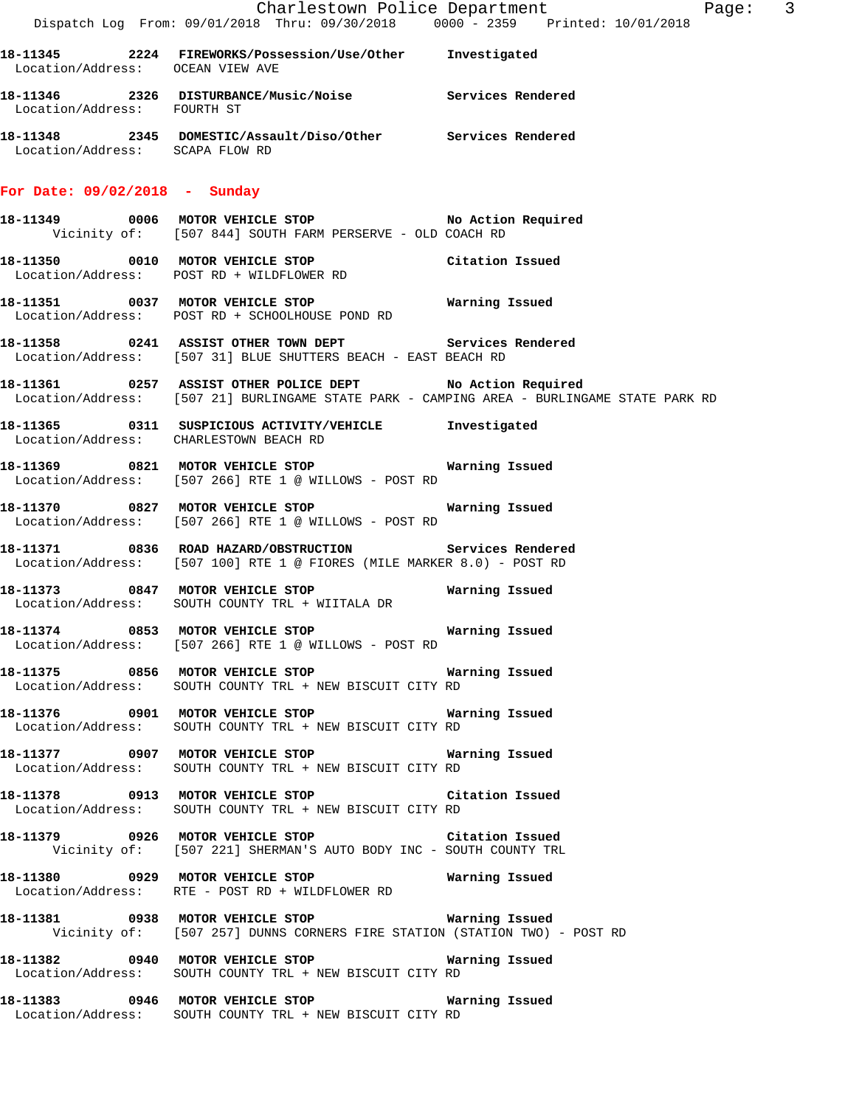|                                        | Dispatch Log From: 09/01/2018 Thru: 09/30/2018   0000 - 2359   Printed: 10/01/2018                                                                              | Charlestown Police Department<br>Page: 3                                                   |  |
|----------------------------------------|-----------------------------------------------------------------------------------------------------------------------------------------------------------------|--------------------------------------------------------------------------------------------|--|
| Location/Address: OCEAN VIEW AVE       | 18-11345 2224 FIREWORKS/Possession/Use/Other Investigated                                                                                                       |                                                                                            |  |
| Location/Address: FOURTH ST            | 18-11346 2326 DISTURBANCE/Music/Noise Services Rendered                                                                                                         |                                                                                            |  |
|                                        | 18-11348  2345  DOMESTIC/Assault/Diso/Other  Services Rendered Location/Address:  SCAPA FLOW RD                                                                 |                                                                                            |  |
| For Date: $09/02/2018$ - Sunday        |                                                                                                                                                                 |                                                                                            |  |
|                                        | 18-11349 0006 MOTOR VEHICLE STOP THE Mo Action Required<br>Vicinity of: [507 844] SOUTH FARM PERSERVE - OLD COACH RD                                            |                                                                                            |  |
|                                        | 18-11350 0010 MOTOR VEHICLE STOP Citation Issued<br>Location/Address: POST RD + WILDFLOWER RD                                                                   |                                                                                            |  |
|                                        | Location/Address: POST RD + SCHOOLHOUSE POND RD                                                                                                                 |                                                                                            |  |
|                                        | 18-11358 0241 ASSIST OTHER TOWN DEPT Services Rendered<br>Location/Address: [507 31] BLUE SHUTTERS BEACH - EAST BEACH RD                                        |                                                                                            |  |
|                                        | 18-11361 0257 ASSIST OTHER POLICE DEPT No Action Required                                                                                                       | Location/Address: [507 21] BURLINGAME STATE PARK - CAMPING AREA - BURLINGAME STATE PARK RD |  |
| Location/Address: CHARLESTOWN BEACH RD | 18-11365 0311 SUSPICIOUS ACTIVITY/VEHICLE Investigated                                                                                                          |                                                                                            |  |
|                                        | 18-11369 0821 MOTOR VEHICLE STOP <b>Exam and SEAL MARY Marning Issued</b><br>Location/Address: [507 266] RTE 1 @ WILLOWS - POST RD                              |                                                                                            |  |
|                                        | Location/Address: [507 266] RTE 1 @ WILLOWS - POST RD                                                                                                           |                                                                                            |  |
|                                        | 18-11371 0836 ROAD HAZARD/OBSTRUCTION Services Rendered<br>Location/Address: [507 100] RTE 1 @ FIORES (MILE MARKER 8.0) - POST RD                               |                                                                                            |  |
|                                        | Location/Address: SOUTH COUNTY TRL + WIITALA DR                                                                                                                 |                                                                                            |  |
|                                        | Location/Address: [507 266] RTE 1 @ WILLOWS - POST RD                                                                                                           |                                                                                            |  |
|                                        | 18-11375 0856 MOTOR VEHICLE STOP <b>Exam and SEAL Marning Issued</b><br>Location/Address: SOUTH COUNTY TRL + NEW BISCUIT CITY RD                                |                                                                                            |  |
|                                        | Location/Address: SOUTH COUNTY TRL + NEW BISCUIT CITY RD                                                                                                        |                                                                                            |  |
|                                        | 18-11377 0907 MOTOR VEHICLE STOP <b>Marning Issued</b><br>Location/Address: SOUTH COUNTY TRL + NEW BISCUIT CITY RD                                              |                                                                                            |  |
|                                        | 18-11378 0913 MOTOR VEHICLE STOP Citation Issued<br>Location/Address: SOUTH COUNTY TRL + NEW BISCUIT CITY RD                                                    |                                                                                            |  |
|                                        | 18-11379 0926 MOTOR VEHICLE STOP Citation Issued<br>Vicinity of: [507 221] SHERMAN'S AUTO BODY INC - SOUTH COUNTY TRL                                           |                                                                                            |  |
|                                        | Location/Address: RTE - POST RD + WILDFLOWER RD                                                                                                                 |                                                                                            |  |
|                                        | Vicinity of: [507 257] DUNNS CORNERS FIRE STATION (STATION TWO) - POST RD                                                                                       |                                                                                            |  |
|                                        | Location/Address: SOUTH COUNTY TRL + NEW BISCUIT CITY RD                                                                                                        |                                                                                            |  |
|                                        | 18-11383           0946           MOTOR VEHICLE STOP                                 Warning Issued<br>Location/Address: SOUTH COUNTY TRL + NEW BISCUIT CITY RD |                                                                                            |  |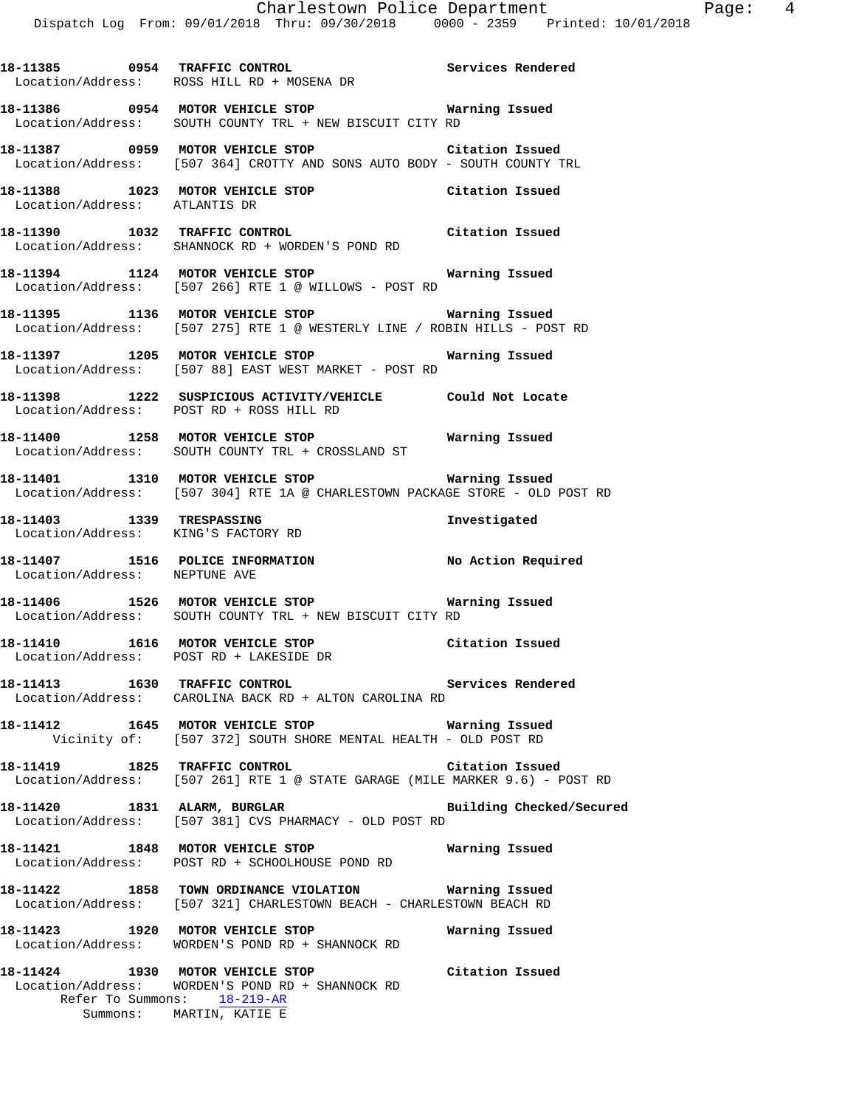**18-11386 0954 MOTOR VEHICLE STOP Warning Issued**  Location/Address: SOUTH COUNTY TRL + NEW BISCUIT CITY RD

**18-11385 0954 TRAFFIC CONTROL Services Rendered** 

**18-11387 0959 MOTOR VEHICLE STOP Citation Issued**  Location/Address: [507 364] CROTTY AND SONS AUTO BODY - SOUTH COUNTY TRL

**18-11388 1023 MOTOR VEHICLE STOP Citation Issued**  Location/Address: ATLANTIS DR

Location/Address: ROSS HILL RD + MOSENA DR

**18-11390 1032 TRAFFIC CONTROL Citation Issued**  Location/Address: SHANNOCK RD + WORDEN'S POND RD

**18-11394 1124 MOTOR VEHICLE STOP Warning Issued**  Location/Address: [507 266] RTE 1 @ WILLOWS - POST RD

**18-11395 1136 MOTOR VEHICLE STOP Warning Issued**  Location/Address: [507 275] RTE 1 @ WESTERLY LINE / ROBIN HILLS - POST RD

**18-11397 1205 MOTOR VEHICLE STOP Warning Issued**  Location/Address: [507 88] EAST WEST MARKET - POST RD

**18-11398 1222 SUSPICIOUS ACTIVITY/VEHICLE Could Not Locate**  Location/Address: POST RD + ROSS HILL RD

**18-11400 1258 MOTOR VEHICLE STOP Warning Issued**  Location/Address: SOUTH COUNTY TRL + CROSSLAND ST

**18-11401 1310 MOTOR VEHICLE STOP Warning Issued**  Location/Address: [507 304] RTE 1A @ CHARLESTOWN PACKAGE STORE - OLD POST RD

**18-11403 1339 TRESPASSING Investigated**  Location/Address: KING'S FACTORY RD

**18-11407** 1516 POLICE INFORMATION No Action Required Location/Address: NEPTUNE AVE Location/Address:

**18-11406 1526 MOTOR VEHICLE STOP Warning Issued**  Location/Address: SOUTH COUNTY TRL + NEW BISCUIT CITY RD

**18-11410 1616 MOTOR VEHICLE STOP Citation Issued**  Location/Address: POST RD + LAKESIDE DR

**18-11413 1630 TRAFFIC CONTROL Services Rendered**  Location/Address: CAROLINA BACK RD + ALTON CAROLINA RD

**18-11412 1645 MOTOR VEHICLE STOP Warning Issued**  Vicinity of: [507 372] SOUTH SHORE MENTAL HEALTH - OLD POST RD

**18-11419 1825 TRAFFIC CONTROL Citation Issued**  Location/Address: [507 261] RTE 1 @ STATE GARAGE (MILE MARKER 9.6) - POST RD

**18-11420 1831 ALARM, BURGLAR Building Checked/Secured**  Location/Address: [507 381] CVS PHARMACY - OLD POST RD

**18-11421 1848 MOTOR VEHICLE STOP Warning Issued**  Location/Address: POST RD + SCHOOLHOUSE POND RD

**18-11422 1858 TOWN ORDINANCE VIOLATION Warning Issued**  Location/Address: [507 321] CHARLESTOWN BEACH - CHARLESTOWN BEACH RD

**18-11423 1920 MOTOR VEHICLE STOP Warning Issued**  Location/Address: WORDEN'S POND RD + SHANNOCK RD

**18-11424 1930 MOTOR VEHICLE STOP Citation Issued**  Location/Address: WORDEN'S POND RD + SHANNOCK RD Refer To Summons: 18-219-AR Summons: MARTIN, KATIE E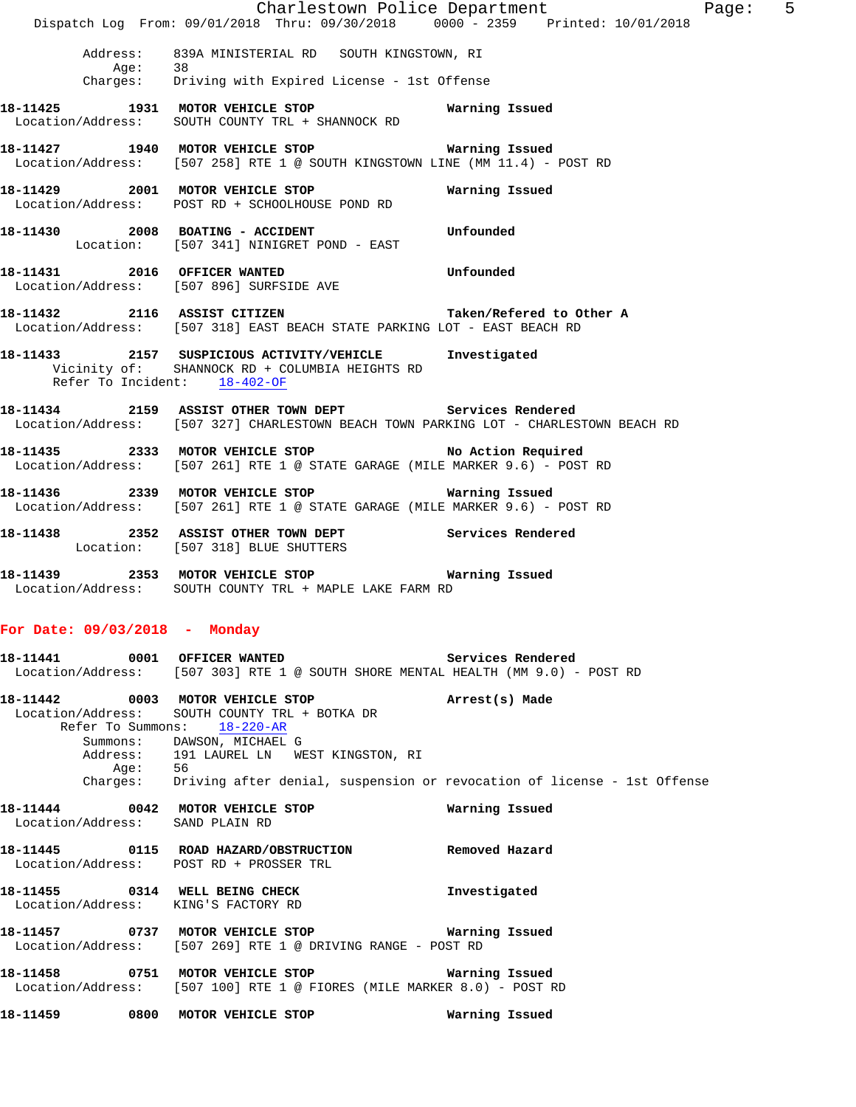|                                     | Dispatch Log From: 09/01/2018 Thru: 09/30/2018 0000 - 2359 Printed: 10/01/2018                                                                                                                                                                                                 | Charlestown Police Department<br>Page: 5 |  |
|-------------------------------------|--------------------------------------------------------------------------------------------------------------------------------------------------------------------------------------------------------------------------------------------------------------------------------|------------------------------------------|--|
|                                     | Address: 839A MINISTERIAL RD SOUTH KINGSTOWN, RI<br>Age: 38<br>Charges: Driving with Expired License - 1st Offense                                                                                                                                                             |                                          |  |
|                                     | 18-11425 1931 MOTOR VEHICLE STOP 6 Warning Issued<br>Location/Address: SOUTH COUNTY TRL + SHANNOCK RD                                                                                                                                                                          |                                          |  |
|                                     | 18-11427 1940 MOTOR VEHICLE STOP <b>WATNING ISSUED</b><br>Location/Address: [507 258] RTE 1 @ SOUTH KINGSTOWN LINE (MM 11.4) - POST RD                                                                                                                                         |                                          |  |
|                                     | 18-11429 2001 MOTOR VEHICLE STOP<br>Location/Address: POST RD + SCHOOLHOUSE POND RD                                                                                                                                                                                            | Warning Issued                           |  |
|                                     | 18-11430  2008 BOATING - ACCIDENT    Unfounded<br>Location: [507 341] NINIGRET POND - EAST                                                                                                                                                                                     |                                          |  |
|                                     | 18-11431 2016 OFFICER WANTED<br>Location/Address: [507 896] SURFSIDE AVE                                                                                                                                                                                                       | Unfounded                                |  |
|                                     | 18-11432 2116 ASSIST CITIZEN Taken/Refered to Other A<br>Location/Address: [507 318] EAST BEACH STATE PARKING LOT - EAST BEACH RD                                                                                                                                              |                                          |  |
| Refer To Incident: 18-402-OF        | 18-11433 2157 SUSPICIOUS ACTIVITY/VEHICLE Investigated<br>Vicinity of: SHANNOCK RD + COLUMBIA HEIGHTS RD                                                                                                                                                                       |                                          |  |
|                                     | 18-11434 2159 ASSIST OTHER TOWN DEPT Services Rendered<br>Location/Address: [507 327] CHARLESTOWN BEACH TOWN PARKING LOT - CHARLESTOWN BEACH RD                                                                                                                                |                                          |  |
|                                     | 18-11435 2333 MOTOR VEHICLE STOP No Action Required<br>Location/Address: [507 261] RTE 1 @ STATE GARAGE (MILE MARKER 9.6) - POST RD                                                                                                                                            |                                          |  |
|                                     | Location/Address: [507 261] RTE 1 @ STATE GARAGE (MILE MARKER 9.6) - POST RD                                                                                                                                                                                                   |                                          |  |
|                                     | 18-11438 2352 ASSIST OTHER TOWN DEPT Services Rendered<br>Location: [507 318] BLUE SHUTTERS                                                                                                                                                                                    |                                          |  |
|                                     | Location/Address: SOUTH COUNTY TRL + MAPLE LAKE FARM RD                                                                                                                                                                                                                        |                                          |  |
| For Date: 09/03/2018 - Monday       |                                                                                                                                                                                                                                                                                |                                          |  |
|                                     | 18-11441 0001 OFFICER WANTED<br>Location/Address: [507 303] RTE 1 @ SOUTH SHORE MENTAL HEALTH (MM 9.0) - POST RD                                                                                                                                                               | Services Rendered                        |  |
| Age: 56                             | 18-11442 0003 MOTOR VEHICLE STOP<br>Location/Address: SOUTH COUNTY TRL + BOTKA DR<br>Refer To Summons: 18-220-AR<br>Summons: DAWSON, MICHAEL G<br>Address: 191 LAUREL LN WEST KINGSTON, RI<br>Charges: Driving after denial, suspension or revocation of license - 1st Offense | Arrest(s) Made                           |  |
| Location/Address: SAND PLAIN RD     | 18-11444 0042 MOTOR VEHICLE STOP                                                                                                                                                                                                                                               | Warning Issued                           |  |
|                                     | 18-11445 0115 ROAD HAZARD/OBSTRUCTION<br>Location/Address: POST RD + PROSSER TRL                                                                                                                                                                                               | Removed Hazard                           |  |
| Location/Address: KING'S FACTORY RD | 18-11455 0314 WELL BEING CHECK                                                                                                                                                                                                                                                 | Investigated                             |  |
|                                     | Location/Address: [507 269] RTE 1 @ DRIVING RANGE - POST RD                                                                                                                                                                                                                    | Warning Issued                           |  |
|                                     | 18-11458    0751    MOTOR VEHICLE STOP<br>Location/Address: [507 100] RTE 1 @ FIORES (MILE MARKER 8.0) - POST RD                                                                                                                                                               | Warning Issued                           |  |
| 18-11459 0800 MOTOR VEHICLE STOP    |                                                                                                                                                                                                                                                                                | Warning Issued                           |  |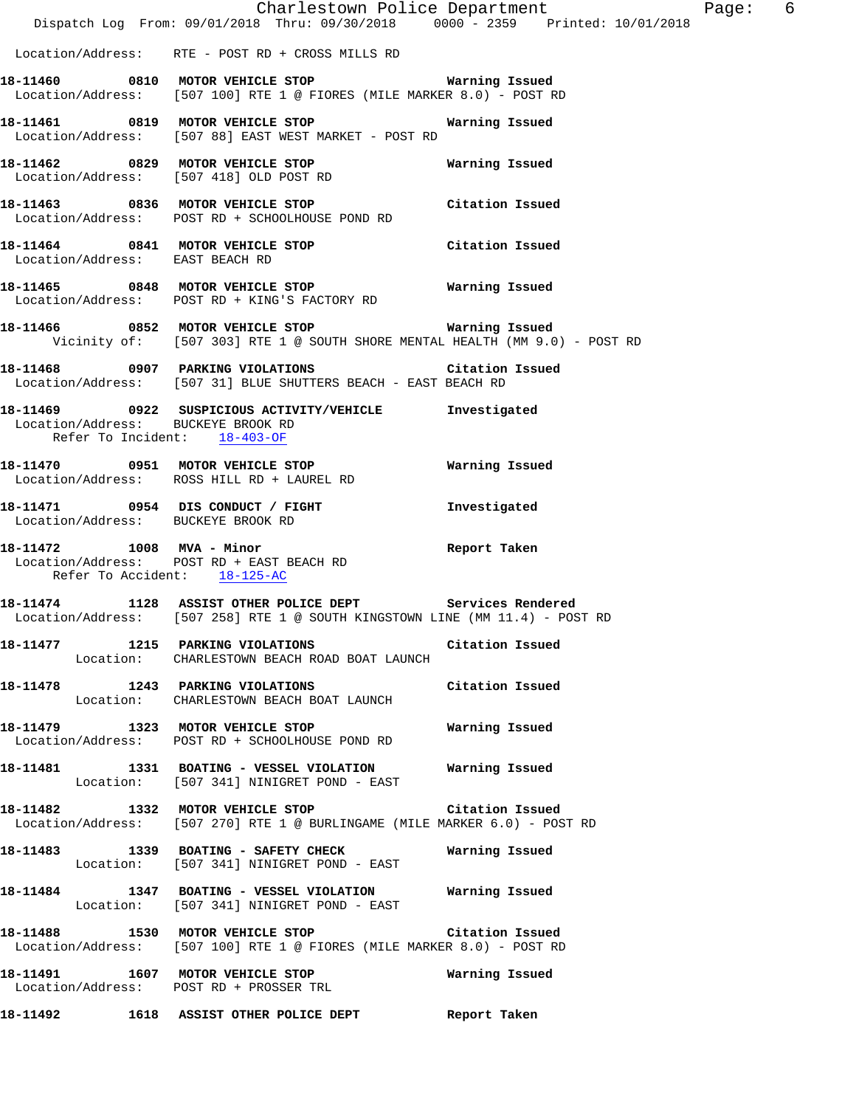|                                                                    | Dispatch Log From: 09/01/2018 Thru: 09/30/2018 0000 - 2359 Printed: 10/01/2018                                                           | Charlestown Police Department | Page: 6 |  |
|--------------------------------------------------------------------|------------------------------------------------------------------------------------------------------------------------------------------|-------------------------------|---------|--|
|                                                                    | Location/Address: RTE - POST RD + CROSS MILLS RD                                                                                         |                               |         |  |
|                                                                    | 18-11460 0810 MOTOR VEHICLE STOP 6 Warning Issued<br>Location/Address: [507 100] RTE 1 @ FIORES (MILE MARKER 8.0) - POST RD              |                               |         |  |
|                                                                    | 18-11461  0819 MOTOR VEHICLE STOP <b>Warning Issued</b><br>Location/Address: [507 88] EAST WEST MARKET - POST RD                         |                               |         |  |
|                                                                    | 18-11462 0829 MOTOR VEHICLE STOP<br>Location/Address: [507 418] OLD POST RD                                                              | Warning Issued                |         |  |
|                                                                    | 18-11463 0836 MOTOR VEHICLE STOP Citation Issued<br>Location/Address: POST RD + SCHOOLHOUSE POND RD                                      |                               |         |  |
| Location/Address: EAST BEACH RD                                    | 18-11464 0841 MOTOR VEHICLE STOP Citation Issued                                                                                         |                               |         |  |
|                                                                    | Location/Address: POST RD + KING'S FACTORY RD                                                                                            |                               |         |  |
|                                                                    | 18-11466 6852 MOTOR VEHICLE STOP 68 Marning Issued<br>Vicinity of: [507 303] RTE 1 @ SOUTH SHORE MENTAL HEALTH (MM 9.0) - POST RD        |                               |         |  |
|                                                                    | 18-11468 0907 PARKING VIOLATIONS Citation Issued<br>Location/Address: [507 31] BLUE SHUTTERS BEACH - EAST BEACH RD                       |                               |         |  |
| Location/Address: BUCKEYE BROOK RD<br>Refer To Incident: 18-403-OF | 18-11469 0922 SUSPICIOUS ACTIVITY/VEHICLE Investigated                                                                                   |                               |         |  |
|                                                                    | 18-11470 0951 MOTOR VEHICLE STOP<br>Location/Address: ROSS HILL RD + LAUREL RD                                                           | Warning Issued                |         |  |
| Location/Address: BUCKEYE BROOK RD                                 | 18-11471 0954 DIS CONDUCT / FIGHT                                                                                                        | Investigated                  |         |  |
| 18-11472 1008 MVA - Minor                                          | Location/Address: POST RD + EAST BEACH RD<br>Refer To Accident: 18-125-AC                                                                | Report Taken                  |         |  |
|                                                                    | 18-11474 1128 ASSIST OTHER POLICE DEPT Services Rendered<br>Location/Address: [507 258] RTE 1 @ SOUTH KINGSTOWN LINE (MM 11.4) - POST RD |                               |         |  |
|                                                                    | 18-11477 1215 PARKING VIOLATIONS<br>Location: CHARLESTOWN BEACH ROAD BOAT LAUNCH                                                         | Citation Issued               |         |  |
|                                                                    | 18-11478 1243 PARKING VIOLATIONS Citation Issued<br>Location: CHARLESTOWN BEACH BOAT LAUNCH                                              |                               |         |  |
|                                                                    | 18-11479 1323 MOTOR VEHICLE STOP 6 Warning Issued<br>Location/Address: POST RD + SCHOOLHOUSE POND RD                                     |                               |         |  |
|                                                                    | 18-11481   1331   BOATING - VESSEL VIOLATION   Warning Issued<br>Location: [507 341] NINIGRET POND - EAST                                |                               |         |  |
|                                                                    | 18-11482 1332 MOTOR VEHICLE STOP Citation Issued<br>Location/Address: [507 270] RTE 1 @ BURLINGAME (MILE MARKER 6.0) - POST RD           |                               |         |  |
|                                                                    | 18-11483 1339 BOATING - SAFETY CHECK Warning Issued<br>Location: [507 341] NINIGRET POND - EAST                                          |                               |         |  |
|                                                                    | 18-11484  1347 BOATING - VESSEL VIOLATION Warning Issued<br>Location: [507 341] NINIGRET POND - EAST                                     |                               |         |  |
|                                                                    | 18-11488 1530 MOTOR VEHICLE STOP Citation Issued<br>Location/Address: [507 100] RTE 1 @ FIORES (MILE MARKER 8.0) - POST RD               |                               |         |  |
|                                                                    | 18-11491 1607 MOTOR VEHICLE STOP<br>Location/Address: POST RD + PROSSER TRL                                                              | Warning Issued                |         |  |
|                                                                    | 18-11492 1618 ASSIST OTHER POLICE DEPT Report Taken                                                                                      |                               |         |  |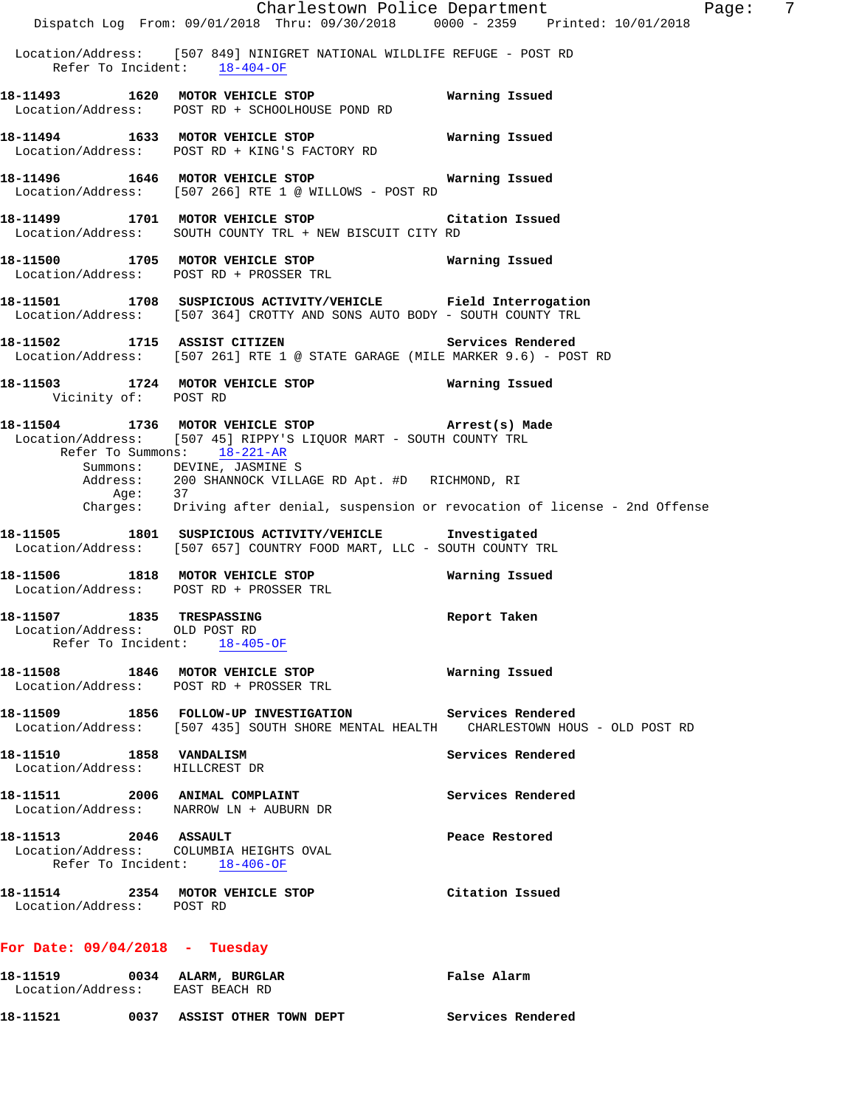|                                                                                                  | Dispatch Log From: 09/01/2018 Thru: 09/30/2018 0000 - 2359 Printed: 10/01/2018                                                                                                     | Charlestown Police Department<br>- 7<br>Page: |
|--------------------------------------------------------------------------------------------------|------------------------------------------------------------------------------------------------------------------------------------------------------------------------------------|-----------------------------------------------|
| Refer To Incident: 18-404-OF                                                                     | Location/Address: [507 849] NINIGRET NATIONAL WILDLIFE REFUGE - POST RD                                                                                                            |                                               |
|                                                                                                  | 18-11493 1620 MOTOR VEHICLE STOP 6 Warning Issued<br>Location/Address: POST RD + SCHOOLHOUSE POND RD                                                                               |                                               |
|                                                                                                  | 18-11494 1633 MOTOR VEHICLE STOP 6 Warning Issued<br>Location/Address: POST RD + KING'S FACTORY RD                                                                                 |                                               |
|                                                                                                  | Location/Address: [507 266] RTE 1 @ WILLOWS - POST RD                                                                                                                              |                                               |
|                                                                                                  | 18-11499 1701 MOTOR VEHICLE STOP Citation Issued<br>Location/Address: SOUTH COUNTY TRL + NEW BISCUIT CITY RD                                                                       |                                               |
|                                                                                                  | 18-11500 1705 MOTOR VEHICLE STOP <b>18-11500</b> Warning Issued<br>Location/Address: POST RD + PROSSER TRL                                                                         |                                               |
|                                                                                                  | 18-11501 1708 SUSPICIOUS ACTIVITY/VEHICLE Field Interrogation<br>Location/Address: [507 364] CROTTY AND SONS AUTO BODY - SOUTH COUNTY TRL                                          |                                               |
|                                                                                                  | 18-11502 1715 ASSIST CITIZEN<br>Location/Address: [507 261] RTE 1 @ STATE GARAGE (MILE MARKER 9.6) - POST RD                                                                       | Services Rendered                             |
| Vicinity of: POST RD                                                                             | 18-11503 1724 MOTOR VEHICLE STOP 6 Warning Issued                                                                                                                                  |                                               |
| Refer To Summons: 18-221-AR                                                                      | 18-11504 1736 MOTOR VEHICLE STOP (Arrest(s) Made<br>Location/Address: [507 45] RIPPY'S LIQUOR MART - SOUTH COUNTY TRL                                                              |                                               |
|                                                                                                  | Summons: DEVINE, JASMINE S<br>Address: 200 SHANNOCK VILLAGE RD Apt. #D RICHMOND, RI<br>Age: 37<br>Charges: Driving after denial, suspension or revocation of license - 2nd Offense |                                               |
|                                                                                                  |                                                                                                                                                                                    |                                               |
|                                                                                                  | 18-11505 1801 SUSPICIOUS ACTIVITY/VEHICLE Investigated<br>Location/Address: [507 657] COUNTRY FOOD MART, LLC - SOUTH COUNTY TRL                                                    |                                               |
| Location/Address: POST RD + PROSSER TRL                                                          | 18-11506 1818 MOTOR VEHICLE STOP                                                                                                                                                   | Warning Issued                                |
| 18-11507 1835 TRESPASSING<br>Location/Address: OLD POST RD<br>Refer To Incident: 18-405-OF       |                                                                                                                                                                                    | Report Taken                                  |
|                                                                                                  | 18-11508 1846 MOTOR VEHICLE STOP<br>Location/Address: POST RD + PROSSER TRL                                                                                                        | Warning Issued                                |
|                                                                                                  | 18-11509 1856 FOLLOW-UP INVESTIGATION Services Rendered<br>Location/Address: [507 435] SOUTH SHORE MENTAL HEALTH CHARLESTOWN HOUS - OLD POST RD                                    |                                               |
| 18-11510 1858 VANDALISM<br>Location/Address: HILLCREST DR                                        |                                                                                                                                                                                    | Services Rendered                             |
| 18-11511 2006 ANIMAL COMPLAINT<br>Location/Address: NARROW LN + AUBURN DR                        |                                                                                                                                                                                    | Services Rendered                             |
| 18-11513 2046 ASSAULT<br>Location/Address: COLUMBIA HEIGHTS OVAL<br>Refer To Incident: 18-406-OF |                                                                                                                                                                                    | Peace Restored                                |
| 18-11514 2354 MOTOR VEHICLE STOP<br>Location/Address: POST RD                                    |                                                                                                                                                                                    | Citation Issued                               |
| For Date: $09/04/2018$ - Tuesday                                                                 |                                                                                                                                                                                    |                                               |
| 18-11519 0034 ALARM, BURGLAR<br>Location/Address: EAST BEACH RD                                  |                                                                                                                                                                                    | False Alarm                                   |

**18-11521 0037 ASSIST OTHER TOWN DEPT Services Rendered**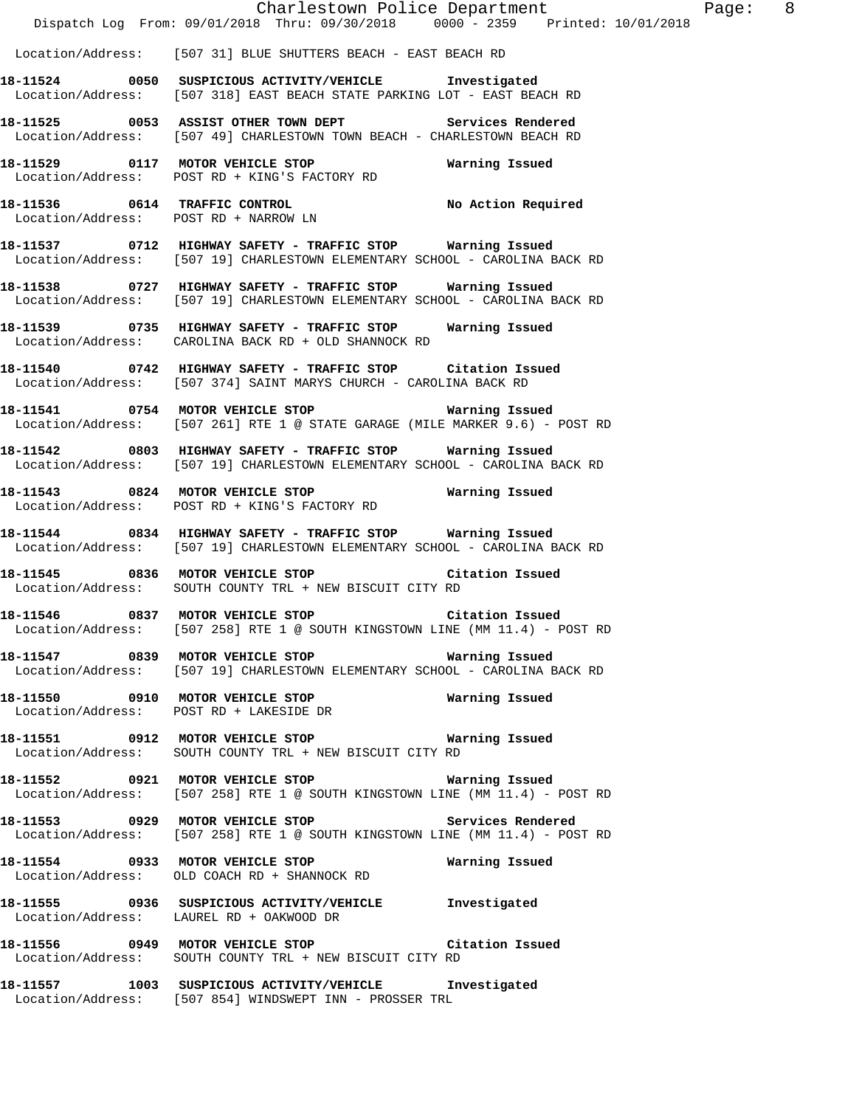| Location/Address: [507 31] BLUE SHUTTERS BEACH - EAST BEACH RD                                                                                                                                               |
|--------------------------------------------------------------------------------------------------------------------------------------------------------------------------------------------------------------|
| 18-11524 0050 SUSPICIOUS ACTIVITY/VEHICLE Investigated<br>Location/Address: [507 318] EAST BEACH STATE PARKING LOT - EAST BEACH RD                                                                           |
| 18-11525 0053 ASSIST OTHER TOWN DEPT Services Rendered<br>Location/Address: [507 49] CHARLESTOWN TOWN BEACH - CHARLESTOWN BEACH RD                                                                           |
|                                                                                                                                                                                                              |
|                                                                                                                                                                                                              |
| 18-11537 0712 HIGHWAY SAFETY - TRAFFIC STOP Warning Issued<br>Location/Address: [507 19] CHARLESTOWN ELEMENTARY SCHOOL - CAROLINA BACK RD                                                                    |
| 18-11538 0727 HIGHWAY SAFETY - TRAFFIC STOP Warning Issued<br>Location/Address: [507 19] CHARLESTOWN ELEMENTARY SCHOOL - CAROLINA BACK RD                                                                    |
| 18-11539 0735 HIGHWAY SAFETY - TRAFFIC STOP Warning Issued<br>Location/Address: CAROLINA BACK RD + OLD SHANNOCK RD                                                                                           |
| 18-11540 0742 HIGHWAY SAFETY - TRAFFIC STOP Citation Issued<br>Location/Address: [507 374] SAINT MARYS CHURCH - CAROLINA BACK RD                                                                             |
| Location/Address: [507 261] RTE 1 @ STATE GARAGE (MILE MARKER 9.6) - POST RD                                                                                                                                 |
| 18-11542 0803 HIGHWAY SAFETY - TRAFFIC STOP Warning Issued<br>18-11542 0803 HIGHWAY SAFETY - TRAFFIC STOP OCHOOL - CAROLINA E<br>Location/Address: [507 19] CHARLESTOWN ELEMENTARY SCHOOL - CAROLINA BACK RD |
| 18-11543 0824 MOTOR VEHICLE STOP <b>Warning Issued</b><br>18-11543 0824 MOTOR VEHICLE STOP<br>Location/Address: POST RD + KING'S FACTORY RD                                                                  |
| 18-11544 0834 HIGHWAY SAFETY - TRAFFIC STOP Warning Issued<br>Location/Address: [507 19] CHARLESTOWN ELEMENTARY SCHOOL - CAROLINA BACK RD                                                                    |
| 18-11545 0836 MOTOR VEHICLE STOP Citation Issued<br>Location/Address: SOUTH COUNTY TRL + NEW BISCUIT CITY RD                                                                                                 |
| <br>18-11546                0837     MOTOR VEHICLE STOP                             Citation Issued<br>Location/Address: [507 258] RTE 1 @ SOUTH KINGSTOWN LINE (MM 11.4) - POST RD                          |
| 18-11547 0839 MOTOR VEHICLE STOP<br>Warning Issued<br>Location/Address: [507 19] CHARLESTOWN ELEMENTARY SCHOOL - CAROLINA BACK RD                                                                            |
| 18-11550 0910 MOTOR VEHICLE STOP 60 Warning Issued<br>Location/Address: POST RD + LAKESIDE DR                                                                                                                |
| 18-11551   0912   MOTOR VEHICLE STOP   Warning Issued<br>Location/Address: SOUTH COUNTY TRL + NEW BISCUIT CITY RD                                                                                            |
| 18-11552 0921 MOTOR VEHICLE STOP <b>WATER</b> Warning Issued<br>Location/Address: [507 258] RTE 1 @ SOUTH KINGSTOWN LINE (MM 11.4) - POST RD                                                                 |
| 18-11553 0929 MOTOR VEHICLE STOP Services Rendered<br>Location/Address: [507 258] RTE 1 @ SOUTH KINGSTOWN LINE (MM 11.4) - POST RD                                                                           |
| 18-11554 0933 MOTOR VEHICLE STOP<br>Warning Issued<br>Location/Address: OLD COACH RD + SHANNOCK RD                                                                                                           |
| 18-11555 0936 SUSPICIOUS ACTIVITY/VEHICLE Investigated<br>Location/Address: LAUREL RD + OAKWOOD DR                                                                                                           |
| 18-11556 0949 MOTOR VEHICLE STOP Citation Issued<br>Location/Address: SOUTH COUNTY TRL + NEW BISCUIT CITY RD                                                                                                 |
| 18-11557 1003 SUSPICIOUS ACTIVITY/VEHICLE Investigated<br>Location/Address: [507 854] WINDSWEPT INN - PROSSER TRL                                                                                            |

Charlestown Police Department The Page: 8

Dispatch Log From: 09/01/2018 Thru: 09/30/2018 0000 - 2359 Printed: 10/01/2018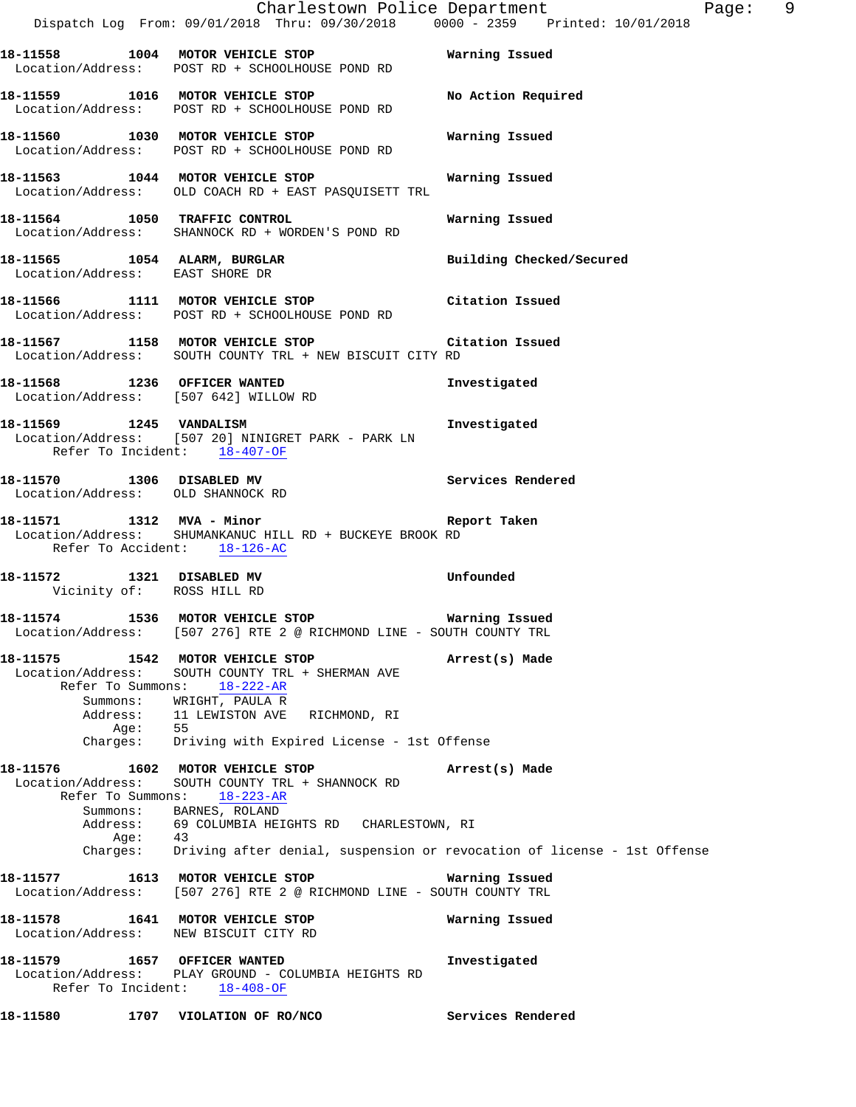|                                                                                                      | Dispatch Log From: 09/01/2018 Thru: 09/30/2018 0000 - 2359 Printed: 10/01/2018                                                                                      | Charlestown Police Department | Page: 9 |  |
|------------------------------------------------------------------------------------------------------|---------------------------------------------------------------------------------------------------------------------------------------------------------------------|-------------------------------|---------|--|
|                                                                                                      | 18-11558 1004 MOTOR VEHICLE STOP 6 Warning Issued<br>Location/Address: POST RD + SCHOOLHOUSE POND RD                                                                |                               |         |  |
|                                                                                                      | 18-11559 1016 MOTOR VEHICLE STOP<br>Location/Address: POST RD + SCHOOLHOUSE POND RD                                                                                 | No Action Required            |         |  |
|                                                                                                      | 18-11560 1030 MOTOR VEHICLE STOP<br>Location/Address: POST RD + SCHOOLHOUSE POND RD                                                                                 | Warning Issued                |         |  |
|                                                                                                      | 18-11563 1044 MOTOR VEHICLE STOP<br>Location/Address: OLD COACH RD + EAST PASQUISETT TRL                                                                            | Warning Issued                |         |  |
|                                                                                                      | 18-11564 1050 TRAFFIC CONTROL<br>Location/Address: SHANNOCK RD + WORDEN'S POND RD                                                                                   | Warning Issued                |         |  |
| 18-11565 1054 ALARM, BURGLAR<br>Location/Address: EAST SHORE DR                                      |                                                                                                                                                                     | Building Checked/Secured      |         |  |
|                                                                                                      | 18-11566 1111 MOTOR VEHICLE STOP Citation Issued<br>Location/Address: POST RD + SCHOOLHOUSE POND RD                                                                 |                               |         |  |
|                                                                                                      | 18-11567 1158 MOTOR VEHICLE STOP Citation Issued<br>Location/Address: SOUTH COUNTY TRL + NEW BISCUIT CITY RD                                                        |                               |         |  |
| Location/Address: [507 642] WILLOW RD                                                                | 18-11568 1236 OFFICER WANTED                                                                                                                                        | Investigated                  |         |  |
| 18-11569 1245 VANDALISM<br>Refer To Incident: 18-407-OF                                              | Location/Address: [507 20] NINIGRET PARK - PARK LN                                                                                                                  | Investigated                  |         |  |
| Location/Address: OLD SHANNOCK RD                                                                    | 18-11570 1306 DISABLED MV                                                                                                                                           | Services Rendered             |         |  |
| Refer To Accident: 18-126-AC                                                                         | 18-11571 1312 MVA - Minor 18-11571 18-11571<br>Location/Address: SHUMANKANUC HILL RD + BUCKEYE BROOK RD                                                             |                               |         |  |
| 18-11572 1321 DISABLED MV<br>Vicinity of: ROSS HILL RD                                               |                                                                                                                                                                     | Unfounded                     |         |  |
| 18-11574 1536 MOTOR VEHICLE STOP                                                                     | <b>Warning Issued</b><br>Location/Address: [507 276] RTE 2 @ RICHMOND LINE - SOUTH COUNTY TRL                                                                       |                               |         |  |
| 18-11575                       1542     MOTOR VEHICLE STOP<br>Location/Address:<br>Refer To Summons: | SOUTH COUNTY TRL + SHERMAN AVE<br>18-222-AR                                                                                                                         | Arrest(s) Made                |         |  |
| Aqe:                                                                                                 | Summons: WRIGHT, PAULA R<br>Address: 11 LEWISTON AVE RICHMOND, RI<br>55<br>Charges: Driving with Expired License - 1st Offense                                      |                               |         |  |
| Location/Address:<br>Refer To Summons:                                                               | 18-11576 1602 MOTOR VEHICLE STOP<br>SOUTH COUNTY TRL + SHANNOCK RD<br>$18 - 223 - AR$<br>Summons: BARNES, ROLAND<br>Address: 69 COLUMBIA HEIGHTS RD CHARLESTOWN, RI | Arrest(s) Made                |         |  |
| Age:                                                                                                 | 43<br>Charges: Driving after denial, suspension or revocation of license - 1st Offense                                                                              |                               |         |  |
|                                                                                                      | 18-11577    1613 MOTOR VEHICLE STOP<br>Location/Address: [507 276] RTE 2 @ RICHMOND LINE - SOUTH COUNTY TRL                                                         | Warning Issued                |         |  |
| Location/Address: NEW BISCUIT CITY RD                                                                | 18-11578 1641 MOTOR VEHICLE STOP                                                                                                                                    | Warning Issued                |         |  |
| 18-11579   1657   OFFICER WANTED                                                                     | Location/Address: PLAY GROUND - COLUMBIA HEIGHTS RD<br>Refer To Incident: 18-408-OF                                                                                 | Investigated                  |         |  |

**18-11580 1707 VIOLATION OF RO/NCO Services Rendered**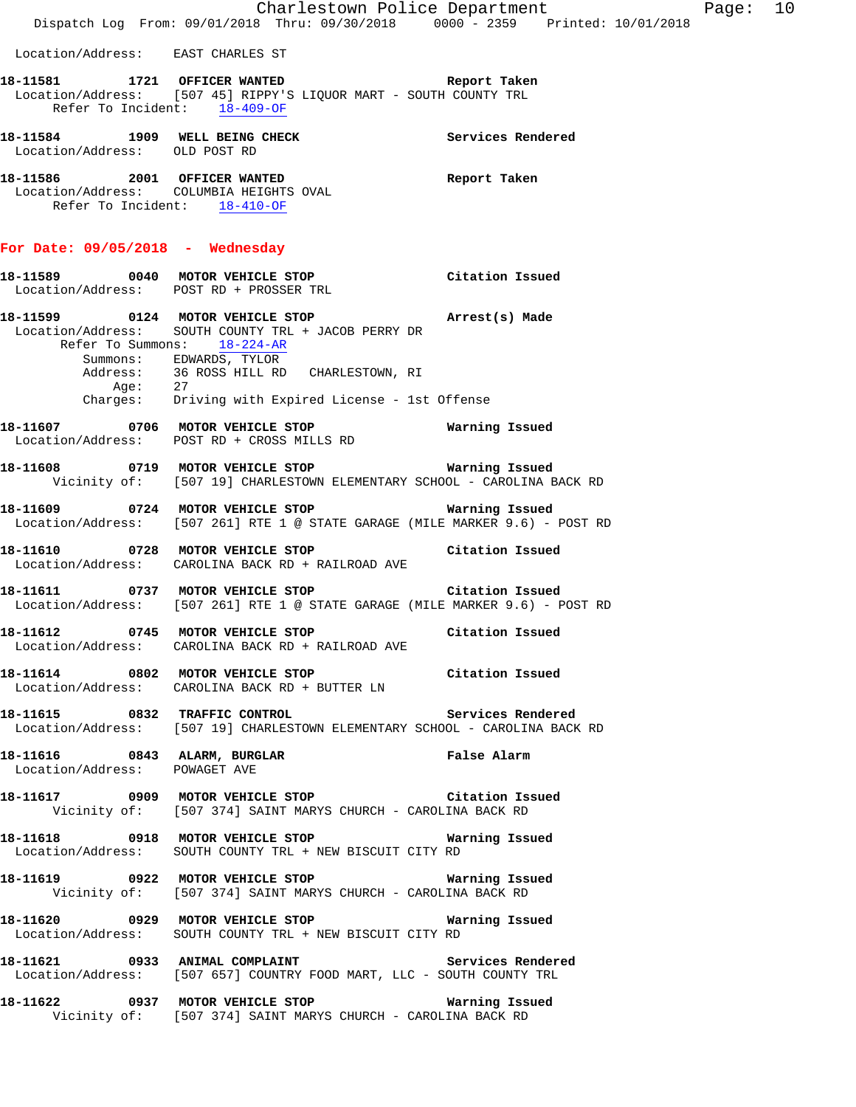|                                   | Dispatch Log From: 09/01/2018 Thru: 09/30/2018 0000 - 2359 Printed: 10/01/2018                                                                                                                                      | Charlestown Police Department | Page: 10 |  |
|-----------------------------------|---------------------------------------------------------------------------------------------------------------------------------------------------------------------------------------------------------------------|-------------------------------|----------|--|
| Location/Address: EAST CHARLES ST |                                                                                                                                                                                                                     |                               |          |  |
|                                   | 18-11581 1721 OFFICER WANTED 18-11581 Report Taken<br>Location/Address: [507 45] RIPPY'S LIQUOR MART - SOUTH COUNTY TRL<br>Refer To Incident: 18-409-OF                                                             |                               |          |  |
| Location/Address: OLD POST RD     | 18-11584 1909 WELL BEING CHECK Services Rendered                                                                                                                                                                    |                               |          |  |
| Refer To Incident: 18-410-OF      | 18-11586 2001 OFFICER WANTED<br>Location/Address: COLUMBIA HEIGHTS OVAL                                                                                                                                             | Report Taken                  |          |  |
| For Date: 09/05/2018 - Wednesday  |                                                                                                                                                                                                                     |                               |          |  |
|                                   | 18-11589 0040 MOTOR VEHICLE STOP<br>Location/Address: POST RD + PROSSER TRL                                                                                                                                         | Citation Issued               |          |  |
|                                   | 18-11599 0124 MOTOR VEHICLE STOP <b>Arrest(s)</b> Made<br>Location/Address: SOUTH COUNTY TRL + JACOB PERRY DR<br>Refer To Summons: 18-224-AR<br>Summons: EDWARDS, TYLOR<br>Address: 36 ROSS HILL RD CHARLESTOWN, RI |                               |          |  |
|                                   | Age: 27<br>Charges: Driving with Expired License - 1st Offense                                                                                                                                                      |                               |          |  |
|                                   | 18-11607 0706 MOTOR VEHICLE STOP<br>Location/Address: POST RD + CROSS MILLS RD                                                                                                                                      | Warning Issued                |          |  |
|                                   | 18-11608 0719 MOTOR VEHICLE STOP Warning Issued<br>Vicinity of: [507 19] CHARLESTOWN ELEMENTARY SCHOOL - CAROLINA BACK RD                                                                                           |                               |          |  |
|                                   | 18-11609 0724 MOTOR VEHICLE STOP 6 Warning Issued<br>Location/Address: [507 261] RTE 1 @ STATE GARAGE (MILE MARKER 9.6) - POST RD                                                                                   |                               |          |  |
|                                   | 18-11610 0728 MOTOR VEHICLE STOP Citation Issued<br>Location/Address: CAROLINA BACK RD + RAILROAD AVE                                                                                                               |                               |          |  |
|                                   | 18-11611 0737 MOTOR VEHICLE STOP Citation Issued<br>Location/Address: [507 261] RTE 1 @ STATE GARAGE (MILE MARKER 9.6) - POST RD                                                                                    |                               |          |  |
|                                   | 18-11612 		 0745 MOTOR VEHICLE STOP 		 Citation Issued<br>Location/Address: CAROLINA BACK RD + RAILROAD AVE                                                                                                         |                               |          |  |
|                                   | 18-11614 0802 MOTOR VEHICLE STOP Citation Issued<br>Location/Address: CAROLINA BACK RD + BUTTER LN                                                                                                                  |                               |          |  |
|                                   | 18-11615 0832 TRAFFIC CONTROL Services Rendered<br>Location/Address: [507 19] CHARLESTOWN ELEMENTARY SCHOOL - CAROLINA BACK RD                                                                                      |                               |          |  |
| Location/Address: POWAGET AVE     | 18-11616 1843 ALARM, BURGLAR 1988 1999 Palse Alarm                                                                                                                                                                  |                               |          |  |
|                                   | 18-11617   0909   MOTOR VEHICLE STOP   Citation Issued<br>Vicinity of: [507 374] SAINT MARYS CHURCH - CAROLINA BACK RD                                                                                              |                               |          |  |
|                                   | Location/Address: SOUTH COUNTY TRL + NEW BISCUIT CITY RD                                                                                                                                                            |                               |          |  |
|                                   | Vicinity of: [507 374] SAINT MARYS CHURCH - CAROLINA BACK RD                                                                                                                                                        |                               |          |  |
|                                   | Location/Address: SOUTH COUNTY TRL + NEW BISCUIT CITY RD                                                                                                                                                            |                               |          |  |
|                                   | Location/Address: [507 657] COUNTRY FOOD MART, LLC - SOUTH COUNTY TRL                                                                                                                                               |                               |          |  |
|                                   | 18-11622   0937 MOTOR VEHICLE STOP   Warning Issued<br>Vicinity of: [507 374] SAINT MARYS CHURCH - CAROLINA BACK RD                                                                                                 |                               |          |  |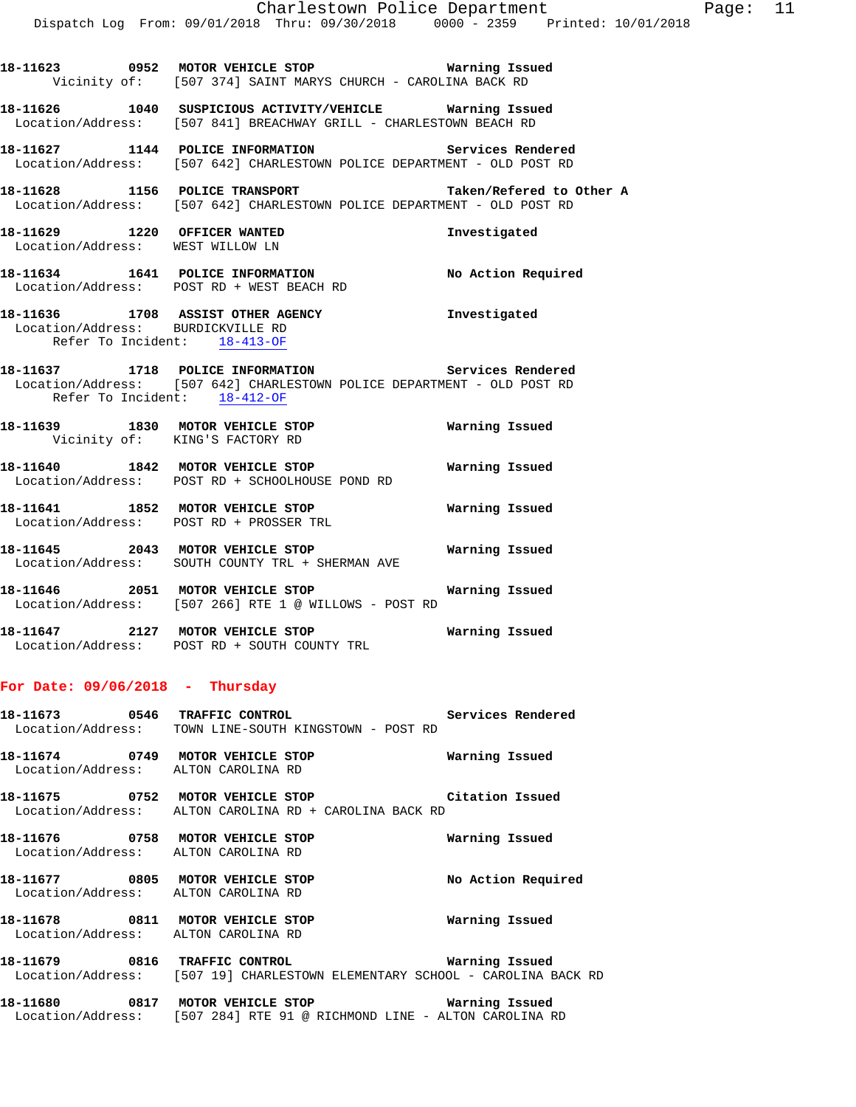**18-11623 0952 MOTOR VEHICLE STOP Warning Issued**  Vicinity of: [507 374] SAINT MARYS CHURCH - CAROLINA BACK RD **18-11626 1040 SUSPICIOUS ACTIVITY/VEHICLE Warning Issued**  Location/Address: [507 841] BREACHWAY GRILL - CHARLESTOWN BEACH RD

**18-11627 1144 POLICE INFORMATION Services Rendered**  Location/Address: [507 642] CHARLESTOWN POLICE DEPARTMENT - OLD POST RD 18-11628 1156 POLICE TRANSPORT **18-11628** Taken/Refered to Other A Location/Address: [507 642] CHARLESTOWN POLICE DEPARTMENT - OLD POST RD **18-11629 1220 OFFICER WANTED Investigated**  Location/Address: WEST WILLOW LN **18-11634 1641 POLICE INFORMATION No Action Required**  Location/Address: POST RD + WEST BEACH RD **18-11636 1708 ASSIST OTHER AGENCY Investigated**  Location/Address: BURDICKVILLE RD Refer To Incident: 18-413-OF **18-11637 1718 POLICE INFORMATION Services Rendered**  Location/Address: [507 642] CHARLESTOWN POLICE DEPARTMENT - OLD POST RD Refer To Incident: 18-412-OF **18-11639 1830 MOTOR VEHICLE STOP Warning Issued**  Vicinity of: KING'S FACTORY RD **18-11640 1842 MOTOR VEHICLE STOP Warning Issued**  Location/Address: POST RD + SCHOOLHOUSE POND RD **18-11641 1852 MOTOR VEHICLE STOP Warning Issued**  Location/Address: POST RD + PROSSER TRL **18-11645 2043 MOTOR VEHICLE STOP Warning Issued**  Location/Address: SOUTH COUNTY TRL + SHERMAN AVE **18-11646 2051 MOTOR VEHICLE STOP Warning Issued**  Location/Address: [507 266] RTE 1 @ WILLOWS - POST RD **18-11647 2127 MOTOR VEHICLE STOP Warning Issued**  Location/Address: POST RD + SOUTH COUNTY TRL

# **For Date: 09/06/2018 - Thursday**

**18-11673 0546 TRAFFIC CONTROL Services Rendered**  Location/Address: TOWN LINE-SOUTH KINGSTOWN - POST RD

**18-11674 0749 MOTOR VEHICLE STOP Warning Issued**  Location/Address: ALTON CAROLINA RD

**18-11675 0752 MOTOR VEHICLE STOP Citation Issued**  Location/Address: ALTON CAROLINA RD + CAROLINA BACK RD

**18-11676 0758 MOTOR VEHICLE STOP Warning Issued**  Location/Address: ALTON CAROLINA RD

**18-11677 0805 MOTOR VEHICLE STOP No Action Required**  Location/Address: ALTON CAROLINA RD

**18-11678 0811 MOTOR VEHICLE STOP Warning Issued**  Location/Address: ALTON CAROLINA RD

**18-11679 0816 TRAFFIC CONTROL Warning Issued**  Location/Address: [507 19] CHARLESTOWN ELEMENTARY SCHOOL - CAROLINA BACK RD

**18-11680 0817 MOTOR VEHICLE STOP Warning Issued**  Location/Address: [507 284] RTE 91 @ RICHMOND LINE - ALTON CAROLINA RD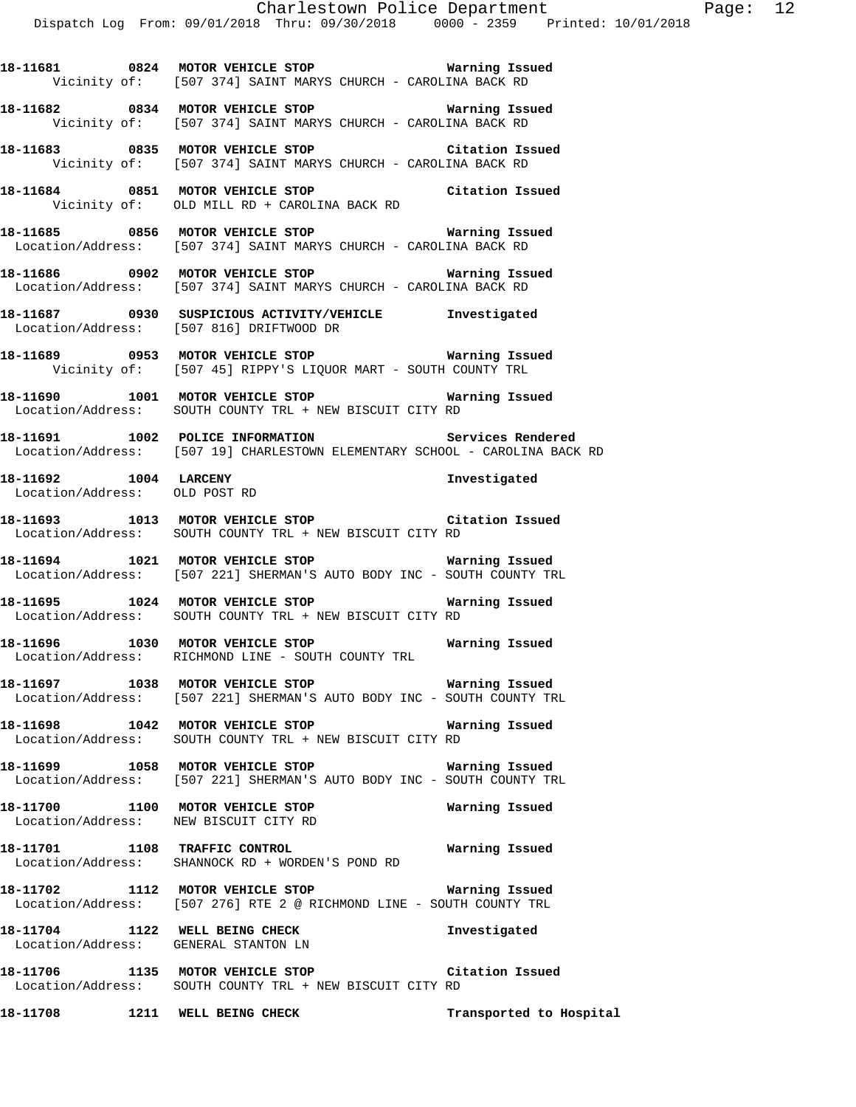**18-11681 0824 MOTOR VEHICLE STOP Warning Issued** 

 Vicinity of: [507 374] SAINT MARYS CHURCH - CAROLINA BACK RD **18-11682 0834 MOTOR VEHICLE STOP Warning Issued**  Vicinity of: [507 374] SAINT MARYS CHURCH - CAROLINA BACK RD **18-11683 0835 MOTOR VEHICLE STOP Citation Issued**  Vicinity of: [507 374] SAINT MARYS CHURCH - CAROLINA BACK RD **18-11684 0851 MOTOR VEHICLE STOP Citation Issued**  Vicinity of: OLD MILL RD + CAROLINA BACK RD **18-11685 0856 MOTOR VEHICLE STOP Warning Issued**  Location/Address: [507 374] SAINT MARYS CHURCH - CAROLINA BACK RD **18-11686 0902 MOTOR VEHICLE STOP Warning Issued**  Location/Address: [507 374] SAINT MARYS CHURCH - CAROLINA BACK RD **18-11687 0930 SUSPICIOUS ACTIVITY/VEHICLE Investigated**  Location/Address: [507 816] DRIFTWOOD DR **18-11689 0953 MOTOR VEHICLE STOP Warning Issued**  Vicinity of: [507 45] RIPPY'S LIQUOR MART - SOUTH COUNTY TRL **18-11690 1001 MOTOR VEHICLE STOP Warning Issued**  Location/Address: SOUTH COUNTY TRL + NEW BISCUIT CITY RD **18-11691 1002 POLICE INFORMATION Services Rendered**  Location/Address: [507 19] CHARLESTOWN ELEMENTARY SCHOOL - CAROLINA BACK RD **18-11692 1004 LARCENY Investigated**  Location/Address: OLD POST RD **18-11693 1013 MOTOR VEHICLE STOP Citation Issued**  Location/Address: SOUTH COUNTY TRL + NEW BISCUIT CITY RD **18-11694 1021 MOTOR VEHICLE STOP Warning Issued**  Location/Address: [507 221] SHERMAN'S AUTO BODY INC - SOUTH COUNTY TRL **18-11695 1024 MOTOR VEHICLE STOP Warning Issued**  Location/Address: SOUTH COUNTY TRL + NEW BISCUIT CITY RD **18-11696 1030 MOTOR VEHICLE STOP Warning Issued**  Location/Address: RICHMOND LINE - SOUTH COUNTY TRL **18-11697 1038 MOTOR VEHICLE STOP Warning Issued**  Location/Address: [507 221] SHERMAN'S AUTO BODY INC - SOUTH COUNTY TRL **18-11698 1042 MOTOR VEHICLE STOP Warning Issued**  Location/Address: SOUTH COUNTY TRL + NEW BISCUIT CITY RD **18-11699 1058 MOTOR VEHICLE STOP Warning Issued**  Location/Address: [507 221] SHERMAN'S AUTO BODY INC - SOUTH COUNTY TRL **18-11700 1100 MOTOR VEHICLE STOP Warning Issued**  Location/Address: NEW BISCUIT CITY RD **18-11701 1108 TRAFFIC CONTROL Warning Issued**  Location/Address: SHANNOCK RD + WORDEN'S POND RD **18-11702 1112 MOTOR VEHICLE STOP Warning Issued**  Location/Address: [507 276] RTE 2 @ RICHMOND LINE - SOUTH COUNTY TRL **18-11704 1122 WELL BEING CHECK Investigated**  Location/Address: GENERAL STANTON LN **18-11706 1135 MOTOR VEHICLE STOP Citation Issued**  Location/Address: SOUTH COUNTY TRL + NEW BISCUIT CITY RD **18-11708 1211 WELL BEING CHECK Transported to Hospital**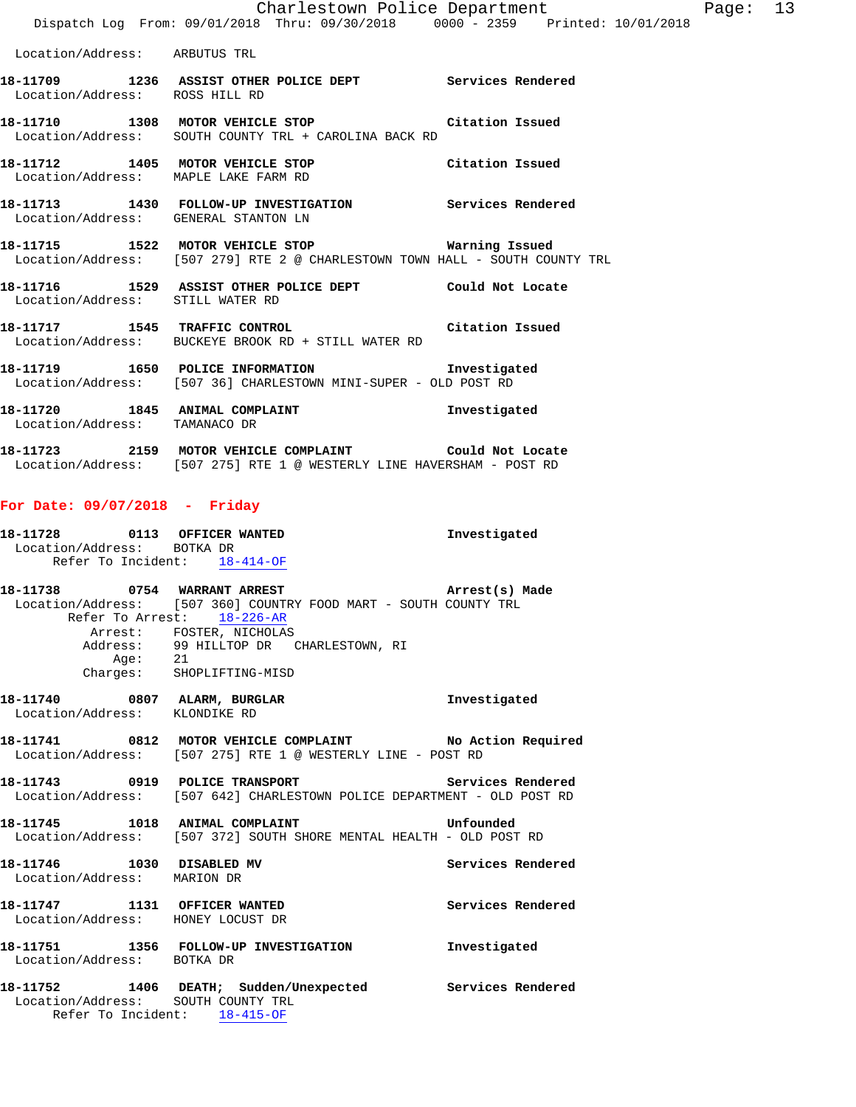|                                  | Charlestown Police Department                                                                                       |              |
|----------------------------------|---------------------------------------------------------------------------------------------------------------------|--------------|
|                                  | Dispatch Log From: 09/01/2018 Thru: 09/30/2018 0000 - 2359 Printed: 10/01/2018                                      |              |
| Location/Address: ARBUTUS TRL    |                                                                                                                     |              |
| Location/Address: ROSS HILL RD   | 18-11709 1236 ASSIST OTHER POLICE DEPT Services Rendered                                                            |              |
|                                  | 18-11710 1308 MOTOR VEHICLE STOP 18-11710<br>Location/Address: SOUTH COUNTY TRL + CAROLINA BACK RD                  |              |
|                                  | 18-11712 1405 MOTOR VEHICLE STOP Citation Issued<br>Location/Address: MAPLE LAKE FARM RD                            |              |
|                                  | 18-11713 1430 FOLLOW-UP INVESTIGATION Services Rendered<br>Location/Address: GENERAL STANTON LN                     |              |
|                                  | Location/Address: [507 279] RTE 2 @ CHARLESTOWN TOWN HALL - SOUTH COUNTY TRL                                        |              |
| Location/Address: STILL WATER RD | 18-11716 1529 ASSIST OTHER POLICE DEPT Could Not Locate                                                             |              |
|                                  | 18-11717 1545 TRAFFIC CONTROL 18-11717 15 1546<br>Location/Address: BUCKEYE BROOK RD + STILL WATER RD               |              |
|                                  | 18-11719 1650 POLICE INFORMATION 10 Investigated<br>Location/Address: [507 36] CHARLESTOWN MINI-SUPER - OLD POST RD |              |
| Location/Address: TAMANACO DR    | 18-11720 1845 ANIMAL COMPLAINT                                                                                      | Investigated |
|                                  |                                                                                                                     |              |

**18-11723 2159 MOTOR VEHICLE COMPLAINT Could Not Locate**  Location/Address: [507 275] RTE 1 @ WESTERLY LINE HAVERSHAM - POST RD

## **For Date: 09/07/2018 - Friday**

| 18–11728          | 0113               |          | <b>OFFICER WANTED</b> | Investigated |
|-------------------|--------------------|----------|-----------------------|--------------|
| Location/Address: |                    | BOTKA DR |                       |              |
|                   | Refer To Incident: |          | 18-414-OF             |              |

| 18–11738 | 0754 WARRANT ARREST                                              | Arrest(s) Made |
|----------|------------------------------------------------------------------|----------------|
|          | Location/Address: [507 360] COUNTRY FOOD MART - SOUTH COUNTY TRL |                |
|          | Refer To Arrest: 18-226-AR                                       |                |
|          | Arrest: FOSTER, NICHOLAS                                         |                |
|          | Address: 99 HILLTOP DR CHARLESTOWN, RI                           |                |
| Age:     | 21                                                               |                |
|          | Charges: SHOPLIFTING-MISD                                        |                |

**18-11740 0807 ALARM, BURGLAR Investigated**  Location/Address: KLONDIKE RD

**18-11741 0812 MOTOR VEHICLE COMPLAINT No Action Required**  Location/Address: [507 275] RTE 1 @ WESTERLY LINE - POST RD

**18-11743 0919 POLICE TRANSPORT Services Rendered**  Location/Address: [507 642] CHARLESTOWN POLICE DEPARTMENT - OLD POST RD

**18-11745 1018 ANIMAL COMPLAINT Unfounded**  Location/Address: [507 372] SOUTH SHORE MENTAL HEALTH - OLD POST RD

**18-11746 1030 DISABLED MV Services Rendered**  Location/Address: MARION DR **18-11747 1131 OFFICER WANTED Services Rendered**  Location/Address: HONEY LOCUST DR **18-11751 1356 FOLLOW-UP INVESTIGATION Investigated**  Location/Address: BOTKA DR

**18-11752 1406 DEATH; Sudden/Unexpected Services Rendered**  Location/Address: SOUTH COUNTY TRL Refer To Incident: 18-415-OF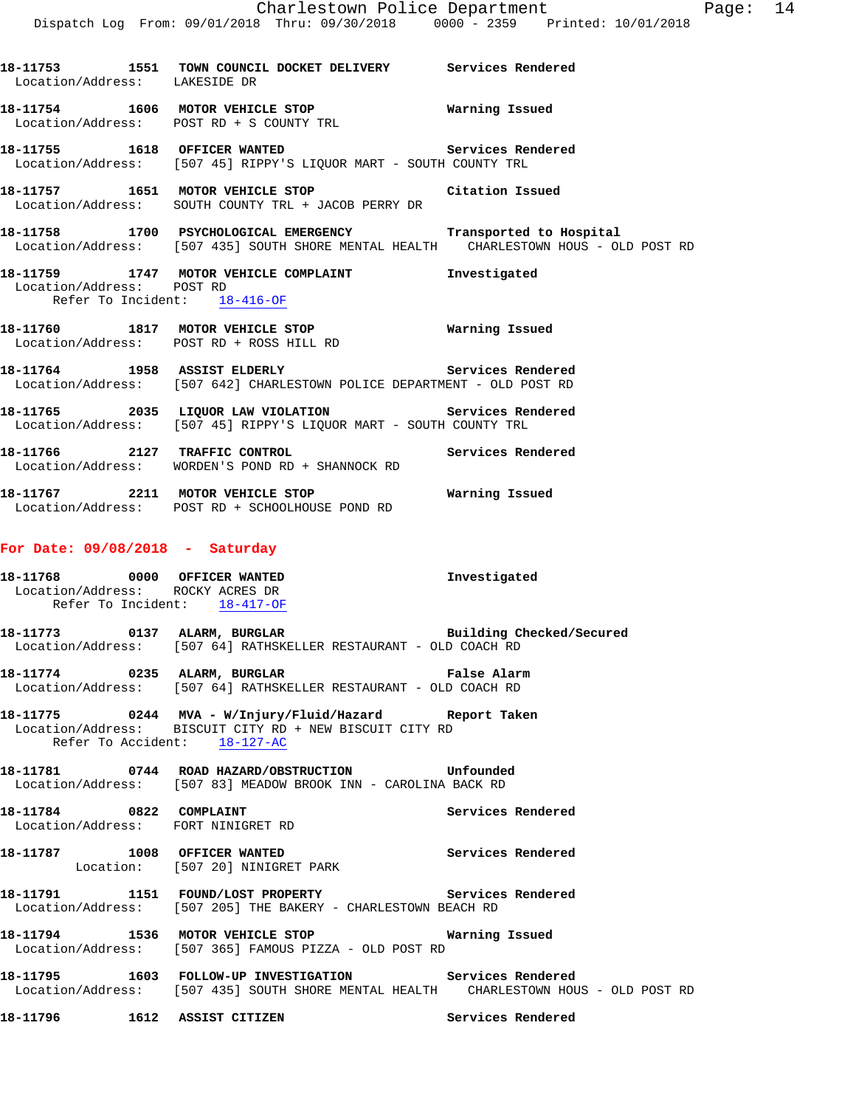**18-11755 1618 OFFICER WANTED Services Rendered**  Location/Address: [507 45] RIPPY'S LIQUOR MART - SOUTH COUNTY TRL

**18-11757 1651 MOTOR VEHICLE STOP Citation Issued**  Location/Address: SOUTH COUNTY TRL + JACOB PERRY DR

Location/Address: POST RD + S COUNTY TRL

- **18-11758 1700 PSYCHOLOGICAL EMERGENCY Transported to Hospital**  Location/Address: [507 435] SOUTH SHORE MENTAL HEALTH CHARLESTOWN HOUS - OLD POST RD
- **18-11759 1747 MOTOR VEHICLE COMPLAINT Investigated**  Location/Address: POST RD Refer To Incident: 18-416-OF
- **18-11760 1817 MOTOR VEHICLE STOP Warning Issued**  Location/Address: POST RD + ROSS HILL RD
- **18-11764 1958 ASSIST ELDERLY Services Rendered**  Location/Address: [507 642] CHARLESTOWN POLICE DEPARTMENT - OLD POST RD
- **18-11765 2035 LIQUOR LAW VIOLATION Services Rendered**  Location/Address: [507 45] RIPPY'S LIQUOR MART - SOUTH COUNTY TRL

**18-11766 2127 TRAFFIC CONTROL Services Rendered**  Location/Address: WORDEN'S POND RD + SHANNOCK RD

**18-11767 2211 MOTOR VEHICLE STOP Warning Issued**  Location/Address: POST RD + SCHOOLHOUSE POND RD

#### **For Date: 09/08/2018 - Saturday**

**18-11768 0000 OFFICER WANTED Investigated**  Location/Address: ROCKY ACRES DR Refer To Incident: 18-417-OF

**18-11773 0137 ALARM, BURGLAR Building Checked/Secured**  Location/Address: [507 64] RATHSKELLER RESTAURANT - OLD COACH RD

- **18-11774 0235 ALARM, BURGLAR False Alarm**  Location/Address: [507 64] RATHSKELLER RESTAURANT - OLD COACH RD
- **18-11775 0244 MVA W/Injury/Fluid/Hazard Report Taken**  Location/Address: BISCUIT CITY RD + NEW BISCUIT CITY RD Refer To Accident: 18-127-AC
- **18-11781 0744 ROAD HAZARD/OBSTRUCTION Unfounded**  Location/Address: [507 83] MEADOW BROOK INN - CAROLINA BACK RD
- 18-11784 0822 COMPLAINT Services Rendered Location/Address: FORT NINIGRET RD
- **18-11787 1008 OFFICER WANTED Services Rendered**  Location: [507 20] NINIGRET PARK
- **18-11791 1151 FOUND/LOST PROPERTY Services Rendered**  Location/Address: [507 205] THE BAKERY - CHARLESTOWN BEACH RD
- **18-11794 1536 MOTOR VEHICLE STOP Warning Issued**  Location/Address: [507 365] FAMOUS PIZZA - OLD POST RD
- **18-11795 1603 FOLLOW-UP INVESTIGATION Services Rendered**  Location/Address: [507 435] SOUTH SHORE MENTAL HEALTH CHARLESTOWN HOUS - OLD POST RD
- **18-11796 1612 ASSIST CITIZEN Services Rendered**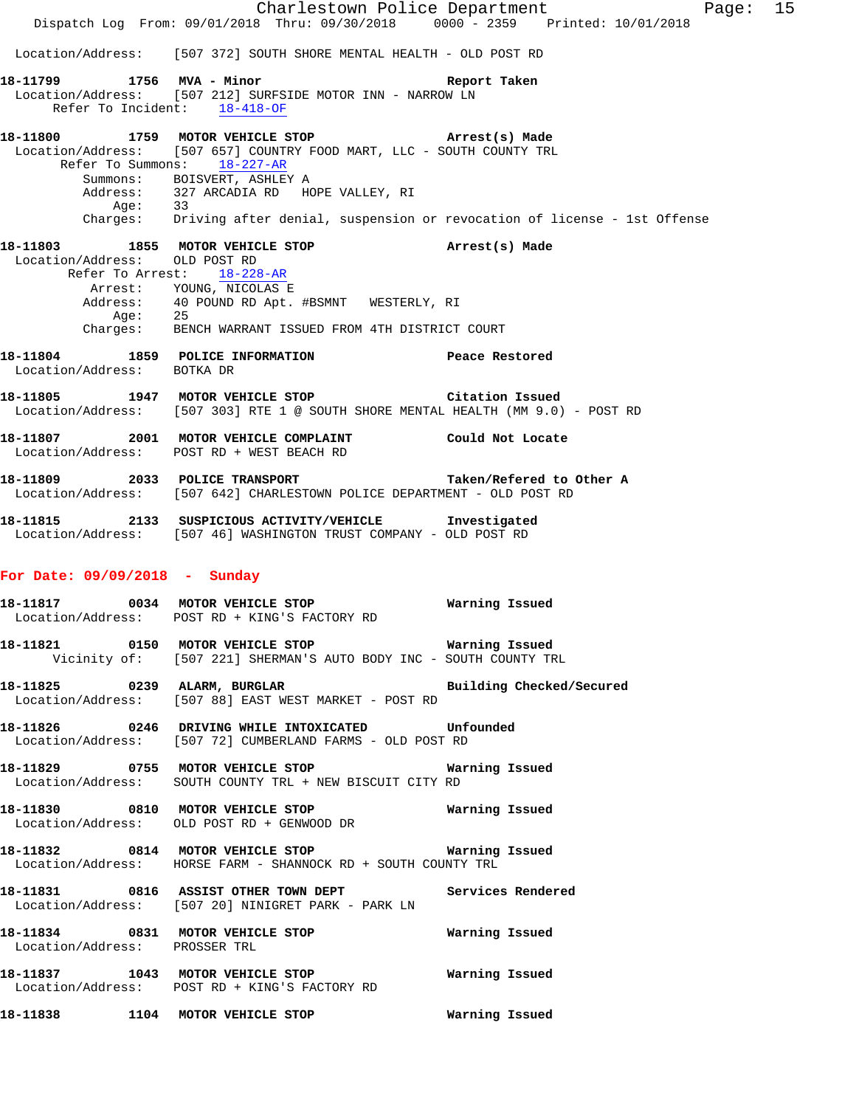|                                 | Dispatch Log From: 09/01/2018 Thru: 09/30/2018 0000 - 2359 Printed: 10/01/2018                                                                                           | Charlestown Police Department<br>Page: 15 |
|---------------------------------|--------------------------------------------------------------------------------------------------------------------------------------------------------------------------|-------------------------------------------|
|                                 | Location/Address: [507 372] SOUTH SHORE MENTAL HEALTH - OLD POST RD                                                                                                      |                                           |
| 18-11799 1756 MVA - Minor       |                                                                                                                                                                          | Report Taken                              |
| Refer To Incident: 18-418-OF    | Location/Address: [507 212] SURFSIDE MOTOR INN - NARROW LN                                                                                                               |                                           |
|                                 | 18-11800 1759 MOTOR VEHICLE STOP <b>Example 2</b> Arrest(s) Made<br>Location/Address: [507 657] COUNTRY FOOD MART, LLC - SOUTH COUNTY TRL<br>Refer To Summons: 18-227-AR |                                           |
|                                 | Summons: BOISVERT, ASHLEY A<br>Address: 327 ARCADIA RD HOPE VALLEY, RI<br>Age: 33<br>Charges: Driving after denial, suspension or revocation of license - 1st Offense    |                                           |
| Location/Address: OLD POST RD   | 18-11803 1855 MOTOR VEHICLE STOP (Arrest(s) Made                                                                                                                         |                                           |
|                                 | Refer To Arrest: 18-228-AR                                                                                                                                               |                                           |
|                                 | Arrest: YOUNG, NICOLAS E<br>Address: 40 POUND RD Apt. #BSMNT WESTERLY, RI<br>Age: 25                                                                                     |                                           |
|                                 | Charges: BENCH WARRANT ISSUED FROM 4TH DISTRICT COURT                                                                                                                    |                                           |
| Location/Address: BOTKA DR      | 18-11804 1859 POLICE INFORMATION Peace Restored                                                                                                                          |                                           |
|                                 | 18-11805 1947 MOTOR VEHICLE STOP Citation Issued<br>Location/Address: [507 303] RTE 1 @ SOUTH SHORE MENTAL HEALTH (MM 9.0) - POST RD                                     |                                           |
|                                 | 18-11807 2001 MOTOR VEHICLE COMPLAINT Could Not Locate<br>Location/Address: POST RD + WEST BEACH RD                                                                      |                                           |
|                                 | 18-11809 2033 POLICE TRANSPORT<br>Location/Address: [507 642] CHARLESTOWN POLICE DEPARTMENT - OLD POST RD                                                                | Taken/Refered to Other A                  |
|                                 | 18-11815 2133 SUSPICIOUS ACTIVITY/VEHICLE Investigated<br>Location/Address: [507 46] WASHINGTON TRUST COMPANY - OLD POST RD                                              |                                           |
| For Date: $09/09/2018$ - Sunday |                                                                                                                                                                          |                                           |
|                                 | 18-11817 0034 MOTOR VEHICLE STOP<br>Location/Address: POST RD + KING'S FACTORY RD                                                                                        | Warning Issued                            |
|                                 | Vicinity of: [507 221] SHERMAN'S AUTO BODY INC - SOUTH COUNTY TRL                                                                                                        |                                           |
|                                 | 18-11825 0239 ALARM, BURGLAR BURGER Building Checked/Secured<br>Location/Address: [507 88] EAST WEST MARKET - POST RD                                                    |                                           |
|                                 | 18-11826  0246 DRIVING WHILE INTOXICATED  Unfounded<br>Location/Address: [507 72] CUMBERLAND FARMS - OLD POST RD                                                         |                                           |
|                                 | Location/Address: SOUTH COUNTY TRL + NEW BISCUIT CITY RD                                                                                                                 |                                           |
|                                 | Location/Address: OLD POST RD + GENWOOD DR                                                                                                                               |                                           |
|                                 | 18-11832 0814 MOTOR VEHICLE STOP <b>WATER WATER</b><br>Location/Address: HORSE FARM - SHANNOCK RD + SOUTH COUNTY TRL                                                     |                                           |
|                                 | 18-11831 6816 ASSIST OTHER TOWN DEPT Services Rendered<br>Location/Address: [507 20] NINIGRET PARK - PARK LN                                                             |                                           |
| Location/Address: PROSSER TRL   |                                                                                                                                                                          |                                           |
|                                 | Location/Address: POST RD + KING'S FACTORY RD                                                                                                                            |                                           |
|                                 |                                                                                                                                                                          |                                           |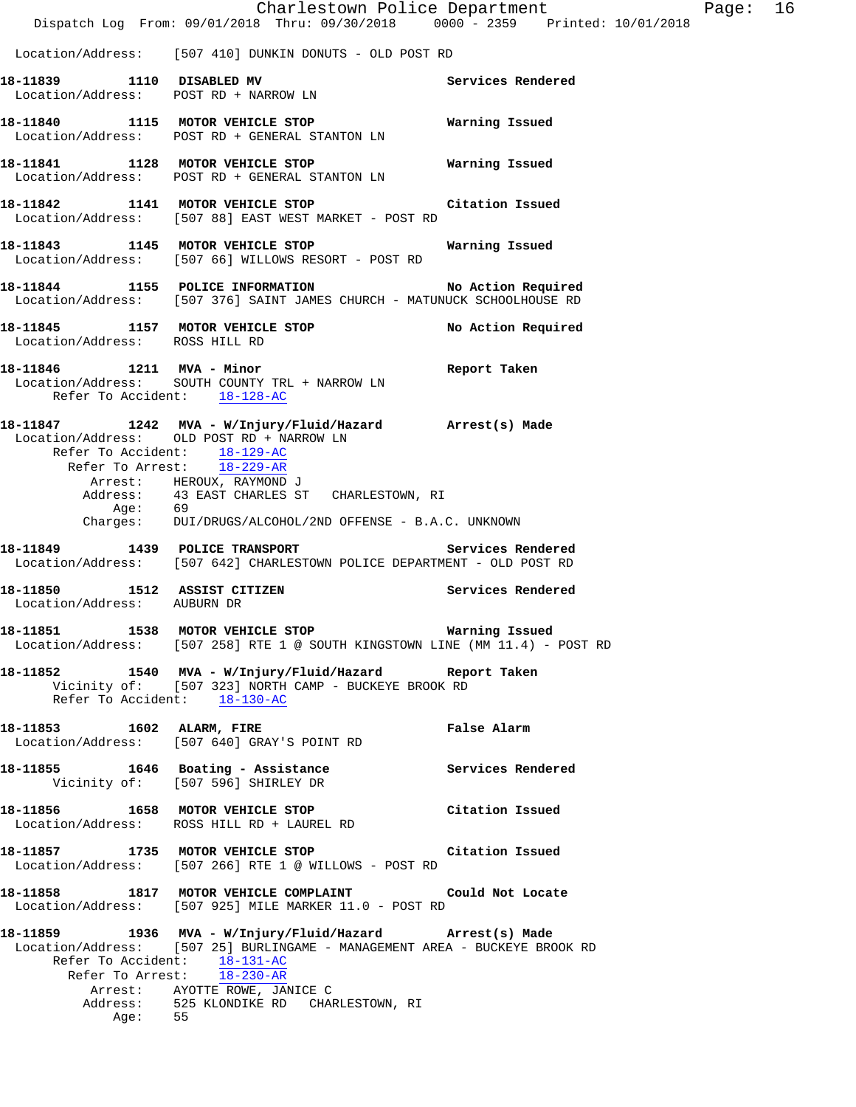|                                                             | Dispatch Log From: 09/01/2018 Thru: 09/30/2018 0000 - 2359 Printed: 10/01/2018                                                                                                                                                                                                                     | Charlestown Police Department | Page: | 16 |
|-------------------------------------------------------------|----------------------------------------------------------------------------------------------------------------------------------------------------------------------------------------------------------------------------------------------------------------------------------------------------|-------------------------------|-------|----|
|                                                             | Location/Address: [507 410] DUNKIN DONUTS - OLD POST RD                                                                                                                                                                                                                                            |                               |       |    |
|                                                             | 18-11839 1110 DISABLED MV<br>Location/Address: POST RD + NARROW LN                                                                                                                                                                                                                                 | Services Rendered             |       |    |
|                                                             | 18-11840 1115 MOTOR VEHICLE STOP<br>Location/Address: POST RD + GENERAL STANTON LN                                                                                                                                                                                                                 | Warning Issued                |       |    |
|                                                             | 18-11841 1128 MOTOR VEHICLE STOP<br>Location/Address: POST RD + GENERAL STANTON LN                                                                                                                                                                                                                 | Warning Issued                |       |    |
|                                                             | 18-11842 1141 MOTOR VEHICLE STOP Citation Issued<br>Location/Address: [507 88] EAST WEST MARKET - POST RD                                                                                                                                                                                          |                               |       |    |
|                                                             | 18-11843 1145 MOTOR VEHICLE STOP<br>Location/Address: [507 66] WILLOWS RESORT - POST RD                                                                                                                                                                                                            | Warning Issued                |       |    |
|                                                             | 18-11844 1155 POLICE INFORMATION No Action Required<br>Location/Address: [507 376] SAINT JAMES CHURCH - MATUNUCK SCHOOLHOUSE RD                                                                                                                                                                    |                               |       |    |
| Location/Address: ROSS HILL RD                              | 18-11845 1157 MOTOR VEHICLE STOP                                                                                                                                                                                                                                                                   | No Action Required            |       |    |
| Refer To Accident: 18-128-AC                                | 18-11846   1211   MVA - Minor<br>Location/Address: SOUTH COUNTY TRL + NARROW LN                                                                                                                                                                                                                    | Report Taken                  |       |    |
| Refer To Accident: 18-129-AC<br>Age: 69                     | 18-11847 1242 MVA - W/Injury/Fluid/Hazard Arrest(s) Made<br>Location/Address: OLD POST RD + NARROW LN<br>Refer To Arrest: $\frac{18-229 - AR}{18-229 - AR}$<br>Arrest: HEROUX, RAYMOND J<br>Address: 43 EAST CHARLES ST CHARLESTOWN, RI<br>Charges: DUI/DRUGS/ALCOHOL/2ND OFFENSE - B.A.C. UNKNOWN |                               |       |    |
| 18-11849 1439 POLICE TRANSPORT                              | Location/Address: [507 642] CHARLESTOWN POLICE DEPARTMENT - OLD POST RD                                                                                                                                                                                                                            | Services Rendered             |       |    |
| 18-11850 1512 ASSIST CITIZEN<br>Location/Address: AUBURN DR |                                                                                                                                                                                                                                                                                                    | Services Rendered             |       |    |
|                                                             | 18-11851   1538 MOTOR VEHICLE STOP   Warning Issued<br>Location/Address: [507 258] RTE 1 @ SOUTH KINGSTOWN LINE (MM 11.4) - POST RD                                                                                                                                                                |                               |       |    |
| Refer To Accident: 18-130-AC                                | 18-11852 1540 MVA - W/Injury/Fluid/Hazard Report Taken<br>Vicinity of: [507 323] NORTH CAMP - BUCKEYE BROOK RD                                                                                                                                                                                     |                               |       |    |
| 18-11853 1602 ALARM, FIRE                                   | Location/Address: [507 640] GRAY'S POINT RD                                                                                                                                                                                                                                                        | False Alarm                   |       |    |
|                                                             | 18-11855 1646 Boating - Assistance Services Rendered<br>Vicinity of: [507 596] SHIRLEY DR                                                                                                                                                                                                          |                               |       |    |
|                                                             | 18-11856 1658 MOTOR VEHICLE STOP Citation Issued<br>Location/Address: ROSS HILL RD + LAUREL RD                                                                                                                                                                                                     |                               |       |    |
|                                                             | 18-11857 1735 MOTOR VEHICLE STOP Citation Issued<br>Location/Address: [507 266] RTE 1 @ WILLOWS - POST RD                                                                                                                                                                                          |                               |       |    |
|                                                             | 18-11858 1817 MOTOR VEHICLE COMPLAINT Could Not Locate<br>Location/Address: [507 925] MILE MARKER 11.0 - POST RD                                                                                                                                                                                   |                               |       |    |
| Refer To Accident: 18-131-AC<br>Age: $55$                   | 18-11859 1936 MVA - W/Injury/Fluid/Hazard Arrest(s) Made<br>Location/Address: [507 25] BURLINGAME - MANAGEMENT AREA - BUCKEYE BROOK RD<br>Refer To Arrest: 18-230-AR<br>Arrest: AYOTTE ROWE, JANICE C<br>Address: 525 KLONDIKE RD CHARLESTOWN, RI                                                  |                               |       |    |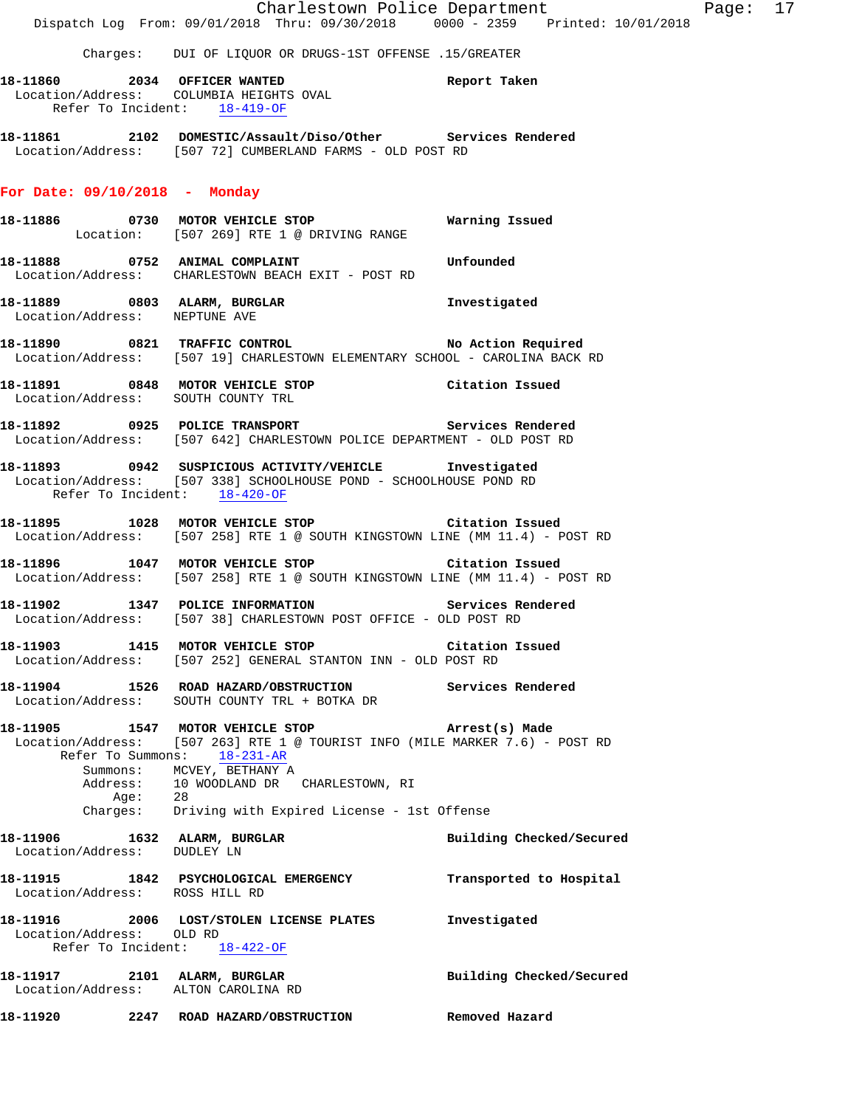Charlestown Police Department Fage: 17 Dispatch Log From: 09/01/2018 Thru: 09/30/2018 0000 - 2359 Printed: 10/01/2018 Charges: DUI OF LIQUOR OR DRUGS-1ST OFFENSE .15/GREATER **18-11860 2034 OFFICER WANTED Report Taken**  Location/Address: COLUMBIA HEIGHTS OVAL Refer To Incident: 18-419-OF **18-11861 2102 DOMESTIC/Assault/Diso/Other Services Rendered**  Location/Address: [507 72] CUMBERLAND FARMS - OLD POST RD **For Date: 09/10/2018 - Monday 18-11886 0730 MOTOR VEHICLE STOP Warning Issued**  Location: [507 269] RTE 1 @ DRIVING RANGE **18-11888 0752 ANIMAL COMPLAINT Unfounded**  Location/Address: CHARLESTOWN BEACH EXIT - POST RD **18-11889 0803 ALARM, BURGLAR Investigated**  Location/Address: NEPTUNE AVE **18-11890 0821 TRAFFIC CONTROL No Action Required**  Location/Address: [507 19] CHARLESTOWN ELEMENTARY SCHOOL - CAROLINA BACK RD **18-11891 0848 MOTOR VEHICLE STOP Citation Issued**  Location/Address: SOUTH COUNTY TRL **18-11892 0925 POLICE TRANSPORT Services Rendered**  Location/Address: [507 642] CHARLESTOWN POLICE DEPARTMENT - OLD POST RD **18-11893 0942 SUSPICIOUS ACTIVITY/VEHICLE Investigated**  Location/Address: [507 338] SCHOOLHOUSE POND - SCHOOLHOUSE POND RD Refer To Incident: 18-420-OF **18-11895 1028 MOTOR VEHICLE STOP Citation Issued**  Location/Address: [507 258] RTE 1 @ SOUTH KINGSTOWN LINE (MM 11.4) - POST RD **18-11896 1047 MOTOR VEHICLE STOP Citation Issued**  Location/Address: [507 258] RTE 1 @ SOUTH KINGSTOWN LINE (MM 11.4) - POST RD **18-11902 1347 POLICE INFORMATION Services Rendered**  Location/Address: [507 38] CHARLESTOWN POST OFFICE - OLD POST RD **18-11903 1415 MOTOR VEHICLE STOP Citation Issued**  Location/Address: [507 252] GENERAL STANTON INN - OLD POST RD **18-11904 1526 ROAD HAZARD/OBSTRUCTION Services Rendered**  Location/Address: SOUTH COUNTY TRL + BOTKA DR **18-11905 1547 MOTOR VEHICLE STOP Arrest(s) Made**  Location/Address: [507 263] RTE 1 @ TOURIST INFO (MILE MARKER 7.6) - POST RD Refer To Summons: 18-231-AR Summons: MCVEY, BETHANY A Address: 10 WOODLAND DR CHARLESTOWN, RI<br>Age: 28 Age: 28 Charges: Driving with Expired License - 1st Offense **18-11906 1632 ALARM, BURGLAR BURGLAR BUIlding Checked/Secured building Checked**<br>
Location/Address: DUDLEY LN Location/Address: **18-11915 1842 PSYCHOLOGICAL EMERGENCY Transported to Hospital**  Location/Address: ROSS HILL RD **18-11916 2006 LOST/STOLEN LICENSE PLATES Investigated**  Location/Address: OLD RD Refer To Incident: 18-422-OF **18-11917 2101 ALARM, BURGLAR Building Checked/Secured**  Location/Address: ALTON CAROLINA RD **18-11920 2247 ROAD HAZARD/OBSTRUCTION Removed Hazard**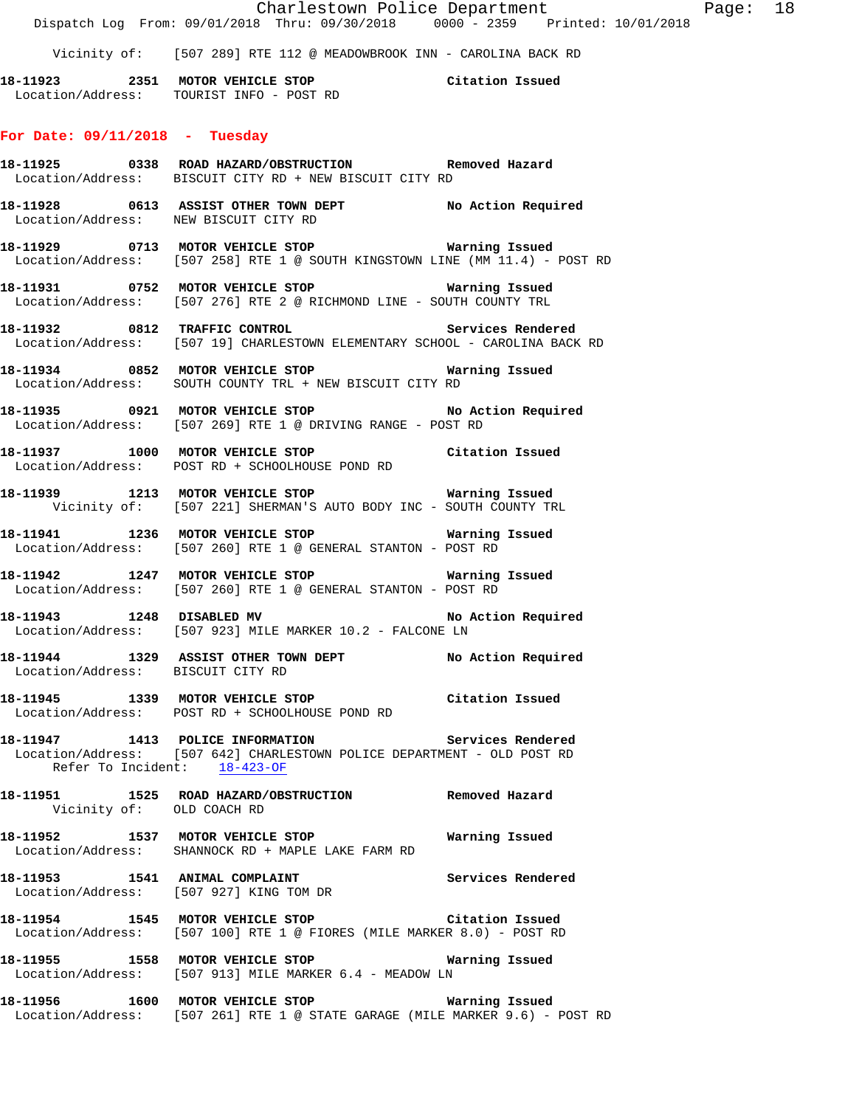|                                       | Dispatch Log From: 09/01/2018 Thru: 09/30/2018 0000 - 2359 Printed: 10/01/2018                                                         | Charlestown Police Department | Page: 18 |  |
|---------------------------------------|----------------------------------------------------------------------------------------------------------------------------------------|-------------------------------|----------|--|
|                                       | Vicinity of: [507 289] RTE 112 @ MEADOWBROOK INN - CAROLINA BACK RD                                                                    |                               |          |  |
|                                       | 18-11923 2351 MOTOR VEHICLE STOP Citation Issued<br>Location/Address: TOURIST INFO - POST RD                                           |                               |          |  |
| For Date: $09/11/2018$ - Tuesday      |                                                                                                                                        |                               |          |  |
|                                       | 18-11925 0338 ROAD HAZARD/OBSTRUCTION Removed Hazard<br>Location/Address: BISCUIT CITY RD + NEW BISCUIT CITY RD                        |                               |          |  |
| Location/Address: NEW BISCUIT CITY RD | 18-11928 0613 ASSIST OTHER TOWN DEPT No Action Required                                                                                |                               |          |  |
|                                       | 18-11929 0713 MOTOR VEHICLE STOP Warning Issued<br>Location/Address: [507 258] RTE 1 @ SOUTH KINGSTOWN LINE (MM 11.4) - POST RD        |                               |          |  |
|                                       | 18-11931   0752   MOTOR VEHICLE STOP   Warning Issued<br>Location/Address: [507 276] RTE 2 @ RICHMOND LINE - SOUTH COUNTY TRL          |                               |          |  |
|                                       | 18-11932 0812 TRAFFIC CONTROL CONTROL Services Rendered<br>Location/Address: [507 19] CHARLESTOWN ELEMENTARY SCHOOL - CAROLINA BACK RD |                               |          |  |
|                                       | Location/Address: SOUTH COUNTY TRL + NEW BISCUIT CITY RD                                                                               |                               |          |  |
|                                       | 18-11935 0921 MOTOR VEHICLE STOP No Action Required<br>Location/Address: [507 269] RTE 1 @ DRIVING RANGE - POST RD                     |                               |          |  |
|                                       | 18-11937 1000 MOTOR VEHICLE STOP Citation Issued<br>Location/Address: POST RD + SCHOOLHOUSE POND RD                                    |                               |          |  |
|                                       | 18-11939 1213 MOTOR VEHICLE STOP <b>Warning Issued</b><br>Vicinity of: [507 221] SHERMAN'S AUTO BODY INC - SOUTH COUNTY TRL            |                               |          |  |
|                                       | 18-11941 1236 MOTOR VEHICLE STOP <b>WATNING ISSUED</b><br>Location/Address: [507 260] RTE 1 @ GENERAL STANTON - POST RD                |                               |          |  |
|                                       | 18-11942 1247 MOTOR VEHICLE STOP <b>WATER WATER</b><br>Location/Address: [507 260] RTE 1 @ GENERAL STANTON - POST RD                   |                               |          |  |
| 18-11943   1248   DISABLED MV         | Location/Address: [507 923] MILE MARKER 10.2 - FALCONE LN                                                                              | No Action Required            |          |  |
| Location/Address: BISCUIT CITY RD     | 18-11944 1329 ASSIST OTHER TOWN DEPT No Action Required                                                                                |                               |          |  |
|                                       | 18-11945 1339 MOTOR VEHICLE STOP Citation Issued<br>Location/Address: POST RD + SCHOOLHOUSE POND RD                                    |                               |          |  |
| Refer To Incident: 18-423-OF          | 18-11947 1413 POLICE INFORMATION Services Rendered<br>Location/Address: [507 642] CHARLESTOWN POLICE DEPARTMENT - OLD POST RD          |                               |          |  |
| Vicinity of: OLD COACH RD             | 18-11951 1525 ROAD HAZARD/OBSTRUCTION Removed Hazard                                                                                   |                               |          |  |
|                                       | 18-11952 1537 MOTOR VEHICLE STOP <b>WATNING ISSUED</b><br>Location/Address: SHANNOCK RD + MAPLE LAKE FARM RD                           |                               |          |  |
|                                       | 18-11953 1541 ANIMAL COMPLAINT 1990 Services Rendered<br>Location/Address: [507 927] KING TOM DR                                       |                               |          |  |
|                                       | 18-11954 1545 MOTOR VEHICLE STOP Citation Issued<br>Location/Address: [507 100] RTE 1 @ FIORES (MILE MARKER 8.0) - POST RD             |                               |          |  |
|                                       | 18-11955 1558 MOTOR VEHICLE STOP 18 Warning Issued<br>Location/Address: [507 913] MILE MARKER 6.4 - MEADOW LN                          |                               |          |  |
|                                       | 18-11956 1600 MOTOR VEHICLE STOP 18 Warning Issued<br>Location/Address: [507 261] RTE 1 @ STATE GARAGE (MILE MARKER 9.6) - POST RD     |                               |          |  |
|                                       |                                                                                                                                        |                               |          |  |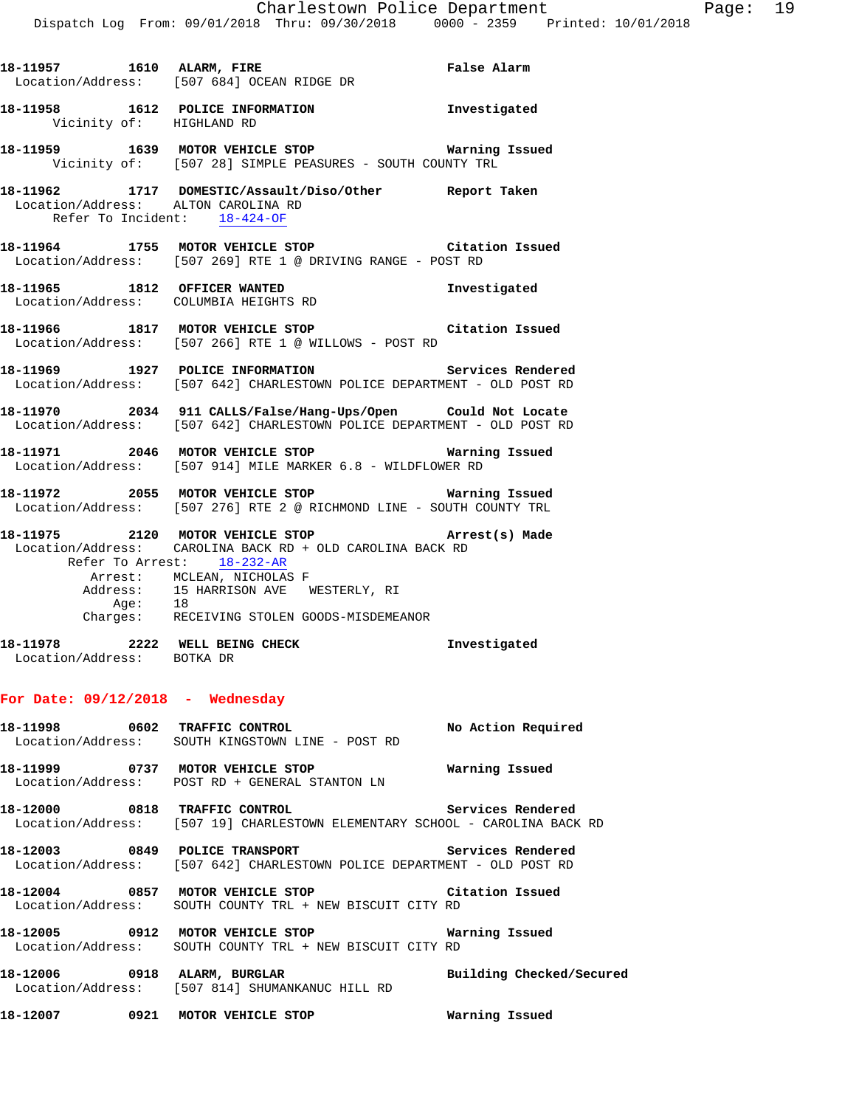|                              | 18-11957 1610 ALARM, FIRE False Alarm<br>Location/Address: [507 684] OCEAN RIDGE DR                                                     |  |
|------------------------------|-----------------------------------------------------------------------------------------------------------------------------------------|--|
| Vicinity of: HIGHLAND RD     | 18-11958 1612 POLICE INFORMATION 1nvestigated                                                                                           |  |
|                              | Vicinity of: [507 28] SIMPLE PEASURES - SOUTH COUNTY TRL                                                                                |  |
| Refer To Incident: 18-424-OF | 18-11962 1717 DOMESTIC/Assault/Diso/Other Report Taken<br>Location/Address: ALTON CAROLINA RD                                           |  |
|                              | 18-11964 1755 MOTOR VEHICLE STOP Citation Issued<br>Location/Address: [507 269] RTE 1 @ DRIVING RANGE - POST RD                         |  |
|                              | 18-11965 1812 OFFICER WANTED 18-11965<br>Location/Address: COLUMBIA HEIGHTS RD                                                          |  |
|                              | 18-11966 1817 MOTOR VEHICLE STOP Citation Issued<br>Location/Address: [507 266] RTE 1 @ WILLOWS - POST RD                               |  |
|                              | 18-11969 1927 POLICE INFORMATION Services Rendered<br>Location/Address: [507 642] CHARLESTOWN POLICE DEPARTMENT - OLD POST RD           |  |
|                              | 18-11970 2034 911 CALLS/False/Hang-Ups/Open Could Not Locate<br>Location/Address: [507 642] CHARLESTOWN POLICE DEPARTMENT - OLD POST RD |  |
|                              | 18-11971  2046 MOTOR VEHICLE STOP    STOP    Warning Issued<br>Location/Address: [507 914] MILE MARKER 6.8 - WILDFLOWER RD              |  |

**18-11972 2055 MOTOR VEHICLE STOP Warning Issued**  Location/Address: [507 276] RTE 2 @ RICHMOND LINE - SOUTH COUNTY TRL

**18-11975 2120 MOTOR VEHICLE STOP Arrest(s) Made**  Location/Address: CAROLINA BACK RD + OLD CAROLINA BACK RD Refer To Arrest: 18-232-AR Arrest: MCLEAN, NICHOLAS F Address: 15 HARRISON AVE WESTERLY, RI

 Age: 18 Charges: RECEIVING STOLEN GOODS-MISDEMEANOR **18-11978 2222 WELL BEING CHECK Investigated** 

Location/Address: BOTKA DR

# **For Date: 09/12/2018 - Wednesday**

| 18-11998 0602 TRAFFIC CONTROL No Action Required<br>Location/Address: SOUTH KINGSTOWN LINE - POST RD                                             |  |
|--------------------------------------------------------------------------------------------------------------------------------------------------|--|
| Location/Address: POST RD + GENERAL STANTON LN                                                                                                   |  |
| 18-12000 0818 TRAFFIC CONTROL <b>18-12000</b> Services Rendered<br>  Location/Address: [507 19] CHARLESTOWN ELEMENTARY SCHOOL - CAROLINA BACK RD |  |
| 18-12003 0849 POLICE TRANSPORT Services Rendered<br>Location/Address: [507 642] CHARLESTOWN POLICE DEPARTMENT - OLD POST RD                      |  |
| 18-12004 0857 MOTOR VEHICLE STOP Citation Issued<br>Location/Address: SOUTH COUNTY TRL + NEW BISCUIT CITY RD                                     |  |
| 18-12005 0912 MOTOR VEHICLE STOP <b>Warning Issued</b><br>Location/Address: SOUTH COUNTY TRL + NEW BISCUIT CITY RD                               |  |
| 18-12006 0918 ALARM, BURGLAR                       Building Checked/Secured<br>Location/Address: [507 814] SHUMANKANUC HILL RD                   |  |

**18-12007 0921 MOTOR VEHICLE STOP Warning Issued**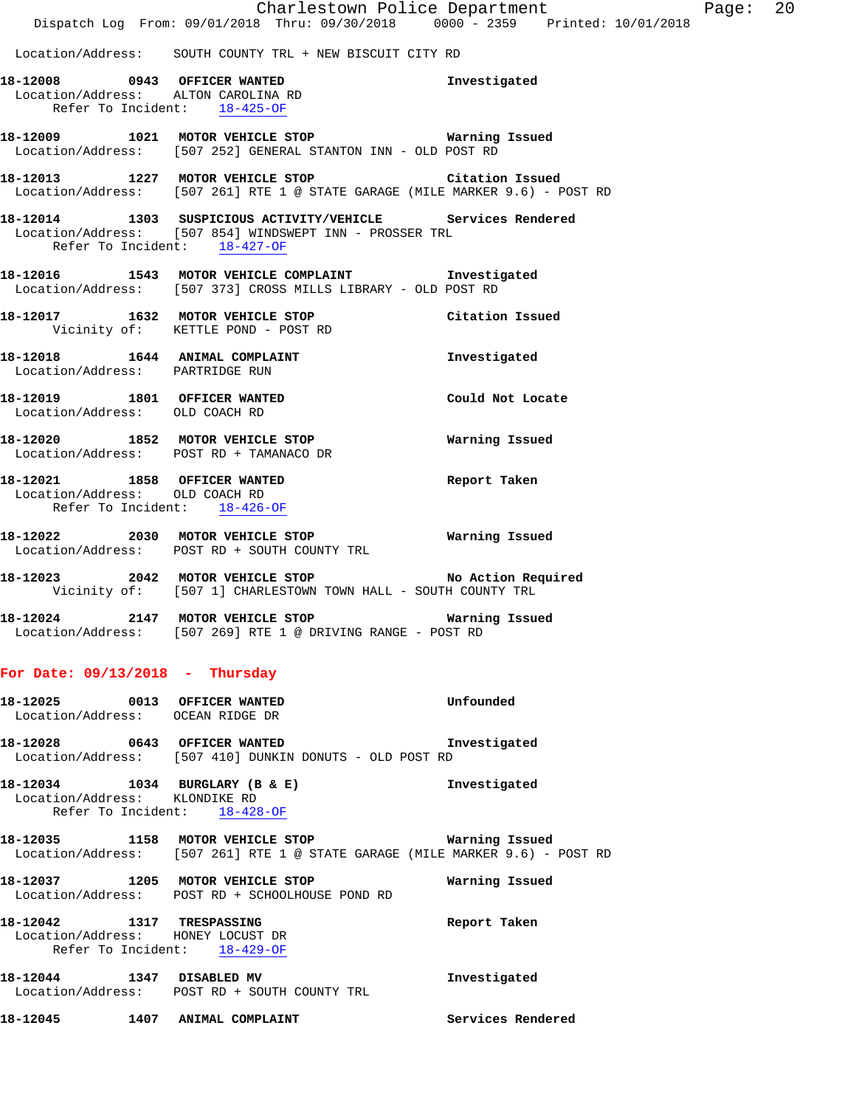Location/Address: SOUTH COUNTY TRL + NEW BISCUIT CITY RD

- **18-12008 0943 OFFICER WANTED Investigated**  Location/Address: ALTON CAROLINA RD Refer To Incident: 18-425-OF
- **18-12009 1021 MOTOR VEHICLE STOP Warning Issued**  Location/Address: [507 252] GENERAL STANTON INN - OLD POST RD
- **18-12013 1227 MOTOR VEHICLE STOP Citation Issued**  Location/Address: [507 261] RTE 1 @ STATE GARAGE (MILE MARKER 9.6) - POST RD
- **18-12014 1303 SUSPICIOUS ACTIVITY/VEHICLE Services Rendered**  Location/Address: [507 854] WINDSWEPT INN - PROSSER TRL Refer To Incident: 18-427-OF
- **18-12016 1543 MOTOR VEHICLE COMPLAINT Investigated**  Location/Address: [507 373] CROSS MILLS LIBRARY - OLD POST RD
- **18-12017 1632 MOTOR VEHICLE STOP Citation Issued**  Vicinity of: KETTLE POND - POST RD
- **18-12018 1644 ANIMAL COMPLAINT Investigated**  Location/Address: PARTRIDGE RUN
- **18-12019 1801 OFFICER WANTED Could Not Locate**  Location/Address: OLD COACH RD
- **18-12020 1852 MOTOR VEHICLE STOP Warning Issued**  Location/Address: POST RD + TAMANACO DR
- **18-12021 1858 OFFICER WANTED Report Taken**  Location/Address: OLD COACH RD Refer To Incident: 18-426-OF
- **18-12022 2030 MOTOR VEHICLE STOP Warning Issued**  Location/Address: POST RD + SOUTH COUNTY TRL
- **18-12023 2042 MOTOR VEHICLE STOP No Action Required**  Vicinity of: [507 1] CHARLESTOWN TOWN HALL - SOUTH COUNTY TRL
- **18-12024 2147 MOTOR VEHICLE STOP Warning Issued**  Location/Address: [507 269] RTE 1 @ DRIVING RANGE - POST RD

#### **For Date: 09/13/2018 - Thursday**

|  | 18-12025 0013 OFFICER WANTED<br>Location/Address: OCEAN RIDGE DR                               | Unfounded                                                                    |
|--|------------------------------------------------------------------------------------------------|------------------------------------------------------------------------------|
|  | 18-12028 0643 OFFICER WANTED<br>Location/Address: [507 410] DUNKIN DONUTS - OLD POST RD        | Investigated                                                                 |
|  | Location/Address: KLONDIKE RD<br>Refer To Incident: 18-428-OF                                  | Investigated                                                                 |
|  | 18-12035 1158 MOTOR VEHICLE STOP 6 Warning Issued                                              | Location/Address: [507 261] RTE 1 @ STATE GARAGE (MILE MARKER 9.6) - POST RD |
|  | 18-12037 1205 MOTOR VEHICLE STOP<br>Location/Address: POST RD + SCHOOLHOUSE POND RD            | Warning Issued                                                               |
|  | 18-12042 1317 TRESPASSING<br>Location/Address: HONEY LOCUST DR<br>Refer To Incident: 18-429-OF | Report Taken                                                                 |
|  | 18-12044 1347 DISABLED MV<br>Location/Address: POST RD + SOUTH COUNTY TRL                      | Investigated                                                                 |
|  | 18-12045 1407 ANIMAL COMPLAINT                                                                 | Services Rendered                                                            |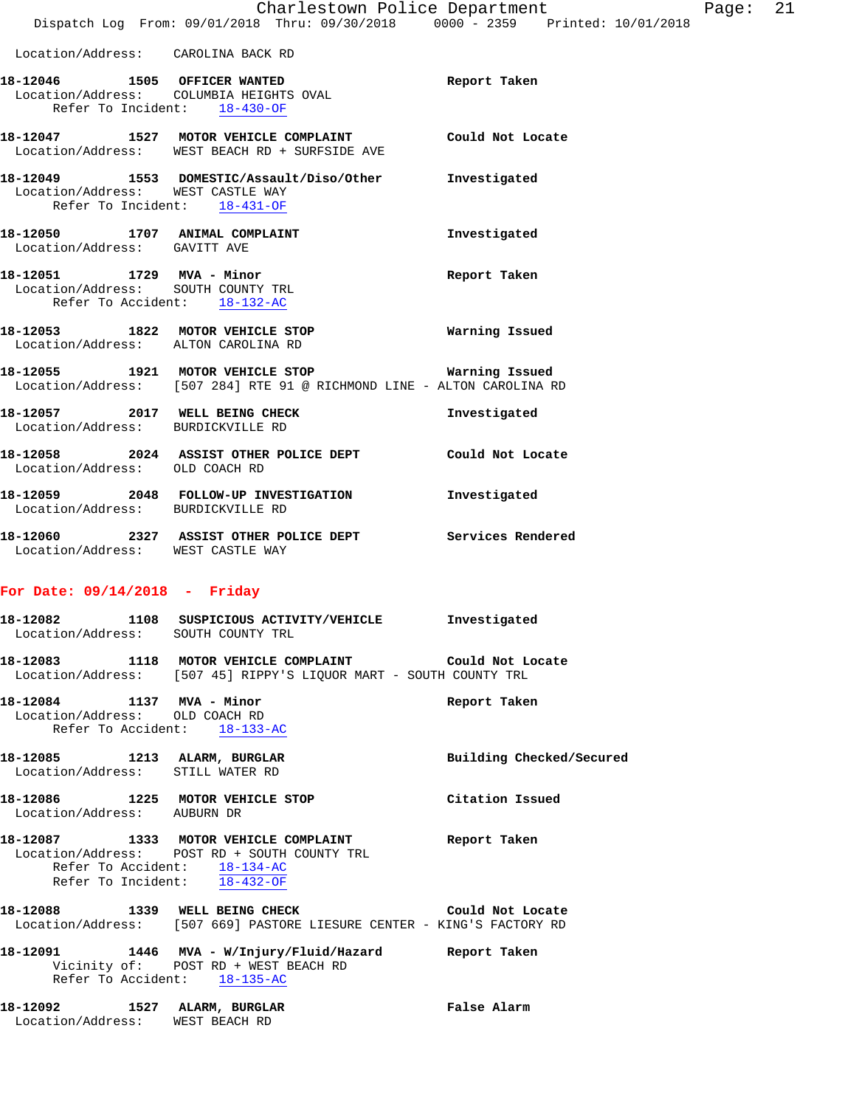- **18-12047 1527 MOTOR VEHICLE COMPLAINT Could Not Locate**  Location/Address: WEST BEACH RD + SURFSIDE AVE
- **18-12049 1553 DOMESTIC/Assault/Diso/Other Investigated**  Location/Address: WEST CASTLE WAY Refer To Incident: 18-431-OF
- **18-12050 1707 ANIMAL COMPLAINT Investigated**  Location/Address: GAVITT AVE

Refer To Incident: 18-430-OF

- **18-12051 1729 MVA Minor Report Taken**  Location/Address: SOUTH COUNTY TRL Refer To Accident: 18-132-AC
- **18-12053 1822 MOTOR VEHICLE STOP Warning Issued**  Location/Address: ALTON CAROLINA RD
- **18-12055 1921 MOTOR VEHICLE STOP Warning Issued**  Location/Address: [507 284] RTE 91 @ RICHMOND LINE - ALTON CAROLINA RD
- 18-12057 **2017** WELL BEING CHECK **Investigated**  Location/Address: BURDICKVILLE RD **18-12058 2024 ASSIST OTHER POLICE DEPT Could Not Locate**  Location/Address: OLD COACH RD
- **18-12059 2048 FOLLOW-UP INVESTIGATION Investigated**  Location/Address: BURDICKVILLE RD
- **18-12060 2327 ASSIST OTHER POLICE DEPT Services Rendered**  Location/Address: WEST CASTLE WAY

# **For Date: 09/14/2018 - Friday**

- **18-12082 1108 SUSPICIOUS ACTIVITY/VEHICLE Investigated**  Location/Address: SOUTH COUNTY TRL
- **18-12083 1118 MOTOR VEHICLE COMPLAINT Could Not Locate**  Location/Address: [507 45] RIPPY'S LIQUOR MART - SOUTH COUNTY TRL
- **18-12084 1137 MVA Minor Report Taken**  Location/Address: OLD COACH RD Refer To Accident: 18-133-AC
- **18-12085 1213 ALARM, BURGLAR Building Checked/Secured**  Location/Address: STILL WATER RD
- **18-12086 1225 MOTOR VEHICLE STOP Citation Issued**  Location/Address: AUBURN DR
- **18-12087 1333 MOTOR VEHICLE COMPLAINT Report Taken**  Location/Address: POST RD + SOUTH COUNTY TRL Refer To Accident: 18-134-AC Refer To Incident: 18-432-OF
- **18-12088 1339 WELL BEING CHECK Could Not Locate**  Location/Address: [507 669] PASTORE LIESURE CENTER - KING'S FACTORY RD
- **18-12091 1446 MVA W/Injury/Fluid/Hazard Report Taken**  Vicinity of: POST RD + WEST BEACH RD Refer To Accident: 18-135-AC
- **18-12092 1527 ALARM, BURGLAR False Alarm**  Location/Address: WEST BEACH RD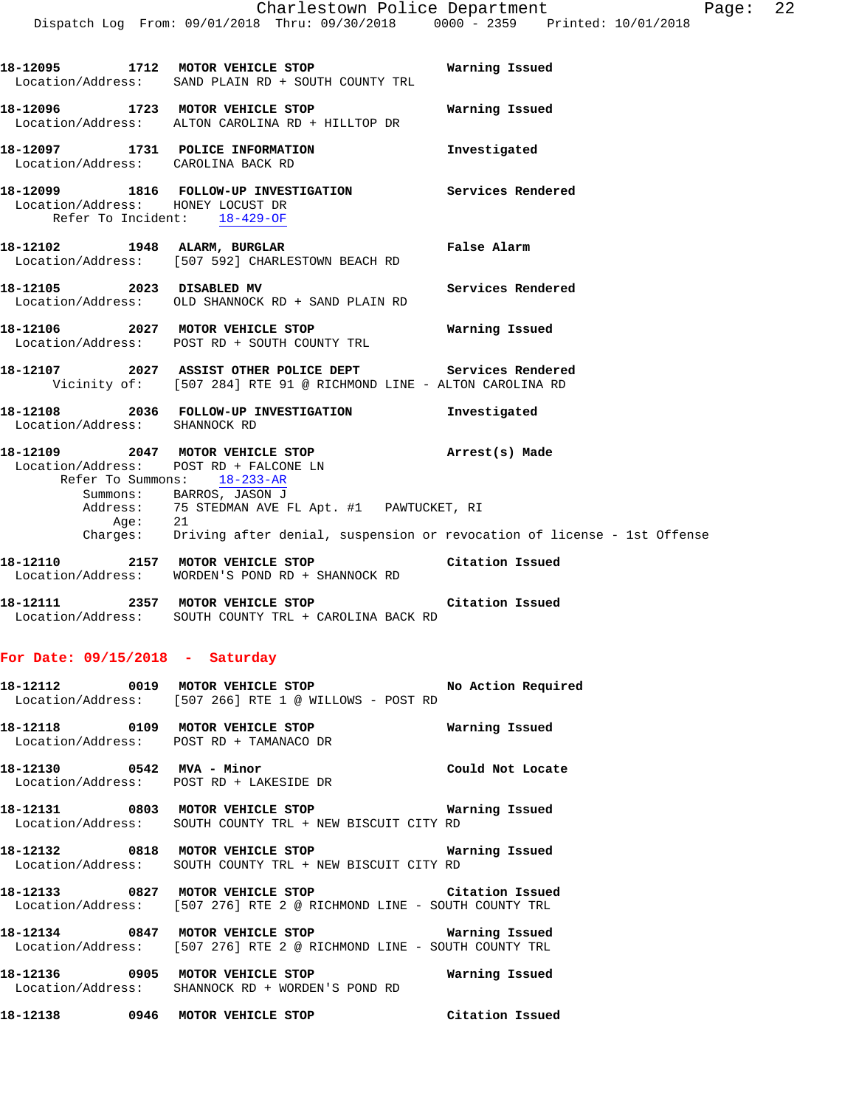**18-12095 1712 MOTOR VEHICLE STOP Warning Issued** 

Location/Address: SAND PLAIN RD + SOUTH COUNTY TRL

**18-12096 1723 MOTOR VEHICLE STOP Warning Issued**  Location/Address: ALTON CAROLINA RD + HILLTOP DR **18-12097 1731 POLICE INFORMATION Investigated**  Location/Address: CAROLINA BACK RD **18-12099 1816 FOLLOW-UP INVESTIGATION Services Rendered**  Location/Address: HONEY LOCUST DR Refer To Incident: 18-429-OF **18-12102 1948 ALARM, BURGLAR False Alarm**  Location/Address: [507 592] CHARLESTOWN BEACH RD **18-12105 2023 DISABLED MV Services Rendered**  Location/Address: OLD SHANNOCK RD + SAND PLAIN RD **18-12106 2027 MOTOR VEHICLE STOP Warning Issued**  Location/Address: POST RD + SOUTH COUNTY TRL **18-12107 2027 ASSIST OTHER POLICE DEPT Services Rendered**  Vicinity of: [507 284] RTE 91 @ RICHMOND LINE - ALTON CAROLINA RD **18-12108 2036 FOLLOW-UP INVESTIGATION Investigated**  Location/Address: SHANNOCK RD **18-12109 2047 MOTOR VEHICLE STOP Arrest(s) Made**  Location/Address: POST RD + FALCONE LN Refer To Summons: 18-233-AR Summons: BARROS, JASON J Address: 75 STEDMAN AVE FL Apt. #1 PAWTUCKET, RI Age: 21 Charges: Driving after denial, suspension or revocation of license - 1st Offense **18-12110 2157 MOTOR VEHICLE STOP Citation Issued**  Location/Address: WORDEN'S POND RD + SHANNOCK RD **18-12111 2357 MOTOR VEHICLE STOP Citation Issued**  Location/Address: SOUTH COUNTY TRL + CAROLINA BACK RD **For Date: 09/15/2018 - Saturday 18-12112 0019 MOTOR VEHICLE STOP No Action Required**  Location/Address: [507 266] RTE 1 @ WILLOWS - POST RD **18-12118 0109 MOTOR VEHICLE STOP Warning Issued**  Location/Address: POST RD + TAMANACO DR **18-12130 0542 MVA - Minor Could Not Locate**  Location/Address: POST RD + LAKESIDE DR **18-12131 0803 MOTOR VEHICLE STOP Warning Issued**  Location/Address: SOUTH COUNTY TRL + NEW BISCUIT CITY RD **18-12132 0818 MOTOR VEHICLE STOP Warning Issued**  Location/Address: SOUTH COUNTY TRL + NEW BISCUIT CITY RD **18-12133 0827 MOTOR VEHICLE STOP Citation Issued**  Location/Address: [507 276] RTE 2 @ RICHMOND LINE - SOUTH COUNTY TRL **18-12134 0847 MOTOR VEHICLE STOP Warning Issued**  Location/Address: [507 276] RTE 2 @ RICHMOND LINE - SOUTH COUNTY TRL **18-12136 0905 MOTOR VEHICLE STOP Warning Issued**  Location/Address: SHANNOCK RD + WORDEN'S POND RD

**18-12138 0946 MOTOR VEHICLE STOP Citation Issued**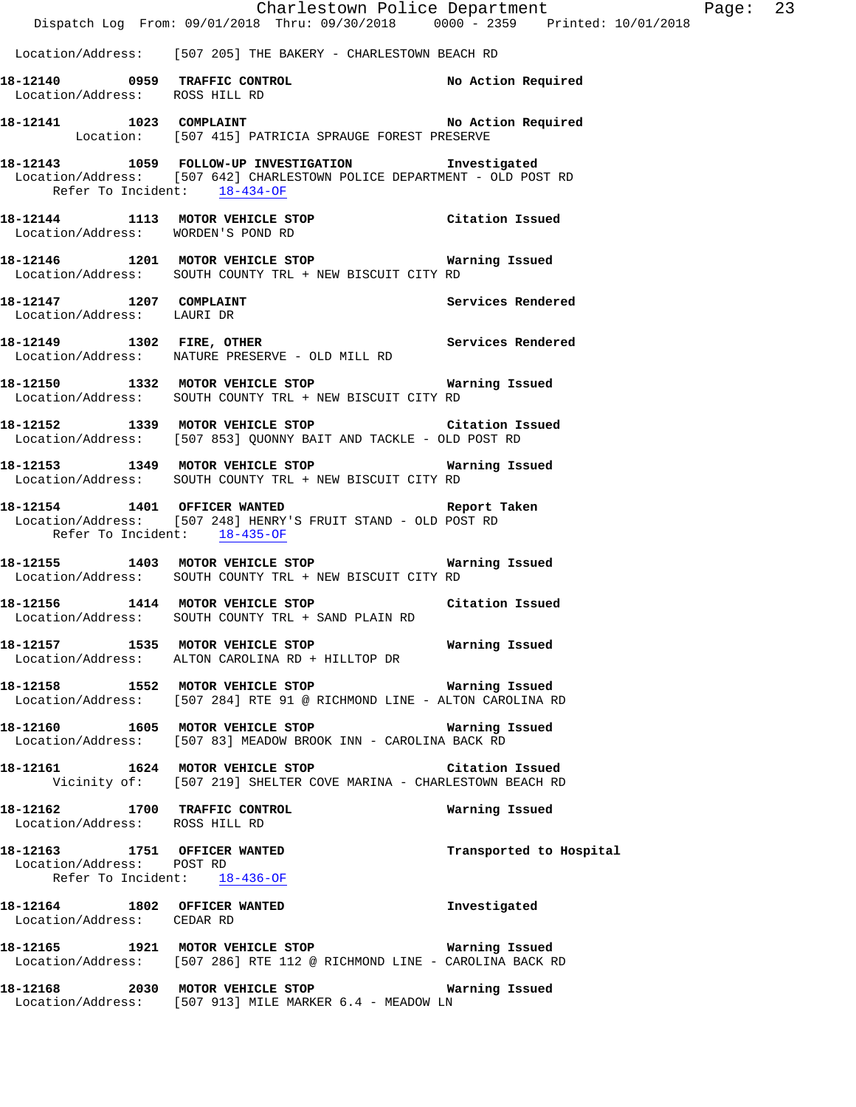|                                                           | Dispatch Log From: 09/01/2018 Thru: 09/30/2018 0000 - 2359 Printed: 10/01/2018                                                  | Charlestown Police Department | Page: 23 |  |
|-----------------------------------------------------------|---------------------------------------------------------------------------------------------------------------------------------|-------------------------------|----------|--|
|                                                           | Location/Address: [507 205] THE BAKERY - CHARLESTOWN BEACH RD                                                                   |                               |          |  |
| Location/Address: ROSS HILL RD                            |                                                                                                                                 |                               |          |  |
|                                                           | 18-12141 1023 COMPLAINT 100 No Action Required<br>Location: [507 415] PATRICIA SPRAUGE FOREST PRESERVE                          |                               |          |  |
| Refer To Incident: 18-434-OF                              | 18-12143 1059 FOLLOW-UP INVESTIGATION Investigated<br>Location/Address: [507 642] CHARLESTOWN POLICE DEPARTMENT - OLD POST RD   |                               |          |  |
| Location/Address: WORDEN'S POND RD                        | 18-12144 1113 MOTOR VEHICLE STOP Citation Issued                                                                                |                               |          |  |
|                                                           | Location/Address: SOUTH COUNTY TRL + NEW BISCUIT CITY RD                                                                        |                               |          |  |
|                                                           | 18-12147 1207 COMPLAINT<br>Location/Address: LAURI DR                                                                           | Services Rendered             |          |  |
|                                                           | 18-12149 1302 FIRE, OTHER 1892 1302 FIRE Services Rendered Location/Address: NATURE PRESERVE - OLD MILL RD                      |                               |          |  |
|                                                           | 18-12150 1332 MOTOR VEHICLE STOP Warning Issued<br>Location/Address: SOUTH COUNTY TRL + NEW BISCUIT CITY RD                     |                               |          |  |
|                                                           | 18-12152 1339 MOTOR VEHICLE STOP Citation Issued<br>Location/Address: [507 853] QUONNY BAIT AND TACKLE - OLD POST RD            |                               |          |  |
|                                                           | 18-12153 1349 MOTOR VEHICLE STOP 6 Warning Issued<br>Location/Address: SOUTH COUNTY TRL + NEW BISCUIT CITY RD                   |                               |          |  |
| Refer To Incident: 18-435-OF                              | 18-12154 1401 OFFICER WANTED Report Taken<br>Location/Address: [507 248] HENRY'S FRUIT STAND - OLD POST RD                      |                               |          |  |
|                                                           | Location/Address: SOUTH COUNTY TRL + NEW BISCUIT CITY RD                                                                        |                               |          |  |
|                                                           | 18-12156 1414 MOTOR VEHICLE STOP Citation Issued<br>Location/Address: SOUTH COUNTY TRL + SAND PLAIN RD                          |                               |          |  |
|                                                           | 18-12157 1535 MOTOR VEHICLE STOP Marning Issued<br>Location/Address: ALTON CAROLINA RD + HILLTOP DR                             |                               |          |  |
|                                                           | 18-12158   1552   MOTOR VEHICLE STOP   Warning Issued<br>Location/Address: [507 284] RTE 91 @ RICHMOND LINE - ALTON CAROLINA RD |                               |          |  |
|                                                           | 18-12160 1605 MOTOR VEHICLE STOP 6 Warning Issued<br>Location/Address: [507 83] MEADOW BROOK INN - CAROLINA BACK RD             |                               |          |  |
|                                                           | 18-12161 1624 MOTOR VEHICLE STOP Citation Issued<br>Vicinity of: [507 219] SHELTER COVE MARINA - CHARLESTOWN BEACH RD           |                               |          |  |
| Location/Address: ROSS HILL RD                            | 18-12162 1700 TRAFFIC CONTROL                                                                                                   | Warning Issued                |          |  |
| Location/Address: POST RD<br>Refer To Incident: 18-436-OF | 18-12163 1751 OFFICER WANTED                                                                                                    | Transported to Hospital       |          |  |
| Location/Address: CEDAR RD                                | 18-12164 1802 OFFICER WANTED                                                                                                    | Investigated                  |          |  |
|                                                           | 18-12165 1921 MOTOR VEHICLE STOP Warning Issued<br>Location/Address: [507 286] RTE 112 @ RICHMOND LINE - CAROLINA BACK RD       |                               |          |  |
|                                                           | 18-12168 2030 MOTOR VEHICLE STOP<br>Location/Address: [507 913] MILE MARKER 6.4 - MEADOW LN                                     | Warning Issued                |          |  |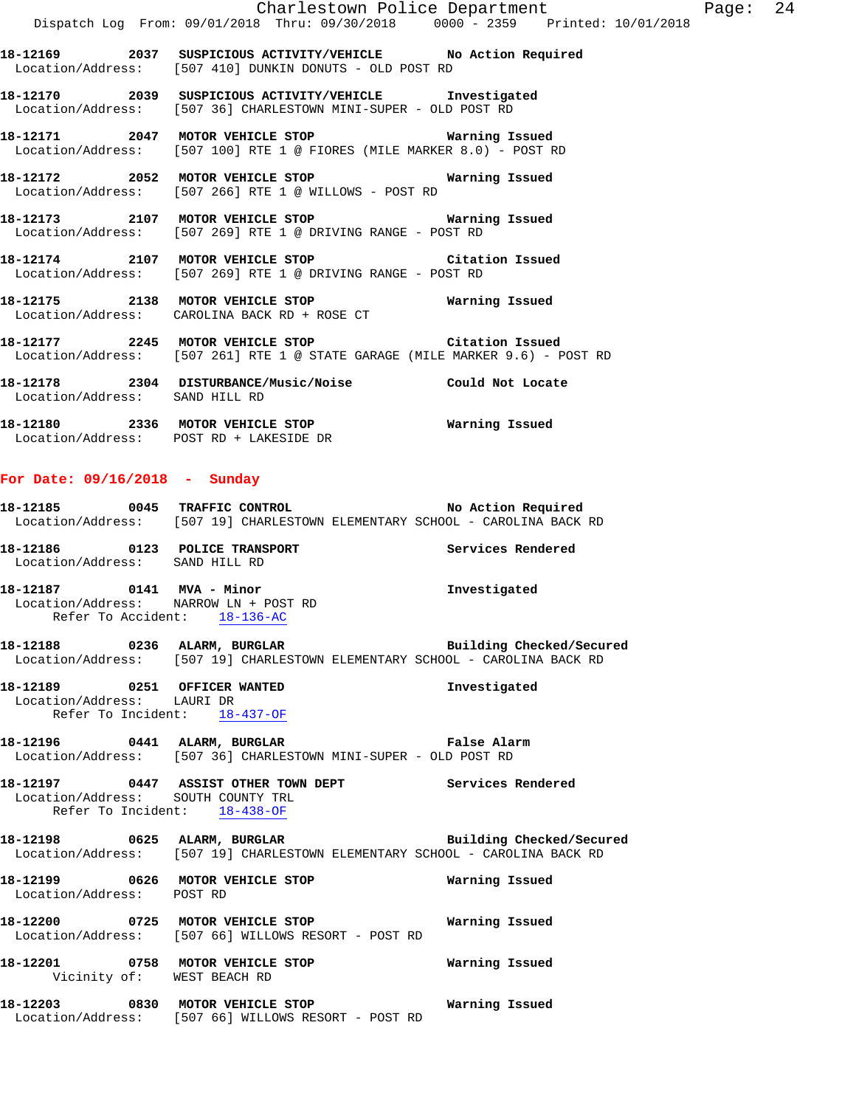**18-12169 2037 SUSPICIOUS ACTIVITY/VEHICLE No Action Required**  Location/Address: [507 410] DUNKIN DONUTS - OLD POST RD

**18-12170 2039 SUSPICIOUS ACTIVITY/VEHICLE Investigated**  Location/Address: [507 36] CHARLESTOWN MINI-SUPER - OLD POST RD

**18-12171 2047 MOTOR VEHICLE STOP Warning Issued**  Location/Address: [507 100] RTE 1 @ FIORES (MILE MARKER 8.0) - POST RD

**18-12172 2052 MOTOR VEHICLE STOP Warning Issued**  Location/Address: [507 266] RTE 1 @ WILLOWS - POST RD

**18-12173 2107 MOTOR VEHICLE STOP Warning Issued**  Location/Address: [507 269] RTE 1 @ DRIVING RANGE - POST RD

**18-12174 2107 MOTOR VEHICLE STOP Citation Issued**  Location/Address: [507 269] RTE 1 @ DRIVING RANGE - POST RD

**18-12175 2138 MOTOR VEHICLE STOP Warning Issued**  Location/Address: CAROLINA BACK RD + ROSE CT

**18-12177 2245 MOTOR VEHICLE STOP Citation Issued**  Location/Address: [507 261] RTE 1 @ STATE GARAGE (MILE MARKER 9.6) - POST RD

**18-12178 2304 DISTURBANCE/Music/Noise Could Not Locate**  Location/Address: SAND HILL RD

**18-12180 2336 MOTOR VEHICLE STOP Warning Issued**  Location/Address: POST RD + LAKESIDE DR

#### **For Date: 09/16/2018 - Sunday**

18-12185 0045 TRAFFIC CONTROL **No Action Required** Location/Address: [507 19] CHARLESTOWN ELEMENTARY SCHOOL - CAROLINA BACK RD

**18-12186 0123 POLICE TRANSPORT Services Rendered**  Location/Address: SAND HILL RD

**18-12187 0141 MVA - Minor Investigated**  Location/Address: NARROW LN + POST RD Refer To Accident: 18-136-AC

**18-12188 0236 ALARM, BURGLAR Building Checked/Secured**  Location/Address: [507 19] CHARLESTOWN ELEMENTARY SCHOOL - CAROLINA BACK RD

**18-12189 0251 OFFICER WANTED Investigated**  Location/Address: LAURI DR Refer To Incident: 18-437-OF

**18-12196 0441 ALARM, BURGLAR False Alarm**  Location/Address: [507 36] CHARLESTOWN MINI-SUPER - OLD POST RD

**18-12197 0447 ASSIST OTHER TOWN DEPT Services Rendered**  Location/Address: SOUTH COUNTY TRL Refer To Incident: 18-438-OF

**18-12198 0625 ALARM, BURGLAR Building Checked/Secured**  Location/Address: [507 19] CHARLESTOWN ELEMENTARY SCHOOL - CAROLINA BACK RD

**18-12199 0626 MOTOR VEHICLE STOP Warning Issued**  Location/Address: POST RD **18-12200 0725 MOTOR VEHICLE STOP Warning Issued**  Location/Address: [507 66] WILLOWS RESORT - POST RD

**18-12201 0758 MOTOR VEHICLE STOP Warning Issued**  Vicinity of: WEST BEACH RD

**18-12203 0830 MOTOR VEHICLE STOP Warning Issued**  Location/Address: [507 66] WILLOWS RESORT - POST RD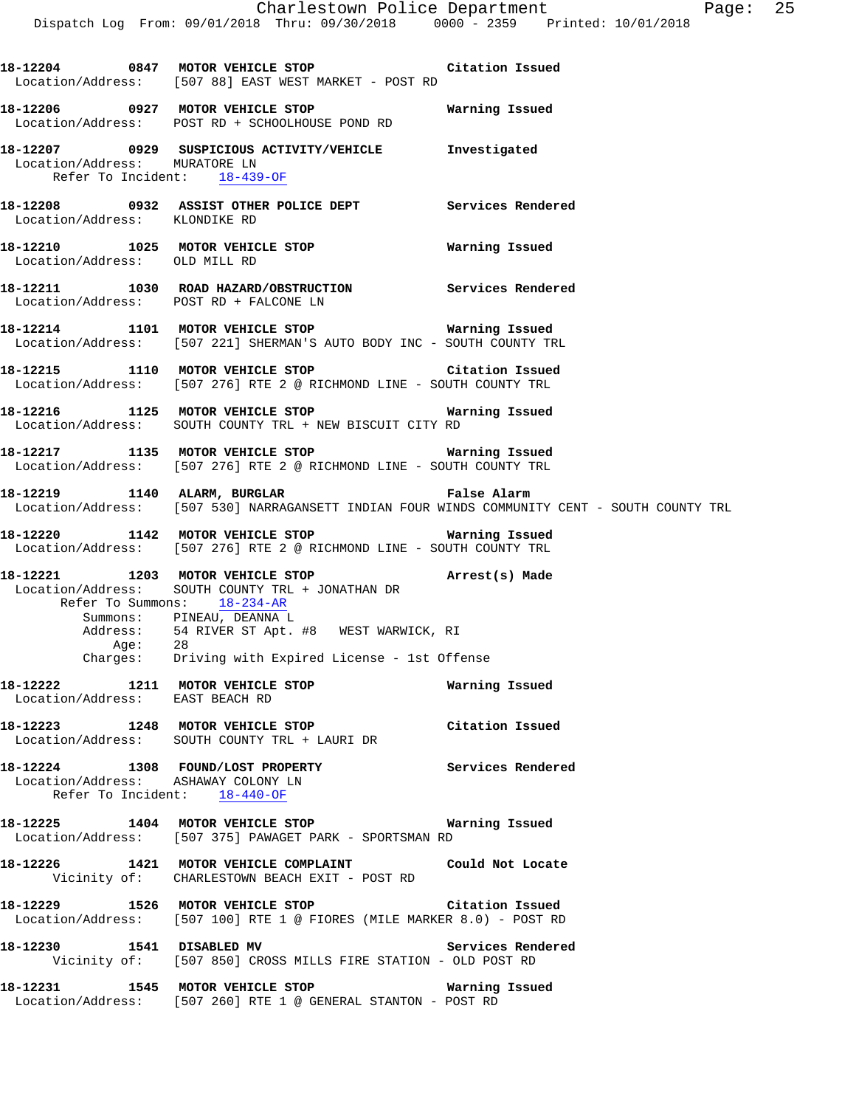**18-12204 0847 MOTOR VEHICLE STOP Citation Issued** 

 Location/Address: [507 88] EAST WEST MARKET - POST RD **18-12206 0927 MOTOR VEHICLE STOP Warning Issued**  Location/Address: POST RD + SCHOOLHOUSE POND RD **18-12207 0929 SUSPICIOUS ACTIVITY/VEHICLE Investigated**  Location/Address: MURATORE LN Refer To Incident: 18-439-OF **18-12208 0932 ASSIST OTHER POLICE DEPT Services Rendered**  Location/Address: KLONDIKE RD **18-12210 1025 MOTOR VEHICLE STOP Warning Issued**  Location/Address: OLD MILL RD **18-12211 1030 ROAD HAZARD/OBSTRUCTION Services Rendered**  Location/Address: POST RD + FALCONE LN **18-12214 1101 MOTOR VEHICLE STOP Warning Issued**  Location/Address: [507 221] SHERMAN'S AUTO BODY INC - SOUTH COUNTY TRL **18-12215 1110 MOTOR VEHICLE STOP Citation Issued**  Location/Address: [507 276] RTE 2 @ RICHMOND LINE - SOUTH COUNTY TRL **18-12216 1125 MOTOR VEHICLE STOP Warning Issued**  Location/Address: SOUTH COUNTY TRL + NEW BISCUIT CITY RD **18-12217 1135 MOTOR VEHICLE STOP Warning Issued**  Location/Address: [507 276] RTE 2 @ RICHMOND LINE - SOUTH COUNTY TRL **18-12219 1140 ALARM, BURGLAR False Alarm**  Location/Address: [507 530] NARRAGANSETT INDIAN FOUR WINDS COMMUNITY CENT - SOUTH COUNTY TRL **18-12220 1142 MOTOR VEHICLE STOP Warning Issued**  Location/Address: [507 276] RTE 2 @ RICHMOND LINE - SOUTH COUNTY TRL **18-12221 1203 MOTOR VEHICLE STOP Arrest(s) Made**  Location/Address: SOUTH COUNTY TRL + JONATHAN DR Refer To Summons: 18-234-AR Summons: PINEAU, DEANNA L Address: 54 RIVER ST Apt. #8 WEST WARWICK, RI<br>Age: 28 Age: Charges: Driving with Expired License - 1st Offense **18-12222 1211 MOTOR VEHICLE STOP Warning Issued**  Location/Address: EAST BEACH RD **18-12223 1248 MOTOR VEHICLE STOP Citation Issued**  Location/Address: SOUTH COUNTY TRL + LAURI DR **18-12224 1308 FOUND/LOST PROPERTY Services Rendered**  Location/Address: ASHAWAY COLONY LN Refer To Incident: 18-440-OF **18-12225 1404 MOTOR VEHICLE STOP Warning Issued**  Location/Address: [507 375] PAWAGET PARK - SPORTSMAN RD **18-12226 1421 MOTOR VEHICLE COMPLAINT Could Not Locate**  Vicinity of: CHARLESTOWN BEACH EXIT - POST RD **18-12229 1526 MOTOR VEHICLE STOP Citation Issued**  Location/Address: [507 100] RTE 1 @ FIORES (MILE MARKER 8.0) - POST RD **18-12230 1541 DISABLED MV Services Rendered**  Vicinity of: [507 850] CROSS MILLS FIRE STATION - OLD POST RD **18-12231 1545 MOTOR VEHICLE STOP Warning Issued**  Location/Address: [507 260] RTE 1 @ GENERAL STANTON - POST RD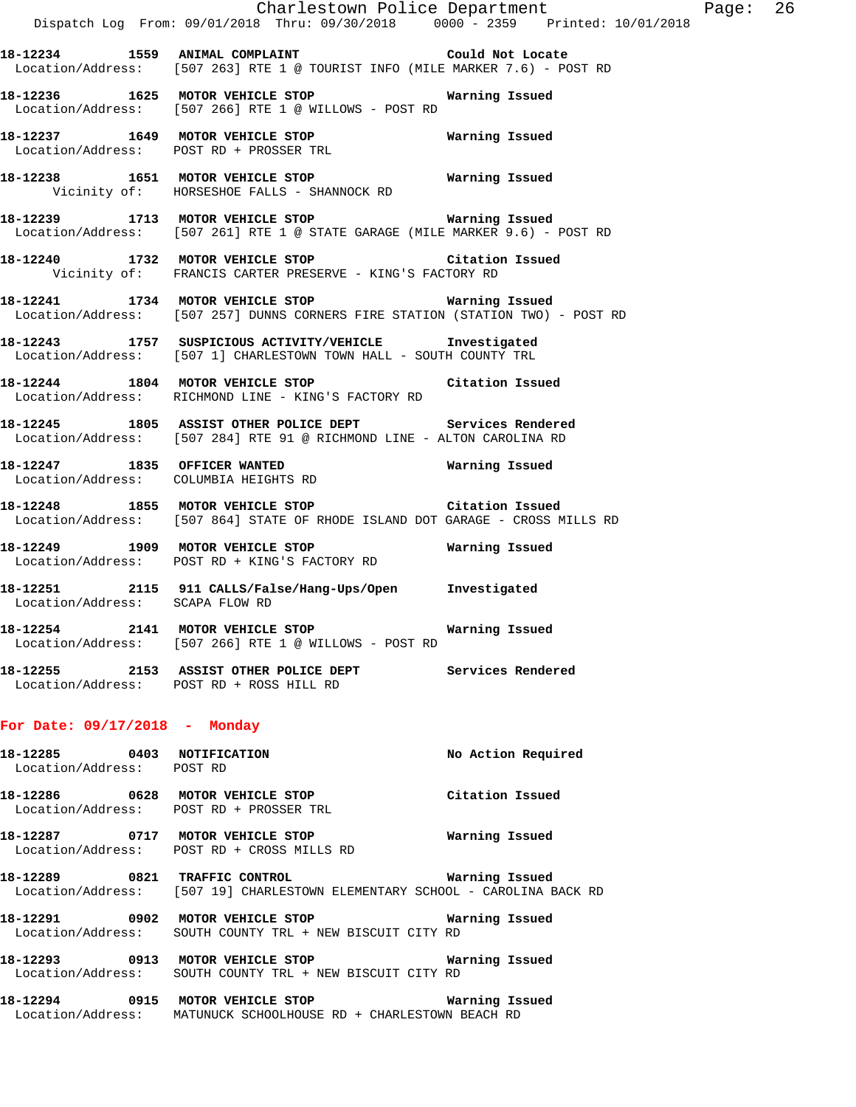|                                                         | Charlestown Police Department The Rage: 26                                                                                               |                    |  |
|---------------------------------------------------------|------------------------------------------------------------------------------------------------------------------------------------------|--------------------|--|
|                                                         | Dispatch Log From: 09/01/2018 Thru: 09/30/2018 0000 - 2359 Printed: 10/01/2018                                                           |                    |  |
|                                                         | 18-12234 1559 ANIMAL COMPLAINT 18-12234 Could Not Locate<br>Location/Address: [507 263] RTE 1 @ TOURIST INFO (MILE MARKER 7.6) - POST RD |                    |  |
|                                                         | 18-12236 1625 MOTOR VEHICLE STOP Warning Issued<br>Location/Address: [507 266] RTE 1 @ WILLOWS - POST RD                                 |                    |  |
|                                                         | 18-12237 1649 MOTOR VEHICLE STOP Warning Issued<br>Location/Address: POST RD + PROSSER TRL                                               |                    |  |
|                                                         | 18-12238 1651 MOTOR VEHICLE STOP 6 Warning Issued<br>Vicinity of: HORSESHOE FALLS - SHANNOCK RD                                          |                    |  |
|                                                         | 18-12239 1713 MOTOR VEHICLE STOP <b>Warning Issued</b><br>Location/Address: [507 261] RTE 1 @ STATE GARAGE (MILE MARKER 9.6) - POST RD   |                    |  |
|                                                         | 18-12240 1732 MOTOR VEHICLE STOP Citation Issued<br>Vicinity of: FRANCIS CARTER PRESERVE - KING'S FACTORY RD                             |                    |  |
|                                                         | 18-12241 1734 MOTOR VEHICLE STOP <b>Warning Issued</b><br>Location/Address: [507 257] DUNNS CORNERS FIRE STATION (STATION TWO) - POST RD |                    |  |
|                                                         | 18-12243 1757 SUSPICIOUS ACTIVITY/VEHICLE Investigated<br>Location/Address: [507 1] CHARLESTOWN TOWN HALL - SOUTH COUNTY TRL             |                    |  |
|                                                         | 18-12244 1804 MOTOR VEHICLE STOP Citation Issued<br>Location/Address: RICHMOND LINE - KING'S FACTORY RD                                  |                    |  |
|                                                         | 18-12245 1805 ASSIST OTHER POLICE DEPT Services Rendered<br>Location/Address: [507 284] RTE 91 @ RICHMOND LINE - ALTON CAROLINA RD       |                    |  |
|                                                         | 18-12247 1835 OFFICER WANTED Warning Issued<br>Location/Address: COLUMBIA HEIGHTS RD                                                     |                    |  |
|                                                         | 18-12248 1855 MOTOR VEHICLE STOP Citation Issued<br>Location/Address: [507 864] STATE OF RHODE ISLAND DOT GARAGE - CROSS MILLS RD        |                    |  |
|                                                         | 18-12249 1909 MOTOR VEHICLE STOP MATRING ISSued<br>Location/Address: POST RD + KING'S FACTORY RD                                         |                    |  |
| Location/Address: SCAPA FLOW RD                         | 18-12251 2115 911 CALLS/False/Hang-Ups/Open Investigated                                                                                 |                    |  |
|                                                         | 18-12254 2141 MOTOR VEHICLE STOP<br>Location/Address: [507 266] RTE 1 @ WILLOWS - POST RD                                                | Warning Issued     |  |
|                                                         | 18-12255 2153 ASSIST OTHER POLICE DEPT<br>Location/Address: POST RD + ROSS HILL RD                                                       | Services Rendered  |  |
| For Date: $09/17/2018$ - Monday                         |                                                                                                                                          |                    |  |
| 18-12285 0403 NOTIFICATION<br>Location/Address: POST RD |                                                                                                                                          | No Action Required |  |
|                                                         | 18-12286 0628 MOTOR VEHICLE STOP<br>Location/Address: POST RD + PROSSER TRL                                                              | Citation Issued    |  |
| 18-12287                                                | 0717 MOTOR VEHICLE STOP<br>Location/Address: POST RD + CROSS MILLS RD                                                                    | Warning Issued     |  |

**18-12289 0821 TRAFFIC CONTROL Warning Issued**  Location/Address: [507 19] CHARLESTOWN ELEMENTARY SCHOOL - CAROLINA BACK RD

**18-12291 0902 MOTOR VEHICLE STOP Warning Issued**  Location/Address: SOUTH COUNTY TRL + NEW BISCUIT CITY RD

**18-12293 0913 MOTOR VEHICLE STOP Warning Issued**  Location/Address: SOUTH COUNTY TRL + NEW BISCUIT CITY RD

**18-12294 0915 MOTOR VEHICLE STOP Warning Issued**  Location/Address: MATUNUCK SCHOOLHOUSE RD + CHARLESTOWN BEACH RD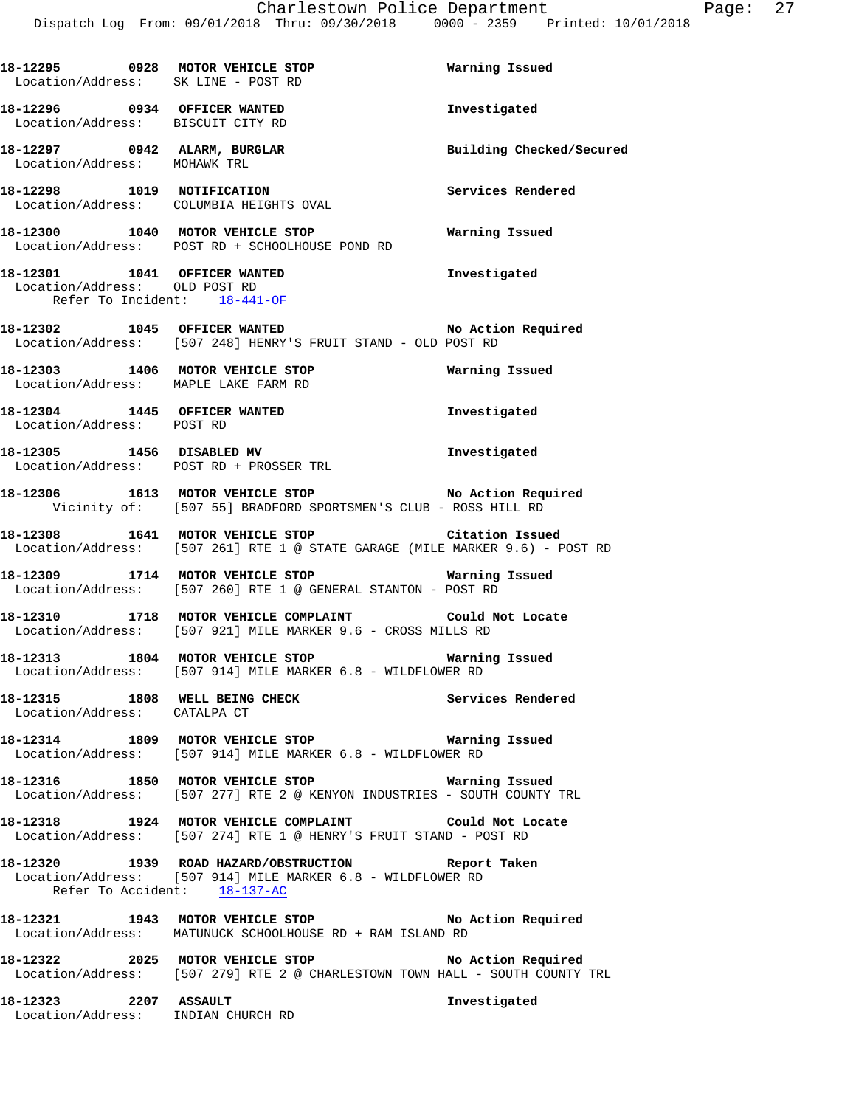**18-12295 0928 MOTOR VEHICLE STOP Warning Issued**  Location/Address: SK LINE - POST RD **18-12296 0934 OFFICER WANTED Investigated**  Location/Address: BISCUIT CITY RD **18-12297 0942 ALARM, BURGLAR Building Checked/Secured**  Location/Address: MOHAWK TRL **18-12298 1019 NOTIFICATION Services Rendered**  Location/Address: COLUMBIA HEIGHTS OVAL **18-12300 1040 MOTOR VEHICLE STOP Warning Issued**  Location/Address: POST RD + SCHOOLHOUSE POND RD **18-12301 1041 OFFICER WANTED Investigated**  Location/Address: OLD POST RD Refer To Incident: 18-441-OF **18-12302 1045 OFFICER WANTED No Action Required**  Location/Address: [507 248] HENRY'S FRUIT STAND - OLD POST RD **18-12303 1406 MOTOR VEHICLE STOP Warning Issued**  Location/Address: MAPLE LAKE FARM RD **18-12304 1445 OFFICER WANTED Investigated**  Location/Address: POST RD **18-12305 1456 DISABLED MV Investigated**  Location/Address: POST RD + PROSSER TRL **18-12306 1613 MOTOR VEHICLE STOP No Action Required**  Vicinity of: [507 55] BRADFORD SPORTSMEN'S CLUB - ROSS HILL RD **18-12308 1641 MOTOR VEHICLE STOP Citation Issued**  Location/Address: [507 261] RTE 1 @ STATE GARAGE (MILE MARKER 9.6) - POST RD **18-12309 1714 MOTOR VEHICLE STOP Warning Issued**  Location/Address: [507 260] RTE 1 @ GENERAL STANTON - POST RD **18-12310 1718 MOTOR VEHICLE COMPLAINT Could Not Locate**  Location/Address: [507 921] MILE MARKER 9.6 - CROSS MILLS RD **18-12313 1804 MOTOR VEHICLE STOP Warning Issued**  Location/Address: [507 914] MILE MARKER 6.8 - WILDFLOWER RD **18-12315 1808 WELL BEING CHECK Services Rendered**  Location/Address: CATALPA CT **18-12314 1809 MOTOR VEHICLE STOP Warning Issued**  Location/Address: [507 914] MILE MARKER 6.8 - WILDFLOWER RD **18-12316 1850 MOTOR VEHICLE STOP Warning Issued**  Location/Address: [507 277] RTE 2 @ KENYON INDUSTRIES - SOUTH COUNTY TRL **18-12318 1924 MOTOR VEHICLE COMPLAINT Could Not Locate**  Location/Address: [507 274] RTE 1 @ HENRY'S FRUIT STAND - POST RD **18-12320 1939 ROAD HAZARD/OBSTRUCTION Report Taken**  Location/Address: [507 914] MILE MARKER 6.8 - WILDFLOWER RD Refer To Accident: 18-137-AC **18-12321 1943 MOTOR VEHICLE STOP No Action Required**  Location/Address: MATUNUCK SCHOOLHOUSE RD + RAM ISLAND RD **18-12322 2025 MOTOR VEHICLE STOP No Action Required**  Location/Address: [507 279] RTE 2 @ CHARLESTOWN TOWN HALL - SOUTH COUNTY TRL **18-12323 2207 ASSAULT Investigated** 

Location/Address: INDIAN CHURCH RD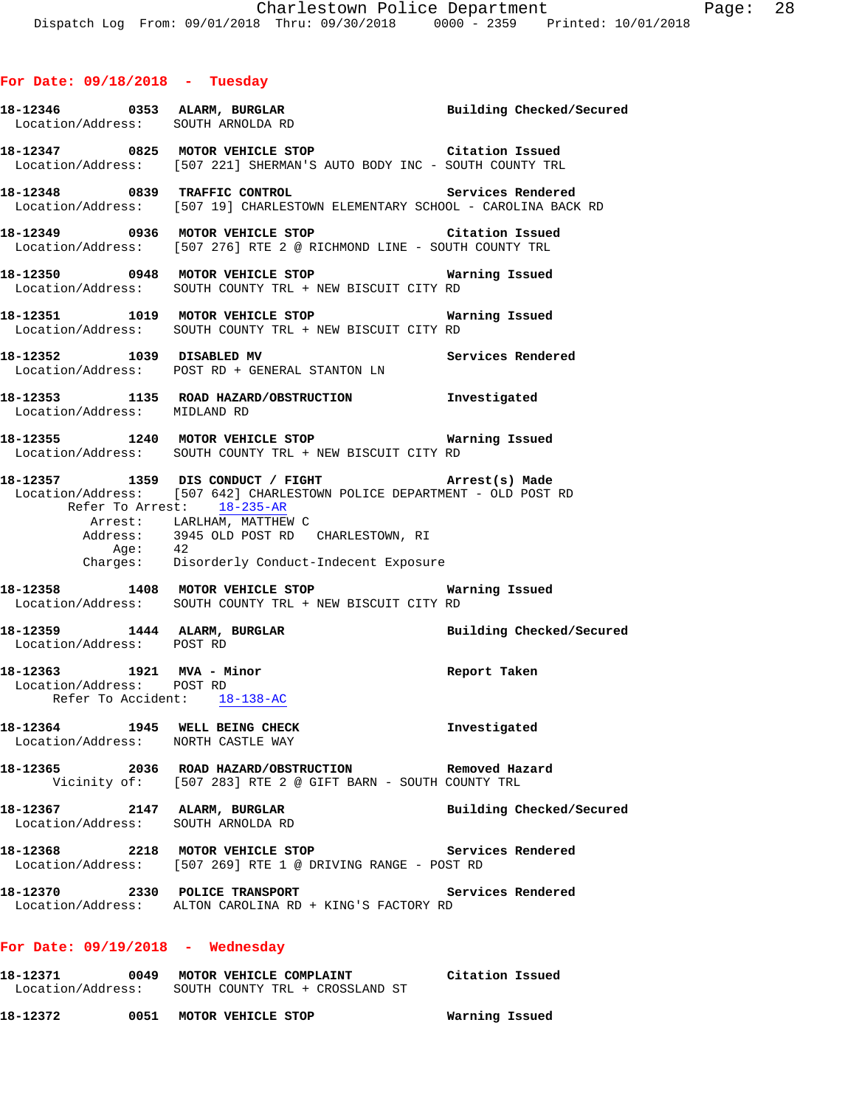|                                                        | 18-12346 0353 ALARM, BURGLAR Building Checked/Secured<br>Location/Address: SOUTH ARMOUDA RD<br>Location/Address: SOUTH ARNOLDA RD                                                                                                                                                                         |                          |
|--------------------------------------------------------|-----------------------------------------------------------------------------------------------------------------------------------------------------------------------------------------------------------------------------------------------------------------------------------------------------------|--------------------------|
|                                                        | 18-12347 0825 MOTOR VEHICLE STOP Citation Issued<br>Location/Address: [507 221] SHERMAN'S AUTO BODY INC - SOUTH COUNTY TRL                                                                                                                                                                                |                          |
|                                                        | 18-12348 0839 TRAFFIC CONTROL Services Rendered<br>Location/Address: [507 19] CHARLESTOWN ELEMENTARY SCHOOL - CAROLINA BACK RD                                                                                                                                                                            |                          |
|                                                        | 18-12349 0936 MOTOR VEHICLE STOP Citation Issued<br>Location/Address: [507 276] RTE 2 @ RICHMOND LINE - SOUTH COUNTY TRL                                                                                                                                                                                  |                          |
|                                                        | 18-12350 0948 MOTOR VEHICLE STOP 6 Warning Issued<br>Location/Address: SOUTH COUNTY TRL + NEW BISCUIT CITY RD                                                                                                                                                                                             |                          |
|                                                        | 18-12351 1019 MOTOR VEHICLE STOP 6 Warning Issued<br>Location/Address: SOUTH COUNTY TRL + NEW BISCUIT CITY RD                                                                                                                                                                                             |                          |
|                                                        | 18-12352 1039 DISABLED MV<br>Location/Address: POST RD + GENERAL STANTON LN                                                                                                                                                                                                                               | Services Rendered        |
| Location/Address: MIDLAND RD                           | 18-12353 1135 ROAD HAZARD/OBSTRUCTION Investigated                                                                                                                                                                                                                                                        |                          |
|                                                        | 18-12355 1240 MOTOR VEHICLE STOP <b>WATNING</b> ISSued<br>Location/Address: SOUTH COUNTY TRL + NEW BISCUIT CITY RD                                                                                                                                                                                        |                          |
|                                                        | 18-12357 1359 DIS CONDUCT / FIGHT (arrest(s) Made<br>Location/Address: [507 642] CHARLESTOWN POLICE DEPARTMENT - OLD POST RD<br>Refer To Arrest: 18-235-AR<br>Arrest:    LARLHAM, MATTHEW C<br>Address:    3945 OLD POST RD   CHARLESTOWN, RI<br>Age: 42<br>Charges: Disorderly Conduct-Indecent Exposure |                          |
|                                                        | 18-12358 1408 MOTOR VEHICLE STOP <b>Warning Issued</b><br>Location/Address: SOUTH COUNTY TRL + NEW BISCUIT CITY RD                                                                                                                                                                                        |                          |
| Location/Address: POST RD                              | 18-12359 1444 ALARM, BURGLAR                                                                                                                                                                                                                                                                              | Building Checked/Secured |
| 18-12363 1921 MVA - Minor<br>Location/Address: POST RD | Refer To Accident: 18-138-AC                                                                                                                                                                                                                                                                              | Report Taken             |
|                                                        | 18-12364 1945 WELL BEING CHECK<br>Location/Address: NORTH CASTLE WAY                                                                                                                                                                                                                                      | Investigated             |
|                                                        | 18-12365 2036 ROAD HAZARD/OBSTRUCTION Removed Hazard<br>Vicinity of: [507 283] RTE 2 @ GIFT BARN - SOUTH COUNTY TRL                                                                                                                                                                                       |                          |
|                                                        | 18-12367 2147 ALARM, BURGLAR<br>Location/Address: SOUTH ARNOLDA RD                                                                                                                                                                                                                                        | Building Checked/Secured |
|                                                        | 18-12368 2218 MOTOR VEHICLE STOP Services Rendered<br>Location/Address: [507 269] RTE 1 @ DRIVING RANGE - POST RD                                                                                                                                                                                         |                          |
|                                                        | 18-12370 2330 POLICE TRANSPORT<br>Location/Address: ALTON CAROLINA RD + KING'S FACTORY RD                                                                                                                                                                                                                 | Services Rendered        |
| For Date: $09/19/2018$ - Wednesday                     |                                                                                                                                                                                                                                                                                                           |                          |
|                                                        | 18-12371   0049   MOTOR VEHICLE COMPLAINT   Citation Issued<br>Location/Address:   SOUTH COUNTY TRL + CROSSLAND ST                                                                                                                                                                                        |                          |
|                                                        | 18-12372 0051 MOTOR VEHICLE STOP                                                                                                                                                                                                                                                                          | Warning Issued           |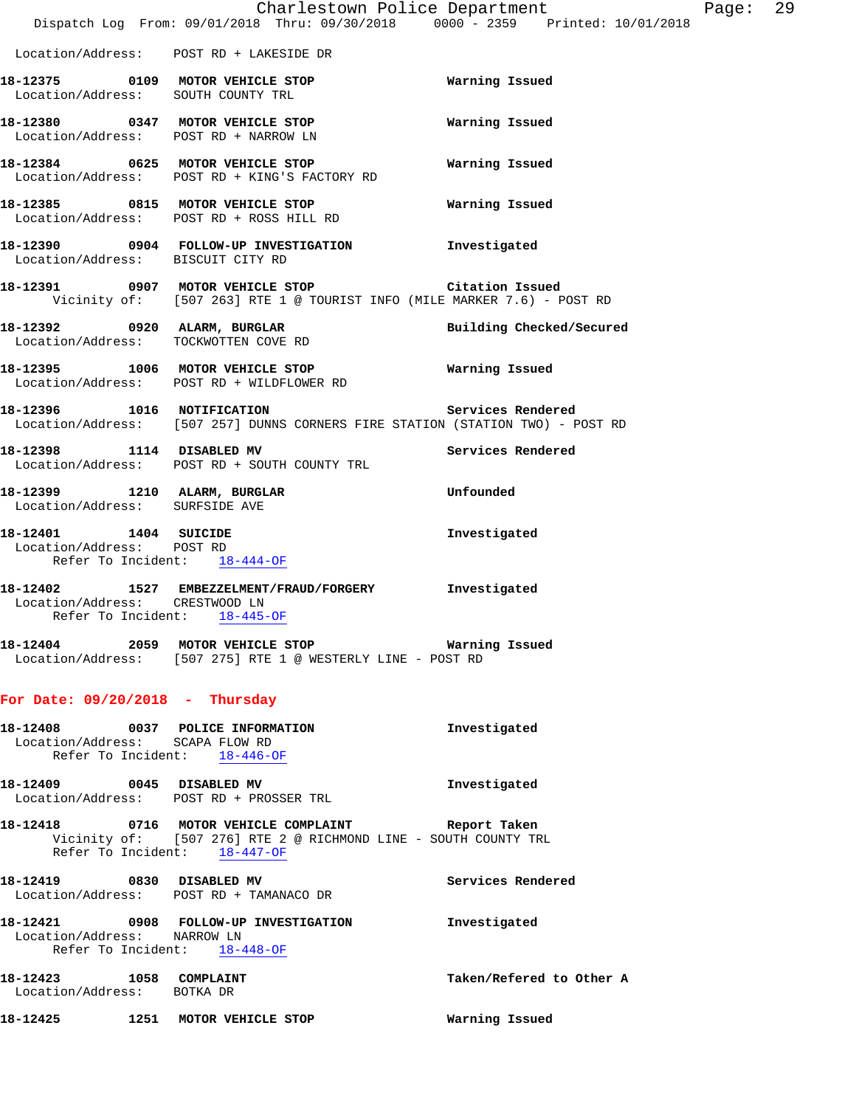|                                                       | Charlestown Police Department<br>Dispatch Log From: 09/01/2018 Thru: 09/30/2018 0000 - 2359 Printed: 10/01/2018                                       |                          |
|-------------------------------------------------------|-------------------------------------------------------------------------------------------------------------------------------------------------------|--------------------------|
|                                                       | Location/Address: POST RD + LAKESIDE DR                                                                                                               |                          |
|                                                       | 18-12375 0109 MOTOR VEHICLE STOP<br>Location/Address: SOUTH COUNTY TRL                                                                                | Warning Issued           |
|                                                       | 18-12380 0347 MOTOR VEHICLE STOP<br>Location/Address: POST RD + NARROW LN                                                                             | Warning Issued           |
|                                                       | 18-12384 0625 MOTOR VEHICLE STOP<br>Location/Address: POST RD + KING'S FACTORY RD                                                                     | Warning Issued           |
|                                                       | 18-12385 0815 MOTOR VEHICLE STOP<br>Location/Address: POST RD + ROSS HILL RD                                                                          | Warning Issued           |
| Location/Address: BISCUIT CITY RD                     | 18-12390 0904 FOLLOW-UP INVESTIGATION Investigated                                                                                                    |                          |
|                                                       | 18-12391 0907 MOTOR VEHICLE STOP Citation Issued<br>Vicinity of: [507 263] RTE 1 @ TOURIST INFO (MILE MARKER 7.6) - POST RD                           |                          |
|                                                       | 18-12392 0920 ALARM, BURGLAR<br>Location/Address: TOCKWOTTEN COVE RD                                                                                  | Building Checked/Secured |
|                                                       | 18-12395 1006 MOTOR VEHICLE STOP<br>Location/Address: POST RD + WILDFLOWER RD                                                                         | <b>Warning Issued</b>    |
|                                                       | 18-12396 1016 NOTIFICATION Services Rendered<br>Location/Address: [507 257] DUNNS CORNERS FIRE STATION (STATION TWO) - POST RD                        |                          |
|                                                       | 18-12398 1114 DISABLED MV<br>Location/Address: POST RD + SOUTH COUNTY TRL                                                                             | Services Rendered        |
| Location/Address: SURFSIDE AVE                        | 18-12399 1210 ALARM, BURGLAR                                                                                                                          | Unfounded                |
| 18-12401  1404  SUICIDE<br>Location/Address: POST RD  | Refer To Incident: 18-444-OF                                                                                                                          | Investigated             |
| Location/Address: CRESTWOOD LN                        | 18-12402 1527 EMBEZZELMENT/FRAUD/FORGERY Investigated<br>Refer To Incident: 18-445-OF                                                                 |                          |
|                                                       | 18-12404 2059 MOTOR VEHICLE STOP Warning Issued<br>Location/Address: [507 275] RTE 1 @ WESTERLY LINE - POST RD                                        |                          |
| For Date: $09/20/2018$ - Thursday                     |                                                                                                                                                       |                          |
|                                                       | 18-12408 0037 POLICE INFORMATION<br>Location/Address: SCAPA FLOW RD<br>Refer To Incident: $18-446-OF$                                                 | Investigated             |
|                                                       | 18-12409 0045 DISABLED MV<br>Location/Address: POST RD + PROSSER TRL                                                                                  | Investigated             |
|                                                       | 18-12418 0716 MOTOR VEHICLE COMPLAINT Report Taken<br>Vicinity of: [507 276] RTE 2 @ RICHMOND LINE - SOUTH COUNTY TRL<br>Refer To Incident: 18-447-OF |                          |
|                                                       | 18-12419 0830 DISABLED MV<br>Location/Address: POST RD + TAMANACO DR                                                                                  | Services Rendered        |
| Location/Address: NARROW LN                           | 18-12421 0908 FOLLOW-UP INVESTIGATION Threstigated<br>Refer To Incident: 18-448-OF                                                                    |                          |
| 18-12423 1058 COMPLAINT<br>Location/Address: BOTKA DR |                                                                                                                                                       | Taken/Refered to Other A |
|                                                       | 18-12425 1251 MOTOR VEHICLE STOP                                                                                                                      | Warning Issued           |

Page: 29<br>
29<br>
29<br>
29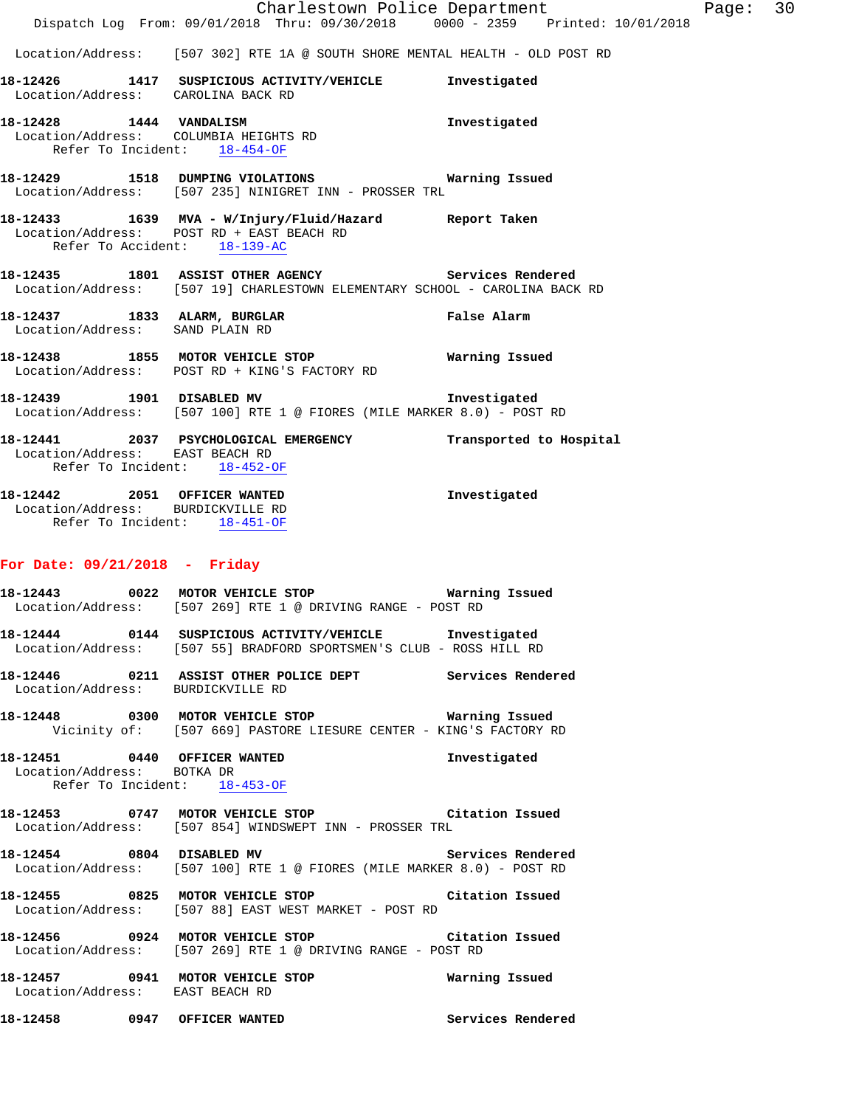|                                                                                                        | Dispatch Log From: 09/01/2018 Thru: 09/30/2018 0000 - 2359 Printed: 10/01/2018                                                                          | Charlestown Police Department | Page: 30 |  |
|--------------------------------------------------------------------------------------------------------|---------------------------------------------------------------------------------------------------------------------------------------------------------|-------------------------------|----------|--|
|                                                                                                        | Location/Address: [507 302] RTE 1A @ SOUTH SHORE MENTAL HEALTH - OLD POST RD                                                                            |                               |          |  |
| Location/Address: CAROLINA BACK RD                                                                     | 18-12426 1417 SUSPICIOUS ACTIVITY/VEHICLE Investigated                                                                                                  |                               |          |  |
| 18-12428    1444    VANDALISM<br>Location/Address: COLUMBIA HEIGHTS RD<br>Refer To Incident: 18-454-OF |                                                                                                                                                         | Investigated                  |          |  |
|                                                                                                        | 18-12429 1518 DUMPING VIOLATIONS Warning Issued<br>Location/Address: [507 235] NINIGRET INN - PROSSER TRL                                               |                               |          |  |
| Refer To Accident: 18-139-AC                                                                           | 18-12433 1639 MVA - W/Injury/Fluid/Hazard Report Taken<br>Location/Address: POST RD + EAST BEACH RD                                                     |                               |          |  |
|                                                                                                        | 18-12435 1801 ASSIST OTHER AGENCY Services Rendered<br>Location/Address: [507 19] CHARLESTOWN ELEMENTARY SCHOOL - CAROLINA BACK RD                      |                               |          |  |
| Location/Address: SAND PLAIN RD                                                                        | 18-12437 1833 ALARM, BURGLAR 18 19 False Alarm                                                                                                          |                               |          |  |
|                                                                                                        | 18-12438 1855 MOTOR VEHICLE STOP 18 Warning Issued<br>Location/Address: POST RD + KING'S FACTORY RD                                                     |                               |          |  |
|                                                                                                        | 18-12439 1901 DISABLED MV<br>Location/Address: [507 100] RTE 1 @ FIORES (MILE MARKER 8.0) - POST RD                                                     | Investigated                  |          |  |
| Location/Address: EAST BEACH RD<br>Refer To Incident: 18-452-OF                                        | 18-12441 2037 PSYCHOLOGICAL EMERGENCY Transported to Hospital                                                                                           |                               |          |  |
| 18-12442 2051 OFFICER WANTED<br>Location/Address: BURDICKVILLE RD<br>Refer To Incident: 18-451-OF      |                                                                                                                                                         | Investigated                  |          |  |
| For Date: $09/21/2018$ - Friday                                                                        |                                                                                                                                                         |                               |          |  |
|                                                                                                        | Location/Address: [507 269] RTE 1 @ DRIVING RANGE - POST RD                                                                                             |                               |          |  |
|                                                                                                        | Location/Address: [507 55] BRADFORD SPORTSMEN'S CLUB - ROSS HILL RD                                                                                     |                               |          |  |
| Location/Address: BURDICKVILLE RD                                                                      | 18-12446  0211 ASSIST OTHER POLICE DEPT                                                                                                                 | Services Rendered             |          |  |
|                                                                                                        | 18-12448          0300 MOTOR VEHICLE STOP                           Warning Issued<br>Vicinity of: [507 669] PASTORE LIESURE CENTER - KING'S FACTORY RD |                               |          |  |
| 18-12451 0440 OFFICER WANTED<br>Location/Address: BOTKA DR<br>Refer To Incident: 18-453-OF             |                                                                                                                                                         | Investigated                  |          |  |
|                                                                                                        | 18-12453 0747 MOTOR VEHICLE STOP<br>Location/Address: [507 854] WINDSWEPT INN - PROSSER TRL                                                             | Citation Issued               |          |  |

**18-12454 0804 DISABLED MV Services Rendered**  Location/Address: [507 100] RTE 1 @ FIORES (MILE MARKER 8.0) - POST RD

**18-12455 0825 MOTOR VEHICLE STOP Citation Issued**  Location/Address: [507 88] EAST WEST MARKET - POST RD

**18-12456 0924 MOTOR VEHICLE STOP Citation Issued**  Location/Address: [507 269] RTE 1 @ DRIVING RANGE - POST RD

**18-12457 0941 MOTOR VEHICLE STOP Warning Issued**  Location/Address: EAST BEACH RD

**18-12458 0947 OFFICER WANTED Services Rendered**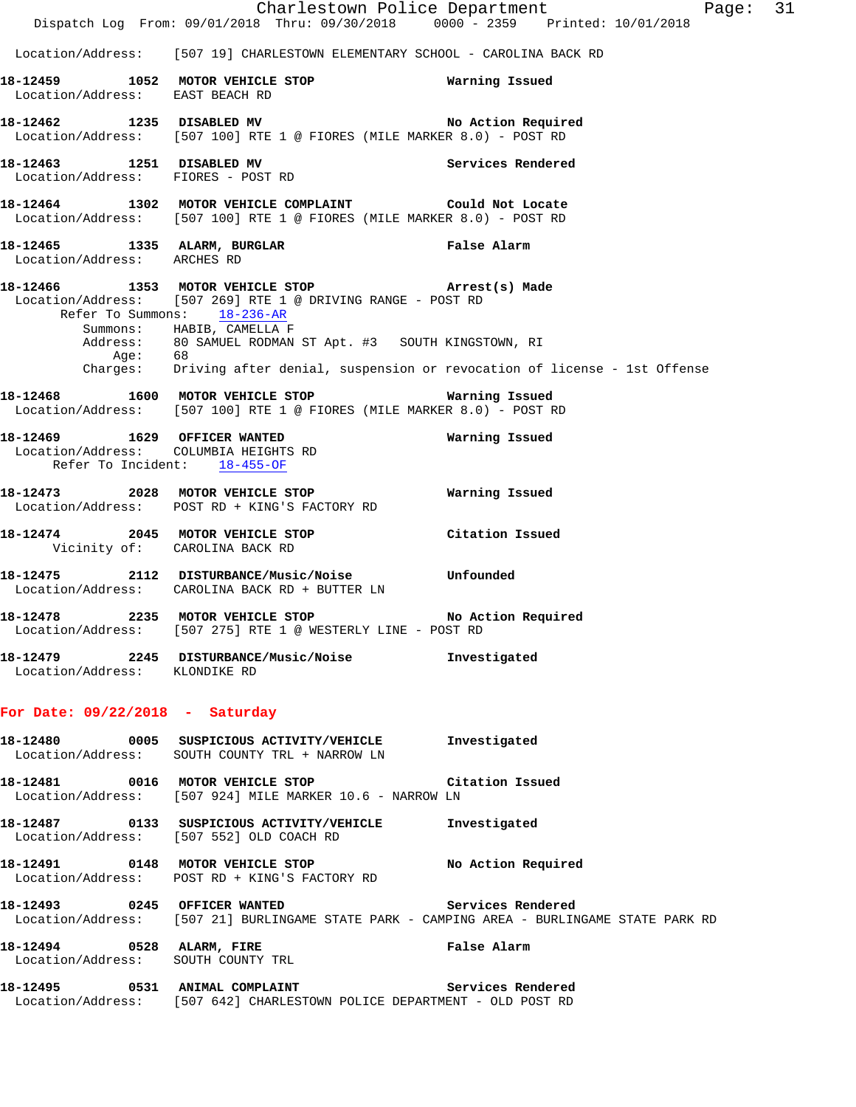Charlestown Police Department Fage: 31 Dispatch Log From: 09/01/2018 Thru: 09/30/2018 0000 - 2359 Printed: 10/01/2018 Location/Address: [507 19] CHARLESTOWN ELEMENTARY SCHOOL - CAROLINA BACK RD **18-12459 1052 MOTOR VEHICLE STOP Warning Issued**  Location/Address: EAST BEACH RD **18-12462 1235 DISABLED MV No Action Required**  Location/Address: [507 100] RTE 1 @ FIORES (MILE MARKER 8.0) - POST RD **18-12463 1251 DISABLED MV Services Rendered**  Location/Address: FIORES - POST RD **18-12464 1302 MOTOR VEHICLE COMPLAINT Could Not Locate**  Location/Address: [507 100] RTE 1 @ FIORES (MILE MARKER 8.0) - POST RD **18-12465 1335 ALARM, BURGLAR False Alarm**  Location/Address: ARCHES RD **18-12466 1353 MOTOR VEHICLE STOP Arrest(s) Made**  Location/Address: [507 269] RTE 1 @ DRIVING RANGE - POST RD Refer To Summons: 18-236-AR Summons: HABIB, CAMELLA F Address: 80 SAMUEL RODMAN ST Apt. #3 SOUTH KINGSTOWN, RI Age: 68 Charges: Driving after denial, suspension or revocation of license - 1st Offense **18-12468 1600 MOTOR VEHICLE STOP Warning Issued**  Location/Address: [507 100] RTE 1 @ FIORES (MILE MARKER 8.0) - POST RD **18-12469 1629 OFFICER WANTED Warning Issued**  Location/Address: COLUMBIA HEIGHTS RD Refer To Incident: 18-455-OF **18-12473 2028 MOTOR VEHICLE STOP Warning Issued**  Location/Address: POST RD + KING'S FACTORY RD **18-12474 2045 MOTOR VEHICLE STOP Citation Issued**  Vicinity of: CAROLINA BACK RD **18-12475 2112 DISTURBANCE/Music/Noise Unfounded**  Location/Address: CAROLINA BACK RD + BUTTER LN **18-12478 2235 MOTOR VEHICLE STOP No Action Required**  Location/Address: [507 275] RTE 1 @ WESTERLY LINE - POST RD **18-12479 2245 DISTURBANCE/Music/Noise Investigated**  Location/Address: KLONDIKE RD **For Date: 09/22/2018 - Saturday 18-12480 0005 SUSPICIOUS ACTIVITY/VEHICLE Investigated**  Location/Address: SOUTH COUNTY TRL + NARROW LN **18-12481 0016 MOTOR VEHICLE STOP Citation Issued**  Location/Address: [507 924] MILE MARKER 10.6 - NARROW LN **18-12487 0133 SUSPICIOUS ACTIVITY/VEHICLE Investigated**  Location/Address: [507 552] OLD COACH RD 18-12491 **0148** MOTOR VEHICLE STOP **No Action Required**  Location/Address: POST RD + KING'S FACTORY RD **18-12493 0245 OFFICER WANTED Services Rendered**  Location/Address: [507 21] BURLINGAME STATE PARK - CAMPING AREA - BURLINGAME STATE PARK RD **18-12494 0528 ALARM, FIRE False Alarm**  Location/Address: SOUTH COUNTY TRL **18-12495 0531 ANIMAL COMPLAINT Services Rendered**  Location/Address: [507 642] CHARLESTOWN POLICE DEPARTMENT - OLD POST RD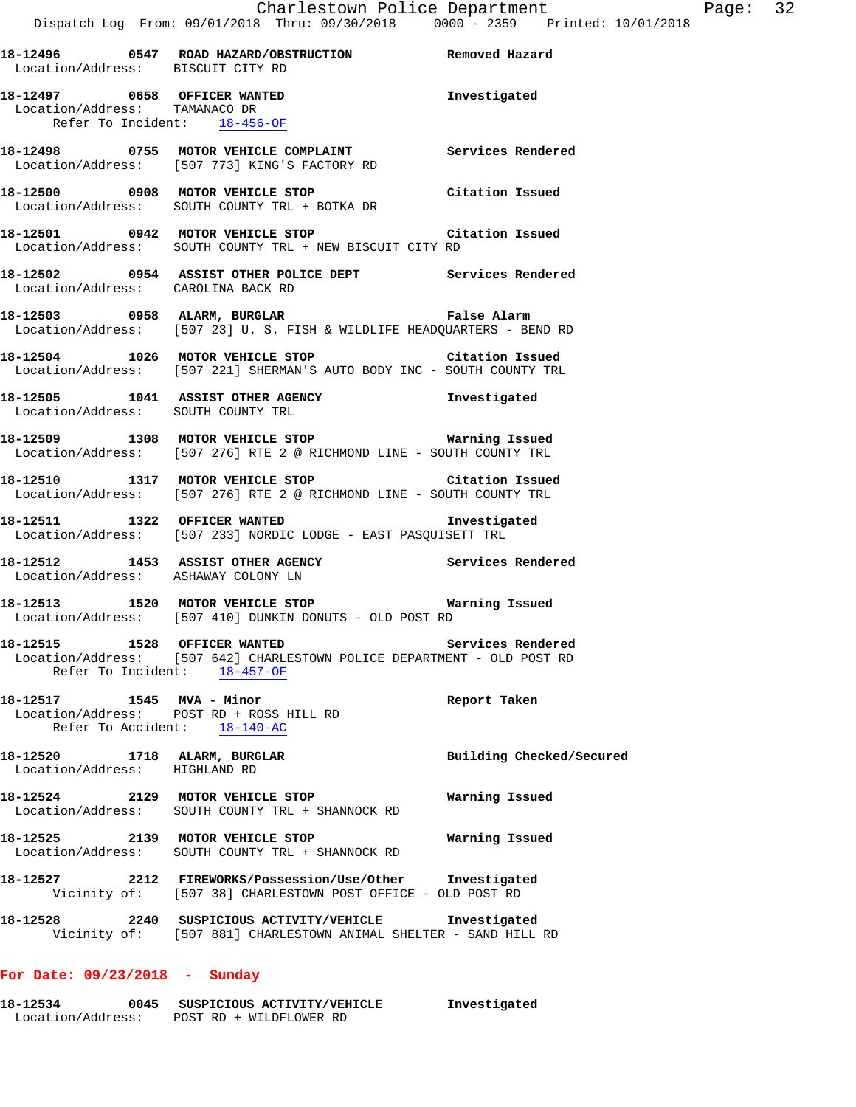| Location/Address: BISCUIT CITY RD<br>Location/Address: TAMANACO DR | 18-12496  0547  ROAD HAZARD/OBSTRUCTION  Removed Hazard<br>18-12497 0658 OFFICER WANTED 18-12497 1995                                                     |                          |
|--------------------------------------------------------------------|-----------------------------------------------------------------------------------------------------------------------------------------------------------|--------------------------|
|                                                                    |                                                                                                                                                           |                          |
|                                                                    | Refer To Incident: 18-456-OF                                                                                                                              |                          |
|                                                                    | 18-12498 0755 MOTOR VEHICLE COMPLAINT Services Rendered<br>Location/Address: [507 773] KING'S FACTORY RD                                                  |                          |
|                                                                    | 18-12500 0908 MOTOR VEHICLE STOP Citation Issued<br>Location/Address: SOUTH COUNTY TRL + BOTKA DR                                                         |                          |
|                                                                    | 18-12501 0942 MOTOR VEHICLE STOP Citation Issued<br>Location/Address: SOUTH COUNTY TRL + NEW BISCUIT CITY RD                                              |                          |
|                                                                    | 18-12502 0954 ASSIST OTHER POLICE DEPT Services Rendered<br>Location/Address: CAROLINA BACK RD                                                            |                          |
|                                                                    | 18-12503 0958 ALARM, BURGLAR CHART PALSE Alarm<br>Location/Address: [507 23] U.S. FISH & WILDLIFE HEADQUARTERS - BEND RD                                  |                          |
|                                                                    | 18-12504 1026 MOTOR VEHICLE STOP Citation Issued<br>Location/Address: [507 221] SHERMAN'S AUTO BODY INC - SOUTH COUNTY TRL                                |                          |
|                                                                    | 18-12505 1041 ASSIST OTHER AGENCY 1nvestigated<br>Location/Address: SOUTH COUNTY TRL                                                                      |                          |
|                                                                    | 18-12509 1308 MOTOR VEHICLE STOP Warning Issued<br>Location/Address: [507 276] RTE 2 @ RICHMOND LINE - SOUTH COUNTY TRL                                   |                          |
|                                                                    | 18-12510 1317 MOTOR VEHICLE STOP Citation Issued<br>Location/Address: [507 276] RTE 2 @ RICHMOND LINE - SOUTH COUNTY TRL                                  |                          |
|                                                                    | 18-12511 1322 OFFICER WANTED 12511 Investigated<br>Location/Address: [507 233] NORDIC LODGE - EAST PASQUISETT TRL                                         |                          |
|                                                                    | 18-12512 1453 ASSIST OTHER AGENCY Services Rendered<br>Location/Address: ASHAWAY COLONY LN                                                                |                          |
|                                                                    | 18-12513 1520 MOTOR VEHICLE STOP 6 Warning Issued<br>Location/Address: [507 410] DUNKIN DONUTS - OLD POST RD                                              |                          |
|                                                                    | 18-12515 1528 OFFICER WANTED Services Rendered<br>Location/Address: [507 642] CHARLESTOWN POLICE DEPARTMENT - OLD POST RD<br>Refer To Incident: 18-457-OF |                          |
| 18-12517 1545 MVA - Minor                                          | Location/Address: POST RD + ROSS HILL RD<br>Refer To Accident: 18-140-AC                                                                                  | Report Taken             |
| 18-12520 1718 ALARM, BURGLAR<br>Location/Address: HIGHLAND RD      |                                                                                                                                                           | Building Checked/Secured |
|                                                                    | 18-12524 2129 MOTOR VEHICLE STOP<br>Location/Address: SOUTH COUNTY TRL + SHANNOCK RD                                                                      | Warning Issued           |
|                                                                    | 18-12525 2139 MOTOR VEHICLE STOP<br>Location/Address: SOUTH COUNTY TRL + SHANNOCK RD                                                                      | Warning Issued           |
|                                                                    | 18-12527 2212 FIREWORKS/Possession/Use/Other Investigated<br>Vicinity of: [507 38] CHARLESTOWN POST OFFICE - OLD POST RD                                  |                          |
|                                                                    |                                                                                                                                                           |                          |

# **For Date: 09/23/2018 - Sunday**

| 18-12534          | 0045 | SUSPICIOUS ACTIVITY/VEHICLE | Investigated |
|-------------------|------|-----------------------------|--------------|
| Location/Address: |      | POST RD + WILDFLOWER RD     |              |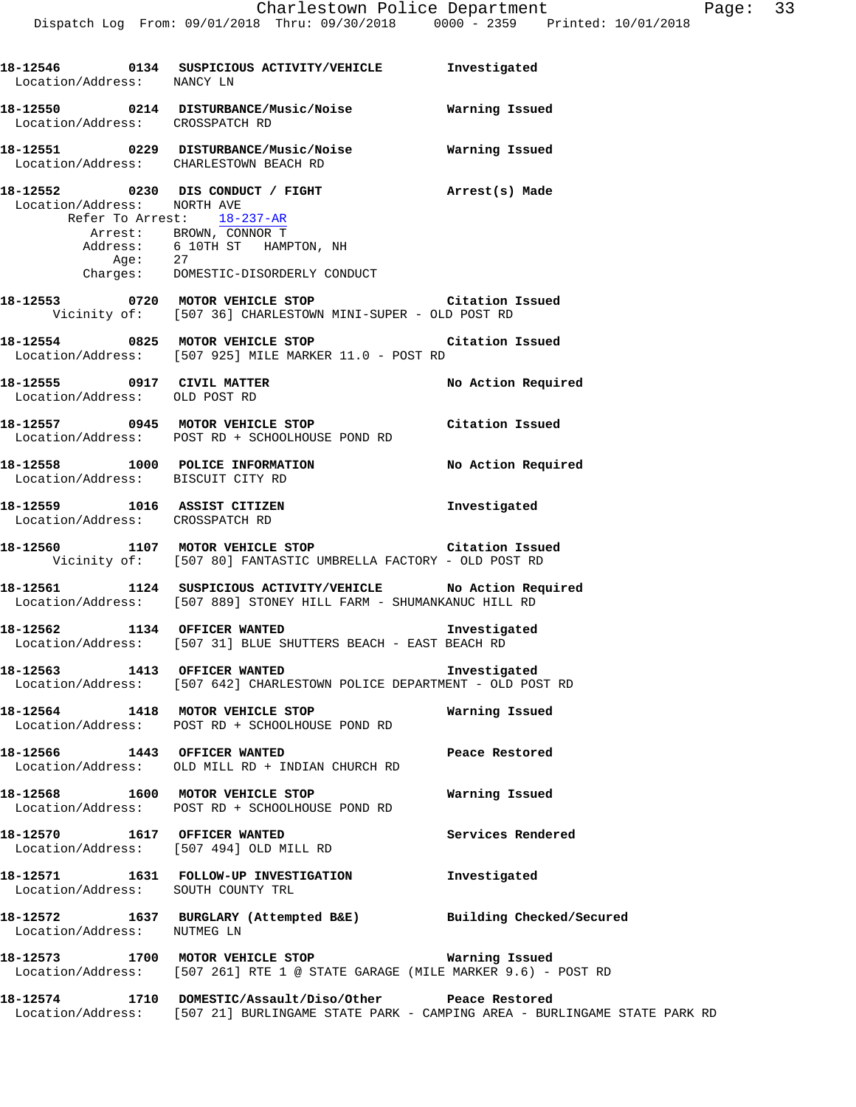| Location/Address: NANCY LN                                | 18-12546  0134  SUSPICIOUS ACTIVITY/VEHICLE  Investigated                                                                                              |                   |
|-----------------------------------------------------------|--------------------------------------------------------------------------------------------------------------------------------------------------------|-------------------|
| Location/Address: CROSSPATCH RD                           | 18-12550 0214 DISTURBANCE/Music/Noise Warning Issued                                                                                                   |                   |
|                                                           | 18-12551 0229 DISTURBANCE/Music/Noise Warning Issued<br>Location/Address: CHARLESTOWN BEACH RD                                                         |                   |
| Location/Address: NORTH AVE<br>Refer To Arrest: 18-237-AR | 18-12552 0230 DIS CONDUCT / FIGHT (arrest(s) Made                                                                                                      |                   |
|                                                           | Arrest: BROWN, CONNOR T<br>Address: 6 10TH ST HAMPTON, NH<br>Age: 27<br>Charges: DOMESTIC-DISORDERLY CONDUCT                                           |                   |
|                                                           |                                                                                                                                                        |                   |
|                                                           | 18-12553 0720 MOTOR VEHICLE STOP Citation Issued<br>Vicinity of: [507 36] CHARLESTOWN MINI-SUPER - OLD POST RD                                         |                   |
|                                                           | 18-12554 0825 MOTOR VEHICLE STOP Citation Issued<br>Location/Address: [507 925] MILE MARKER 11.0 - POST RD                                             |                   |
| Location/Address: OLD POST RD                             | 18-12555 0917 CIVIL MATTER No Action Required                                                                                                          |                   |
|                                                           | 18-12557 0945 MOTOR VEHICLE STOP Citation Issued<br>Location/Address: POST RD + SCHOOLHOUSE POND RD                                                    |                   |
| Location/Address: BISCUIT CITY RD                         | 18-12558 1000 POLICE INFORMATION No Action Required                                                                                                    |                   |
| Location/Address: CROSSPATCH RD                           | 18-12559 1016 ASSIST CITIZEN                                                                                                                           | Investigated      |
|                                                           | 18-12560 1107 MOTOR VEHICLE STOP Citation Issued<br>Vicinity of: [507 80] FANTASTIC UMBRELLA FACTORY - OLD POST RD                                     |                   |
|                                                           | 18-12561 1124 SUSPICIOUS ACTIVITY/VEHICLE No Action Required<br>Location/Address: [507 889] STONEY HILL FARM - SHUMANKANUC HILL RD                     |                   |
|                                                           | 18-12562 1134 OFFICER WANTED 18-12562<br>Location/Address: [507 31] BLUE SHUTTERS BEACH - EAST BEACH RD                                                |                   |
|                                                           | 18-12563 1413 OFFICER WANTED<br>Location/Address: [507 642] CHARLESTOWN POLICE DEPARTMENT - OLD POST RD                                                | Investigated      |
|                                                           | 18-12564 1418 MOTOR VEHICLE STOP<br>Location/Address: POST RD + SCHOOLHOUSE POND RD                                                                    | Warning Issued    |
| 18-12566 1443 OFFICER WANTED                              | Location/Address: OLD MILL RD + INDIAN CHURCH RD                                                                                                       | Peace Restored    |
|                                                           | 18-12568 1600 MOTOR VEHICLE STOP<br>Location/Address: POST RD + SCHOOLHOUSE POND RD                                                                    | Warning Issued    |
| 18-12570 1617 OFFICER WANTED                              | Location/Address: [507 494] OLD MILL RD                                                                                                                | Services Rendered |
| Location/Address: SOUTH COUNTY TRL                        | 18-12571 1631 FOLLOW-UP INVESTIGATION Investigated                                                                                                     |                   |
| Location/Address: NUTMEG LN                               | 18-12572 1637 BURGLARY (Attempted B&E) Building Checked/Secured                                                                                        |                   |
|                                                           | 18-12573 1700 MOTOR VEHICLE STOP 6 Warning Issued<br>Location/Address: [507 261] RTE 1 @ STATE GARAGE (MILE MARKER 9.6) - POST RD                      |                   |
|                                                           | 18-12574 1710 DOMESTIC/Assault/Diso/Other Peace Restored<br>Location/Address: [507 21] BURLINGAME STATE PARK - CAMPING AREA - BURLINGAME STATE PARK RD |                   |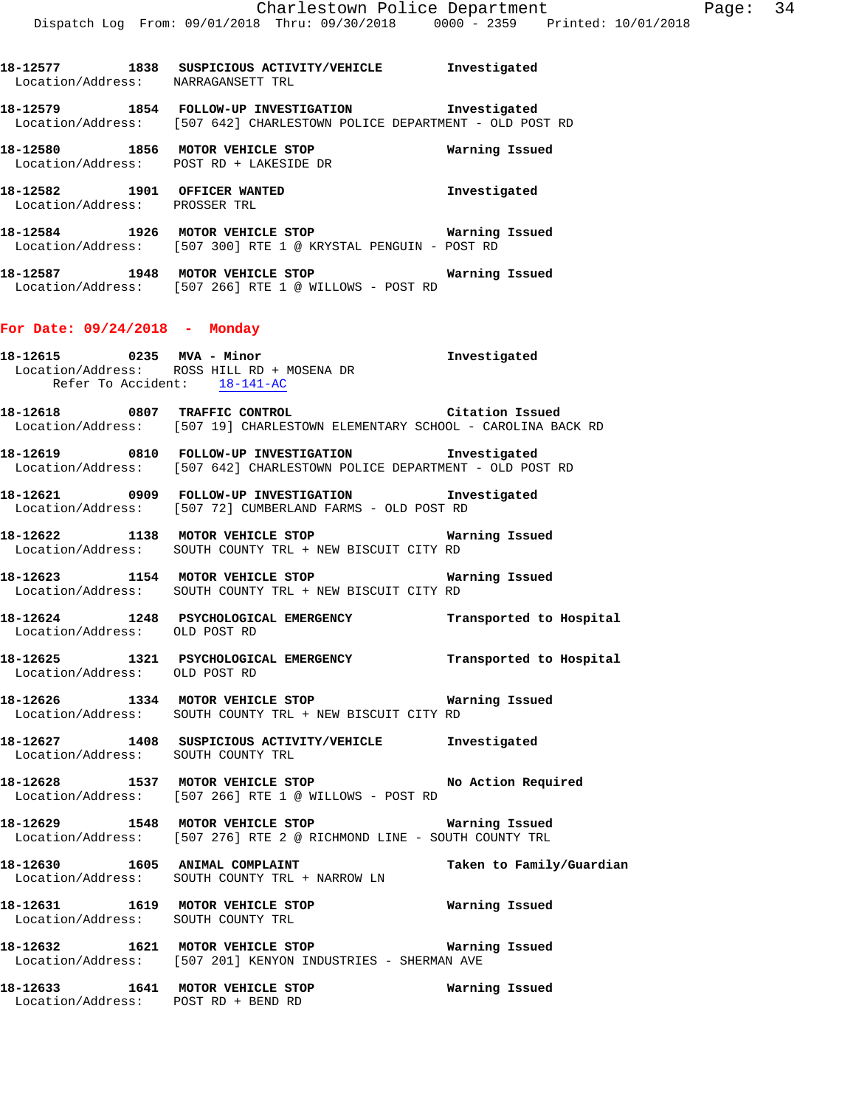| 18-12577<br>Location/Address: | 1838 | SUSPICIOUS ACTIVITY/VEHICLE<br>NARRAGANSETT TRL                                  | Investigated   |
|-------------------------------|------|----------------------------------------------------------------------------------|----------------|
| 18-12579<br>Location/Address: | 1854 | FOLLOW-UP INVESTIGATION<br>[507 642] CHARLESTOWN POLICE DEPARTMENT - OLD POST RD | Investigated   |
| 18-12580<br>Location/Address: | 1856 | MOTOR VEHICLE STOP<br>POST RD + LAKESIDE DR                                      | Warning Issued |

**18-12582 1901 OFFICER WANTED Investigated**  Location/Address: PROSSER TRL

**18-12584 1926 MOTOR VEHICLE STOP Warning Issued**  Location/Address: [507 300] RTE 1 @ KRYSTAL PENGUIN - POST RD

**18-12587 1948 MOTOR VEHICLE STOP Warning Issued**  Location/Address: [507 266] RTE 1 @ WILLOWS - POST RD

### **For Date: 09/24/2018 - Monday**

**18-12615 0235 MVA - Minor Investigated**  Location/Address: ROSS HILL RD + MOSENA DR Refer To Accident: 18-141-AC

**18-12618 0807 TRAFFIC CONTROL Citation Issued**  Location/Address: [507 19] CHARLESTOWN ELEMENTARY SCHOOL - CAROLINA BACK RD

**18-12619 0810 FOLLOW-UP INVESTIGATION Investigated**  Location/Address: [507 642] CHARLESTOWN POLICE DEPARTMENT - OLD POST RD

**18-12621 0909 FOLLOW-UP INVESTIGATION Investigated**  Location/Address: [507 72] CUMBERLAND FARMS - OLD POST RD

**18-12622 1138 MOTOR VEHICLE STOP Warning Issued**  SOUTH COUNTY TRL + NEW BISCUIT CITY RD

**18-12623 1154 MOTOR VEHICLE STOP Warning Issued**  Location/Address: SOUTH COUNTY TRL + NEW BISCUIT CITY RD

**18-12624 1248 PSYCHOLOGICAL EMERGENCY Transported to Hospital**  Location/Address: OLD POST RD

**18-12625 1321 PSYCHOLOGICAL EMERGENCY Transported to Hospital**  Location/Address: OLD POST RD

**18-12626 1334 MOTOR VEHICLE STOP Warning Issued**  Location/Address: SOUTH COUNTY TRL + NEW BISCUIT CITY RD

**18-12627 1408 SUSPICIOUS ACTIVITY/VEHICLE Investigated**  Location/Address: SOUTH COUNTY TRL

18-12628 1537 MOTOR VEHICLE STOP **No Action Required** Location/Address: [507 266] RTE 1 @ WILLOWS - POST RD

**18-12629 1548 MOTOR VEHICLE STOP Warning Issued**  Location/Address: [507 276] RTE 2 @ RICHMOND LINE - SOUTH COUNTY TRL

18-12630 1605 ANIMAL COMPLAINT **18-12630** Taken to Family/Guardian Location/Address: SOUTH COUNTY TRL + NARROW LN

**18-12631 1619 MOTOR VEHICLE STOP Warning Issued**  Location/Address: SOUTH COUNTY TRL

**18-12632 1621 MOTOR VEHICLE STOP Warning Issued**  Location/Address: [507 201] KENYON INDUSTRIES - SHERMAN AVE

**18-12633 1641 MOTOR VEHICLE STOP Warning Issued**  Location/Address: POST RD + BEND RD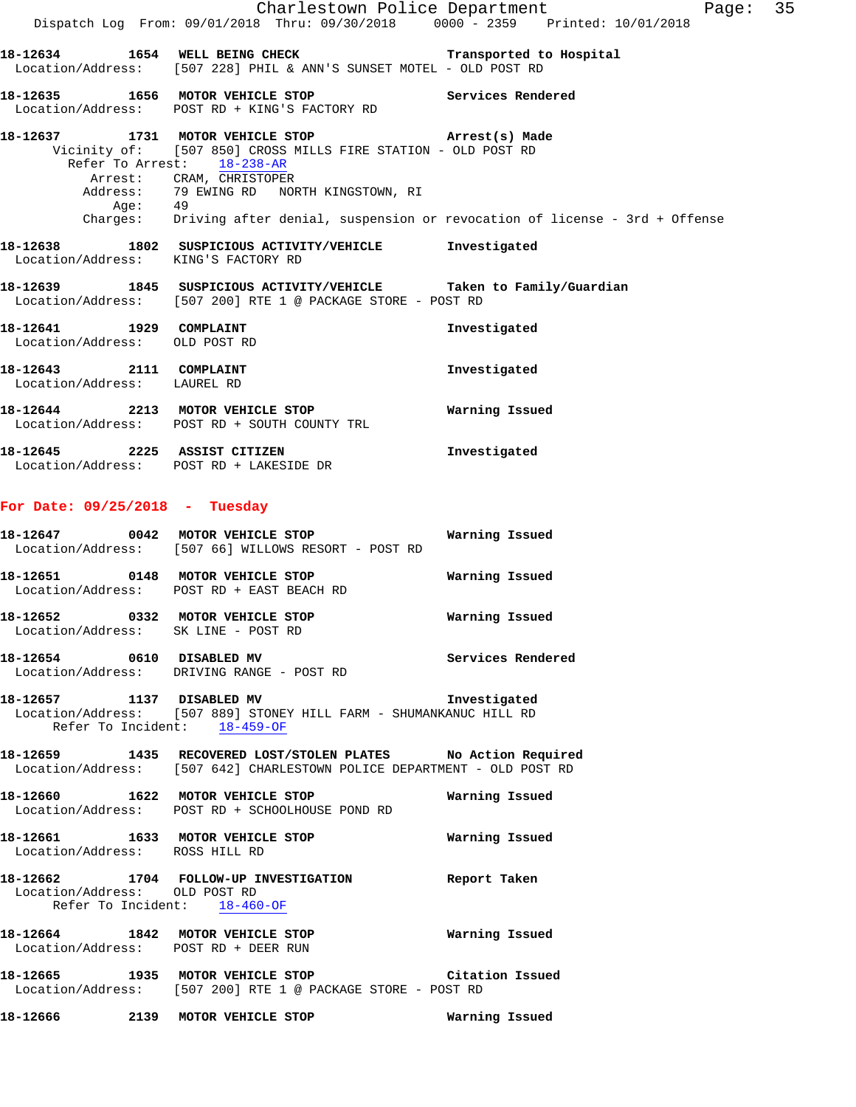|                                                                         | Dispatch Log From: 09/01/2018 Thru: 09/30/2018   0000 - 2359   Printed: 10/01/2018                                                                                                                                                 | Page: 35<br>Charlestown Police Department                                          |  |
|-------------------------------------------------------------------------|------------------------------------------------------------------------------------------------------------------------------------------------------------------------------------------------------------------------------------|------------------------------------------------------------------------------------|--|
|                                                                         | 18-12634 1654 WELL BEING CHECK Transported to Hospital<br>Location/Address: [507 228] PHIL & ANN'S SUNSET MOTEL - OLD POST RD                                                                                                      |                                                                                    |  |
|                                                                         | 18-12635 1656 MOTOR VEHICLE STOP Services Rendered<br>Location/Address: POST RD + KING'S FACTORY RD                                                                                                                                |                                                                                    |  |
|                                                                         | 18-12637 1731 MOTOR VEHICLE STOP (Arrest(s) Made<br>Vicinity of: [507 850] CROSS MILLS FIRE STATION - OLD POST RD<br>Refer To Arrest: 18-238-AR<br>Arrest: CRAM, CHRISTOPER<br>Address: 79 EWING RD NORTH KINGSTOWN, RI<br>Age: 49 |                                                                                    |  |
|                                                                         |                                                                                                                                                                                                                                    | Charges: Driving after denial, suspension or revocation of license - 3rd + Offense |  |
| Location/Address: KING'S FACTORY RD                                     | 18-12638 1802 SUSPICIOUS ACTIVITY/VEHICLE Investigated                                                                                                                                                                             |                                                                                    |  |
|                                                                         | 18-12639 1845 SUSPICIOUS ACTIVITY/VEHICLE Taken to Family/Guardian<br>Location/Address: [507 200] RTE 1 @ PACKAGE STORE - POST RD                                                                                                  |                                                                                    |  |
| 18-12641 1929 COMPLAINT<br>Location/Address: OLD POST RD                |                                                                                                                                                                                                                                    | Investigated                                                                       |  |
| 18-12643 2111 COMPLAINT<br>Location/Address: LAUREL RD                  |                                                                                                                                                                                                                                    | Investigated                                                                       |  |
|                                                                         | 18-12644 2213 MOTOR VEHICLE STOP<br>Location/Address: POST RD + SOUTH COUNTY TRL                                                                                                                                                   | Warning Issued                                                                     |  |
|                                                                         | 18-12645 2225 ASSIST CITIZEN<br>Location/Address: POST RD + LAKESIDE DR                                                                                                                                                            | Investigated                                                                       |  |
| For Date: $09/25/2018$ - Tuesday                                        |                                                                                                                                                                                                                                    |                                                                                    |  |
|                                                                         | 18-12647 0042 MOTOR VEHICLE STOP<br>Location/Address: [507 66] WILLOWS RESORT - POST RD                                                                                                                                            | Warning Issued                                                                     |  |
|                                                                         | 18-12651 0148 MOTOR VEHICLE STOP<br>Location/Address: POST RD + EAST BEACH RD                                                                                                                                                      | Warning Issued                                                                     |  |
| 18-12652 0332 MOTOR VEHICLE STOP<br>Location/Address: SK LINE - POST RD |                                                                                                                                                                                                                                    | Warning Issued                                                                     |  |
|                                                                         | 18-12654 0610 DISABLED MV<br>Location/Address: DRIVING RANGE - POST RD                                                                                                                                                             | Services Rendered                                                                  |  |
| 18-12657 1137 DISABLED MV                                               | Location/Address: [507 889] STONEY HILL FARM - SHUMANKANUC HILL RD<br>Refer To Incident: 18-459-OF                                                                                                                                 | Investigated                                                                       |  |
|                                                                         | 18-12659 1435 RECOVERED LOST/STOLEN PLATES No Action Required<br>Location/Address: [507 642] CHARLESTOWN POLICE DEPARTMENT - OLD POST RD                                                                                           |                                                                                    |  |
|                                                                         | 18-12660 1622 MOTOR VEHICLE STOP<br>Location/Address: POST RD + SCHOOLHOUSE POND RD                                                                                                                                                | Warning Issued                                                                     |  |
| Location/Address: ROSS HILL RD                                          | 18-12661 1633 MOTOR VEHICLE STOP 6 Warning Issued                                                                                                                                                                                  |                                                                                    |  |

# **18-12662 1704 FOLLOW-UP INVESTIGATION Report Taken**  Location/Address: OLD POST RD Refer To Incident: 18-460-OF

**18-12664 1842 MOTOR VEHICLE STOP Warning Issued**  Location/Address: POST RD + DEER RUN **18-12665 1935 MOTOR VEHICLE STOP Citation Issued** 

Location/Address: [507 200] RTE 1 @ PACKAGE STORE - POST RD

**18-12666 2139 MOTOR VEHICLE STOP Warning Issued**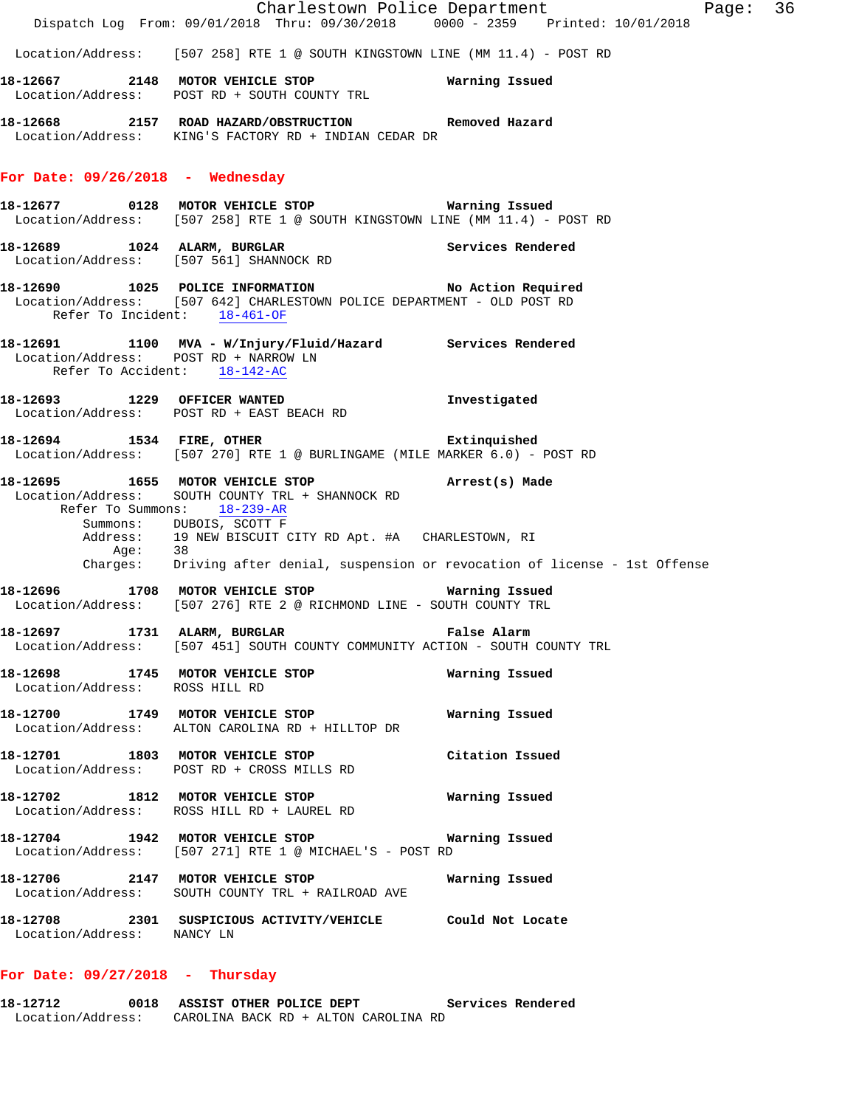|                                                                       |                                                                                                                                                                                                                                       | Charlestown Police Department<br>Page: 36                                        |  |
|-----------------------------------------------------------------------|---------------------------------------------------------------------------------------------------------------------------------------------------------------------------------------------------------------------------------------|----------------------------------------------------------------------------------|--|
|                                                                       | Dispatch Log From: 09/01/2018 Thru: 09/30/2018 0000 - 2359 Printed: 10/01/2018                                                                                                                                                        |                                                                                  |  |
|                                                                       | Location/Address: [507 258] RTE 1 @ SOUTH KINGSTOWN LINE (MM 11.4) - POST RD                                                                                                                                                          |                                                                                  |  |
|                                                                       | 18-12667 2148 MOTOR VEHICLE STOP 6 Warning Issued<br>Location/Address: POST RD + SOUTH COUNTY TRL                                                                                                                                     |                                                                                  |  |
|                                                                       | 18-12668 2157 ROAD HAZARD/OBSTRUCTION Removed Hazard<br>Location/Address: KING'S FACTORY RD + INDIAN CEDAR DR                                                                                                                         |                                                                                  |  |
| For Date: $09/26/2018$ - Wednesday                                    |                                                                                                                                                                                                                                       |                                                                                  |  |
|                                                                       | Location/Address: [507 258] RTE 1 @ SOUTH KINGSTOWN LINE (MM 11.4) - POST RD                                                                                                                                                          |                                                                                  |  |
|                                                                       | 18-12689 1024 ALARM, BURGLAR Services Rendered Location/Address: [507 561] SHANNOCK RD                                                                                                                                                |                                                                                  |  |
|                                                                       | 18-12690 1025 POLICE INFORMATION No Action Required<br>Location/Address: [507 642] CHARLESTOWN POLICE DEPARTMENT - OLD POST RD<br>Refer To Incident: 18-461-OF                                                                        |                                                                                  |  |
| Location/Address: POST RD + NARROW LN<br>Refer To Accident: 18-142-AC | 18-12691 1100 MVA - W/Injury/Fluid/Hazard Services Rendered                                                                                                                                                                           |                                                                                  |  |
|                                                                       | 18-12693 1229 OFFICER WANTED 18-12693<br>Location/Address: POST RD + EAST BEACH RD                                                                                                                                                    |                                                                                  |  |
|                                                                       | 18-12694 1534 FIRE, OTHER 2008 Extinquished<br>Location/Address: [507 270] RTE 1 @ BURLINGAME (MILE MARKER 6.0) - POST RD                                                                                                             |                                                                                  |  |
|                                                                       | 18-12695 1655 MOTOR VEHICLE STOP (Arrest(s) Made<br>Location/Address: SOUTH COUNTY TRL + SHANNOCK RD<br>Refer To Summons: 18-239-AR<br>Summons: DUBOIS, SCOTT F<br>Address: 19 NEW BISCUIT CITY RD Apt. #A CHARLESTOWN, RI<br>Age: 38 |                                                                                  |  |
|                                                                       |                                                                                                                                                                                                                                       | Charges: Driving after denial, suspension or revocation of license - 1st Offense |  |
|                                                                       | 18-12696 1708 MOTOR VEHICLE STOP<br>Location/Address: [507 276] RTE 2 @ RICHMOND LINE - SOUTH COUNTY TRL                                                                                                                              | Warning Issued                                                                   |  |
|                                                                       | 18-12697 1731 ALARM, BURGLAR<br>Location/Address: [507 451] SOUTH COUNTY COMMUNITY ACTION - SOUTH COUNTY TRL                                                                                                                          | False Alarm                                                                      |  |
| Location/Address: ROSS HILL RD                                        | 18-12698 1745 MOTOR VEHICLE STOP                                                                                                                                                                                                      | Warning Issued                                                                   |  |
|                                                                       | 18-12700 1749 MOTOR VEHICLE STOP<br>Location/Address: ALTON CAROLINA RD + HILLTOP DR                                                                                                                                                  | Warning Issued                                                                   |  |
| 18-12701 1803 MOTOR VEHICLE STOP                                      | Location/Address: POST RD + CROSS MILLS RD                                                                                                                                                                                            | Citation Issued                                                                  |  |
|                                                                       | 18-12702 1812 MOTOR VEHICLE STOP<br>Location/Address: ROSS HILL RD + LAUREL RD                                                                                                                                                        | Warning Issued                                                                   |  |
|                                                                       | 18-12704 1942 MOTOR VEHICLE STOP Warning Issued<br>Location/Address: [507 271] RTE 1 @ MICHAEL'S - POST RD                                                                                                                            |                                                                                  |  |
|                                                                       | 18-12706 2147 MOTOR VEHICLE STOP<br>Location/Address: SOUTH COUNTY TRL + RAILROAD AVE                                                                                                                                                 | Warning Issued                                                                   |  |
| Location/Address: NANCY LN                                            | 18-12708 2301 SUSPICIOUS ACTIVITY/VEHICLE Could Not Locate                                                                                                                                                                            |                                                                                  |  |
|                                                                       |                                                                                                                                                                                                                                       |                                                                                  |  |

# **For Date: 09/27/2018 - Thursday**

**18-12712 0018 ASSIST OTHER POLICE DEPT Services Rendered**  Location/Address: CAROLINA BACK RD + ALTON CAROLINA RD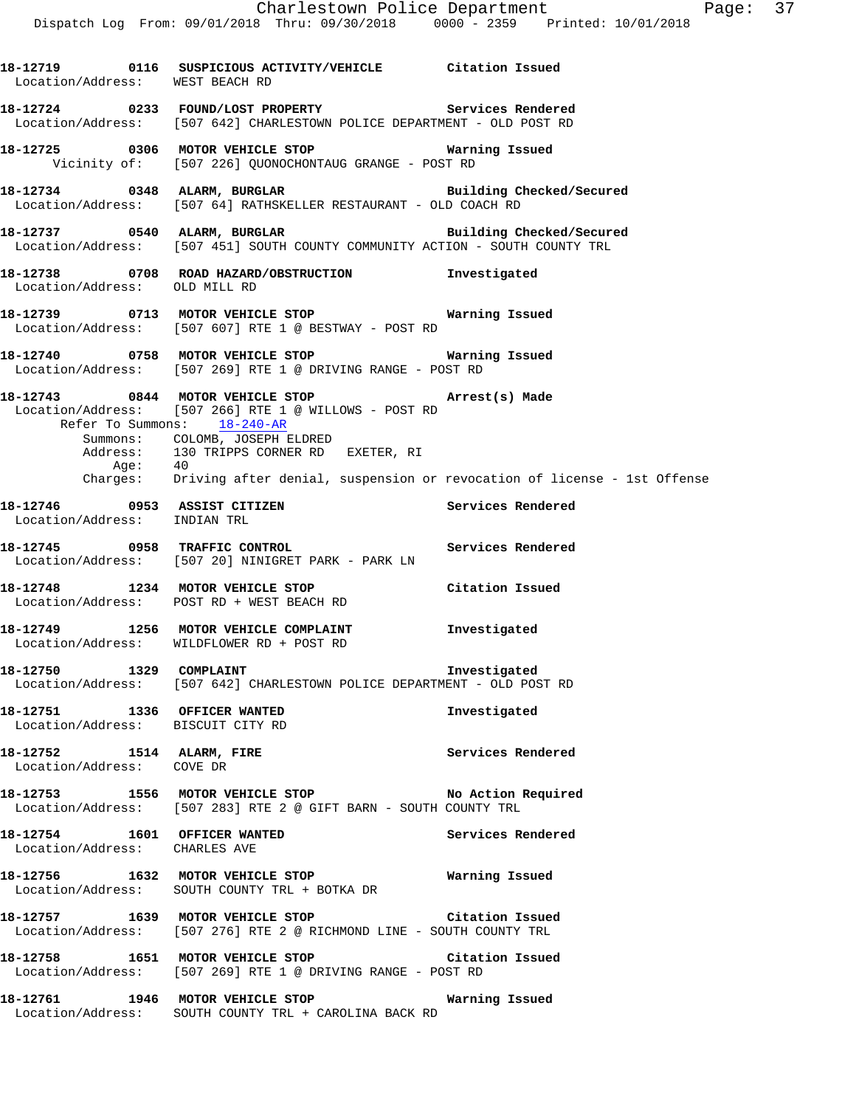**18-12719 0116 SUSPICIOUS ACTIVITY/VEHICLE Citation Issued**  Location/Address: WEST BEACH RD **18-12724 0233 FOUND/LOST PROPERTY Services Rendered**  Location/Address: [507 642] CHARLESTOWN POLICE DEPARTMENT - OLD POST RD **18-12725 0306 MOTOR VEHICLE STOP Warning Issued**  Vicinity of: [507 226] QUONOCHONTAUG GRANGE - POST RD **18-12734 0348 ALARM, BURGLAR Building Checked/Secured**  Location/Address: [507 64] RATHSKELLER RESTAURANT - OLD COACH RD **18-12737 0540 ALARM, BURGLAR Building Checked/Secured**  Location/Address: [507 451] SOUTH COUNTY COMMUNITY ACTION - SOUTH COUNTY TRL **18-12738 0708 ROAD HAZARD/OBSTRUCTION Investigated**  Location/Address: OLD MILL RD **18-12739 0713 MOTOR VEHICLE STOP Warning Issued**  Location/Address: [507 607] RTE 1 @ BESTWAY - POST RD **18-12740 0758 MOTOR VEHICLE STOP Warning Issued**  Location/Address: [507 269] RTE 1 @ DRIVING RANGE - POST RD **18-12743 0844 MOTOR VEHICLE STOP Arrest(s) Made**  Location/Address: [507 266] RTE 1 @ WILLOWS - POST RD Refer To Summons: 18-240-AR Summons: COLOMB, JOSEPH ELDRED Address: 130 TRIPPS CORNER RD EXETER, RI<br>Age: 40 Age: Charges: Driving after denial, suspension or revocation of license - 1st Offense **18-12746 0953 ASSIST CITIZEN Services Rendered**  Location/Address: INDIAN TRL **18-12745 0958 TRAFFIC CONTROL Services Rendered**  Location/Address: [507 20] NINIGRET PARK - PARK LN **18-12748 1234 MOTOR VEHICLE STOP Citation Issued**  Location/Address: POST RD + WEST BEACH RD **18-12749 1256 MOTOR VEHICLE COMPLAINT Investigated**  Location/Address: WILDFLOWER RD + POST RD **18-12750 1329 COMPLAINT Investigated**  Location/Address: [507 642] CHARLESTOWN POLICE DEPARTMENT - OLD POST RD **18-12751 1336 OFFICER WANTED Investigated**  Location/Address: BISCUIT CITY RD **18-12752 1514 ALARM, FIRE Services Rendered**  Location/Address: COVE DR **18-12753 1556 MOTOR VEHICLE STOP No Action Required**  Location/Address: [507 283] RTE 2 @ GIFT BARN - SOUTH COUNTY TRL **18-12754 1601 OFFICER WANTED Services Rendered**  Location/Address: CHARLES AVE **18-12756 1632 MOTOR VEHICLE STOP Warning Issued**  Location/Address: SOUTH COUNTY TRL + BOTKA DR **18-12757 1639 MOTOR VEHICLE STOP Citation Issued**  Location/Address: [507 276] RTE 2 @ RICHMOND LINE - SOUTH COUNTY TRL **18-12758 1651 MOTOR VEHICLE STOP Citation Issued**  Location/Address: [507 269] RTE 1 @ DRIVING RANGE - POST RD **18-12761 1946 MOTOR VEHICLE STOP Warning Issued**  Location/Address: SOUTH COUNTY TRL + CAROLINA BACK RD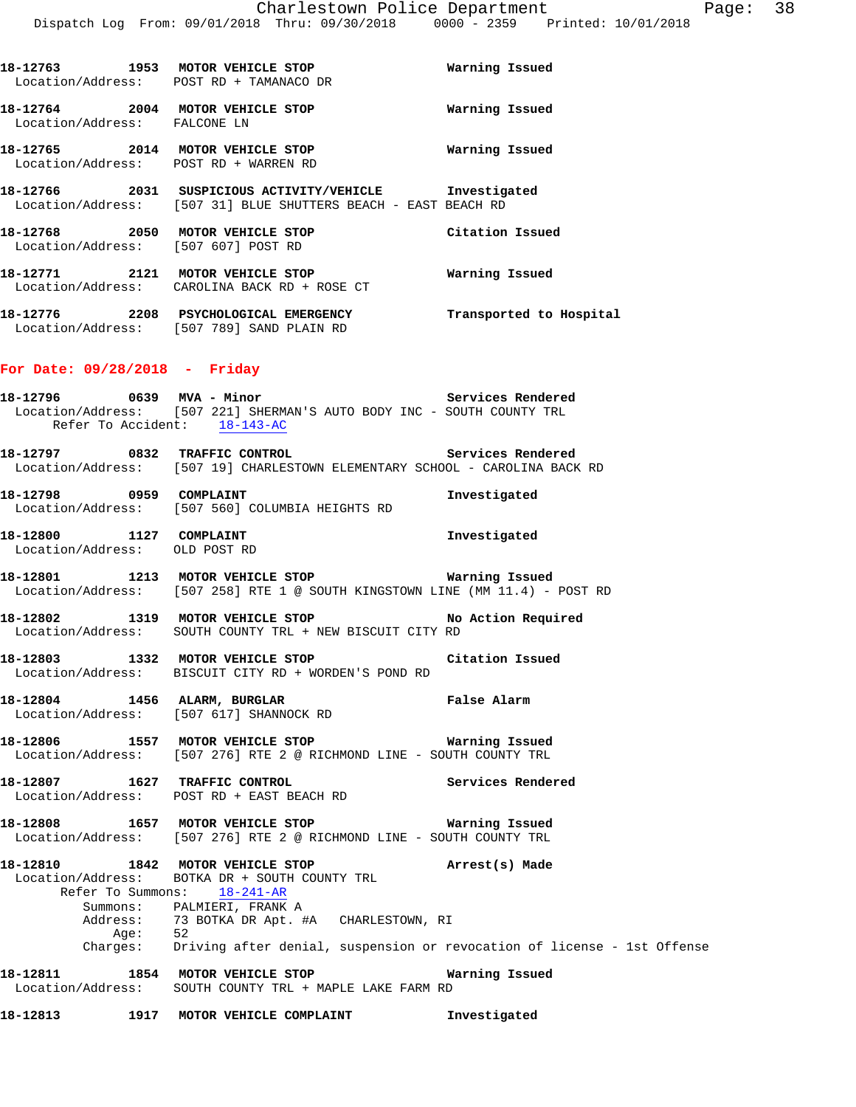| 18-12763<br>Location/Address: | 1953 | MOTOR VEHICLE STOP<br>POST RD + TAMANACO DR | Warning Issued |  |
|-------------------------------|------|---------------------------------------------|----------------|--|
| 18-12764<br>Location/Address: | 2004 | MOTOR VEHICLE STOP<br>FALCONE LN            | Warning Issued |  |
| 18-12765<br>Location/Address: | 2014 | MOTOR VEHICLE STOP<br>POST RD + WARREN RD   | Warning Issued |  |

**18-12766 2031 SUSPICIOUS ACTIVITY/VEHICLE Investigated**  Location/Address: [507 31] BLUE SHUTTERS BEACH - EAST BEACH RD

**18-12768 2050 MOTOR VEHICLE STOP Citation Issued**  Location/Address: [507 607] POST RD **18-12771 2121 MOTOR VEHICLE STOP Warning Issued** 

**18-12776 2208 PSYCHOLOGICAL EMERGENCY Transported to Hospital**  Location/Address: [507 789] SAND PLAIN RD

## **For Date: 09/28/2018 - Friday**

Location/Address: CAROLINA BACK RD + ROSE CT

- **18-12796 0639 MVA Minor Services Rendered**  Location/Address: [507 221] SHERMAN'S AUTO BODY INC - SOUTH COUNTY TRL Refer To Accident: 18-143-AC
- **18-12797 0832 TRAFFIC CONTROL Services Rendered**  Location/Address: [507 19] CHARLESTOWN ELEMENTARY SCHOOL - CAROLINA BACK RD

**18-12798 0959 COMPLAINT Investigated**  Location/Address: [507 560] COLUMBIA HEIGHTS RD

- **18-12800 1127 COMPLAINT Investigated**  Location/Address: OLD POST RD
- **18-12801 1213 MOTOR VEHICLE STOP Warning Issued**  Location/Address: [507 258] RTE 1 @ SOUTH KINGSTOWN LINE (MM 11.4) - POST RD
- **18-12802 1319 MOTOR VEHICLE STOP No Action Required**  Location/Address: SOUTH COUNTY TRL + NEW BISCUIT CITY RD

**18-12803 1332 MOTOR VEHICLE STOP Citation Issued**  Location/Address: BISCUIT CITY RD + WORDEN'S POND RD

- **18-12804 1456 ALARM, BURGLAR False Alarm**  Location/Address: [507 617] SHANNOCK RD
- **18-12806 1557 MOTOR VEHICLE STOP Warning Issued**  Location/Address: [507 276] RTE 2 @ RICHMOND LINE - SOUTH COUNTY TRL
- **18-12807 1627 TRAFFIC CONTROL Services Rendered**  Location/Address: POST RD + EAST BEACH RD

**18-12808 1657 MOTOR VEHICLE STOP Warning Issued**  Location/Address: [507 276] RTE 2 @ RICHMOND LINE - SOUTH COUNTY TRL

**18-12810 1842 MOTOR VEHICLE STOP Arrest(s) Made**  Location/Address: BOTKA DR + SOUTH COUNTY TRL Refer To Summons: 18-241-AR Summons: PALMIERI, FRANK A<br>Address: 73 BOTKA DR Apt. # 73 BOTKA DR Apt. #A CHARLESTOWN, RI Age: 52 Charges: Driving after denial, suspension or revocation of license - 1st Offense **18-12811 1854 MOTOR VEHICLE STOP Warning Issued** 

Location/Address: SOUTH COUNTY TRL + MAPLE LAKE FARM RD

**18-12813 1917 MOTOR VEHICLE COMPLAINT Investigated**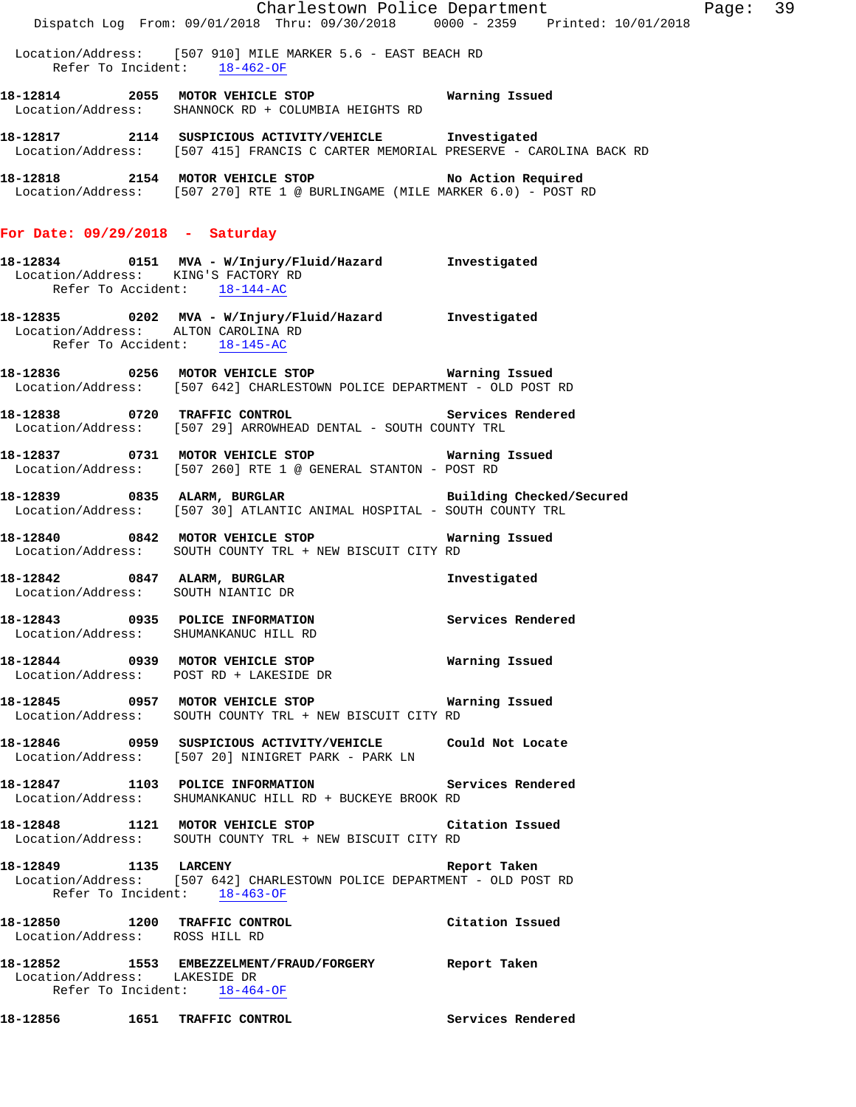|                                                                     |                                                                                                                                             | Charlestown Police Department | Page: 39 |  |
|---------------------------------------------------------------------|---------------------------------------------------------------------------------------------------------------------------------------------|-------------------------------|----------|--|
|                                                                     | Dispatch Log From: 09/01/2018 Thru: 09/30/2018 0000 - 2359 Printed: 10/01/2018                                                              |                               |          |  |
| Refer To Incident: 18-462-OF                                        | Location/Address: [507 910] MILE MARKER 5.6 - EAST BEACH RD                                                                                 |                               |          |  |
|                                                                     | 18-12814 2055 MOTOR VEHICLE STOP 6 Warning Issued<br>Location/Address: SHANNOCK RD + COLUMBIA HEIGHTS RD                                    |                               |          |  |
|                                                                     | 18-12817 2114 SUSPICIOUS ACTIVITY/VEHICLE Investigated<br>Location/Address: [507 415] FRANCIS C CARTER MEMORIAL PRESERVE - CAROLINA BACK RD |                               |          |  |
|                                                                     | 18-12818 2154 MOTOR VEHICLE STOP NO Action Required<br>Location/Address: [507 270] RTE 1 @ BURLINGAME (MILE MARKER 6.0) - POST RD           |                               |          |  |
| For Date: $09/29/2018$ - Saturday                                   |                                                                                                                                             |                               |          |  |
| Location/Address: KING'S FACTORY RD<br>Refer To Accident: 18-144-AC |                                                                                                                                             |                               |          |  |
| Location/Address: ALTON CAROLINA RD<br>Refer To Accident: 18-145-AC | 18-12835 0202 MVA - W/Injury/Fluid/Hazard Investigated                                                                                      |                               |          |  |
|                                                                     | Location/Address: [507 642] CHARLESTOWN POLICE DEPARTMENT - OLD POST RD                                                                     |                               |          |  |
|                                                                     | 18-12838 0720 TRAFFIC CONTROL Services Rendered<br>Location/Address: [507 29] ARROWHEAD DENTAL - SOUTH COUNTY TRL                           |                               |          |  |
|                                                                     | 18-12837 0731 MOTOR VEHICLE STOP 6 Warning Issued<br>Location/Address: [507 260] RTE 1 @ GENERAL STANTON - POST RD                          |                               |          |  |
|                                                                     | 18-12839 6835 ALARM, BURGLAR BURGLAR Building Checked/Secured<br>Location/Address: [507 30] ATLANTIC ANIMAL HOSPITAL - SOUTH COUNTY TRL     |                               |          |  |
|                                                                     | 18-12840 0842 MOTOR VEHICLE STOP<br>Location/Address: SOUTH COUNTY TRL + NEW BISCUIT CITY RD                                                | Warning Issued                |          |  |
| Location/Address: SOUTH NIANTIC DR                                  | 18-12842 0847 ALARM, BURGLAR                                                                                                                | Investigated                  |          |  |
| 18-12843<br>Location/Address: SHUMANKANUC HILL RD                   | 0935 POLICE INFORMATION                                                                                                                     | Services Rendered             |          |  |
|                                                                     | 18-12844 0939 MOTOR VEHICLE STOP Warning Issued<br>Location/Address: POST RD + LAKESIDE DR                                                  |                               |          |  |
|                                                                     | 18-12845 0957 MOTOR VEHICLE STOP <b>WATIME</b> Warning Issued<br>Location/Address: SOUTH COUNTY TRL + NEW BISCUIT CITY RD                   |                               |          |  |
|                                                                     | 18-12846  0959  SUSPICIOUS ACTIVITY/VEHICLE  Could Not Locate<br>Location/Address: [507 20] NINIGRET PARK - PARK LN                         |                               |          |  |
|                                                                     | 18-12847 1103 POLICE INFORMATION Services Rendered<br>Location/Address: SHUMANKANUC HILL RD + BUCKEYE BROOK RD                              |                               |          |  |
|                                                                     | 18-12848 1121 MOTOR VEHICLE STOP Citation Issued<br>Location/Address: SOUTH COUNTY TRL + NEW BISCUIT CITY RD                                |                               |          |  |
| Refer To Incident: 18-463-OF                                        | 18-12849 1135 LARCENY 100 Report Taken<br>Location/Address: [507 642] CHARLESTOWN POLICE DEPARTMENT - OLD POST RD                           |                               |          |  |
| Location/Address: ROSS HILL RD                                      | 18-12850 1200 TRAFFIC CONTROL 18-12850 Citation Issued                                                                                      |                               |          |  |
| Location/Address: LAKESIDE DR<br>Refer To Incident: 18-464-OF       | 18-12852 1553 EMBEZZELMENT/FRAUD/FORGERY Report Taken                                                                                       |                               |          |  |
| 18-12856 1651 TRAFFIC CONTROL                                       |                                                                                                                                             | Services Rendered             |          |  |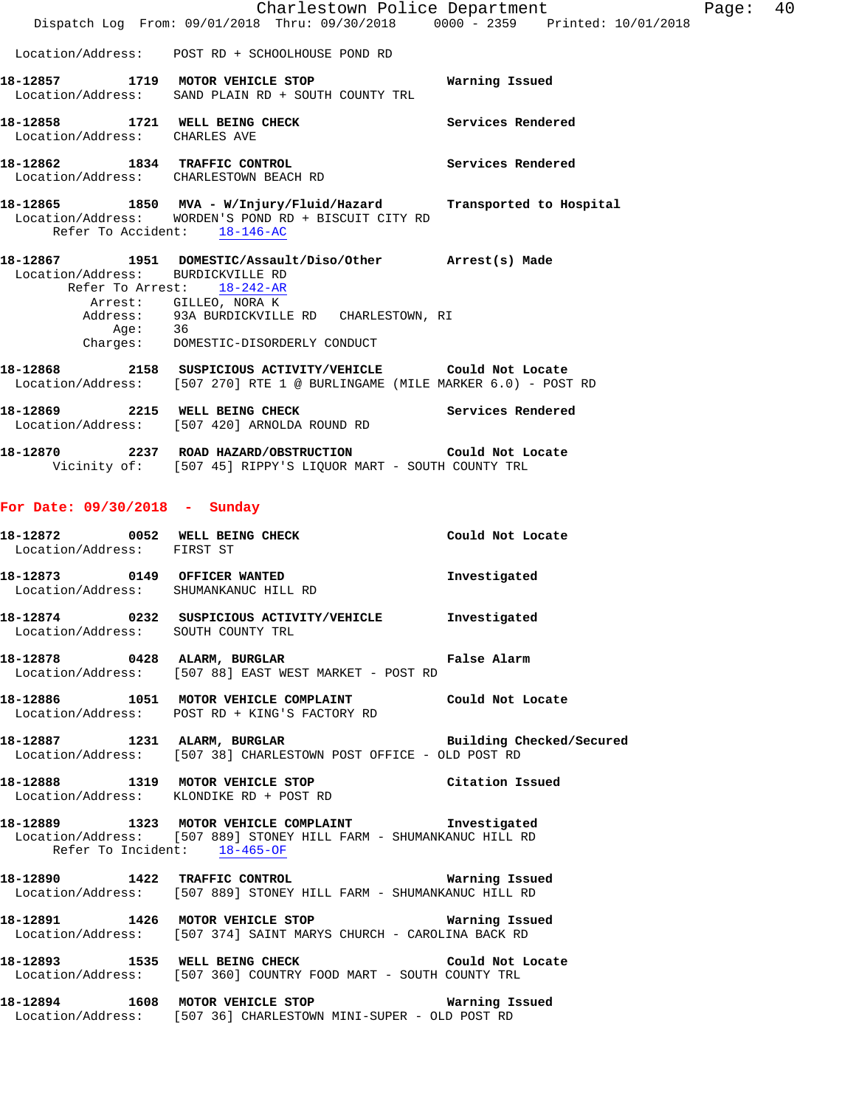|                               |                                                                                                                                                                                                       | Charlestown Police Department | Page: 40 |  |
|-------------------------------|-------------------------------------------------------------------------------------------------------------------------------------------------------------------------------------------------------|-------------------------------|----------|--|
|                               | Dispatch Log From: 09/01/2018 Thru: 09/30/2018 0000 - 2359 Printed: 10/01/2018                                                                                                                        |                               |          |  |
|                               | Location/Address: POST RD + SCHOOLHOUSE POND RD                                                                                                                                                       |                               |          |  |
|                               | 18-12857 1719 MOTOR VEHICLE STOP <b>WATER WATER</b><br>Location/Address: SAND PLAIN RD + SOUTH COUNTY TRL                                                                                             |                               |          |  |
| Location/Address: CHARLES AVE | 18-12858 1721 WELL BEING CHECK Services Rendered                                                                                                                                                      |                               |          |  |
|                               | 18-12862 1834 TRAFFIC CONTROL Services Rendered<br>Location/Address: CHARLESTOWN BEACH RD                                                                                                             |                               |          |  |
|                               | 18-12865 1850 MVA - W/Injury/Fluid/Hazard Transported to Hospital<br>Location/Address: WORDEN'S POND RD + BISCUIT CITY RD<br>Refer To Accident: 18-146-AC                                             |                               |          |  |
|                               | 18-12867 1951 DOMESTIC/Assault/Diso/Other Arrest(s) Made<br>Location/Address: BURDICKVILLE RD<br>Refer To Arrest: 18-242-AR<br>Arrest: GILLEO, NORA K<br>Address: 93A BURDICKVILLE RD CHARLESTOWN, RI |                               |          |  |
|                               | Age: 36<br>Charges: DOMESTIC-DISORDERLY CONDUCT                                                                                                                                                       |                               |          |  |
|                               | 18-12868 2158 SUSPICIOUS ACTIVITY/VEHICLE Could Not Locate<br>Location/Address: [507 270] RTE 1 @ BURLINGAME (MILE MARKER 6.0) - POST RD                                                              |                               |          |  |
|                               | Services Rendered<br>18-12869 2215 WELL BEING CHECK<br>Location/Address: [507 420] ARNOLDA ROUND RD                                                                                                   |                               |          |  |
|                               | 18-12870  2237  ROAD HAZARD/OBSTRUCTION  Could Not Locate<br>Vicinity of: [507 45] RIPPY'S LIQUOR MART - SOUTH COUNTY TRL                                                                             |                               |          |  |
| For Date: 09/30/2018 - Sunday |                                                                                                                                                                                                       |                               |          |  |
| Location/Address: FIRST ST    | 18-12872 0052 WELL BEING CHECK Could Not Locate                                                                                                                                                       |                               |          |  |
|                               | 18-12873 0149 OFFICER WANTED<br>Location/Address: SHUMANKANUC HILL RD                                                                                                                                 | Investigated                  |          |  |
|                               | 18-12874 0232 SUSPICIOUS ACTIVITY/VEHICLE Investigated<br>Location/Address: SOUTH COUNTY TRL                                                                                                          |                               |          |  |
|                               | 18-12878 0428 ALARM, BURGLAR CHART False Alarm<br>Location/Address: [507 88] EAST WEST MARKET - POST RD                                                                                               |                               |          |  |
|                               | 18-12886 1051 MOTOR VEHICLE COMPLAINT Could Not Locate<br>Location/Address: POST RD + KING'S FACTORY RD                                                                                               |                               |          |  |
|                               | 18-12887 1231 ALARM, BURGLAR<br>Location/Address: [507 38] CHARLESTOWN POST OFFICE - OLD POST RD                                                                                                      | Building Checked/Secured      |          |  |
|                               | 18-12888 1319 MOTOR VEHICLE STOP Citation Issued<br>Location/Address: KLONDIKE RD + POST RD                                                                                                           |                               |          |  |
|                               | 18-12889 1323 MOTOR VEHICLE COMPLAINT 1nvestigated<br>Location/Address: [507 889] STONEY HILL FARM - SHUMANKANUC HILL RD<br>Refer To Incident: 18-465-OF                                              |                               |          |  |
|                               | 18-12890 1422 TRAFFIC CONTROL <b>18-12890</b> Warning Issued<br>Location/Address: [507 889] STONEY HILL FARM - SHUMANKANUC HILL RD                                                                    |                               |          |  |
|                               | 18-12891 1426 MOTOR VEHICLE STOP 6 Warning Issued<br>Location/Address: [507 374] SAINT MARYS CHURCH - CAROLINA BACK RD                                                                                |                               |          |  |
|                               | 18-12893 1535 WELL BEING CHECK Could Not Locate<br>Location/Address: [507 360] COUNTRY FOOD MART - SOUTH COUNTY TRL                                                                                   |                               |          |  |
|                               | 18-12894 1608 MOTOR VEHICLE STOP 6 Warning Issued<br>Location/Address: [507 36] CHARLESTOWN MINI-SUPER - OLD POST RD                                                                                  |                               |          |  |